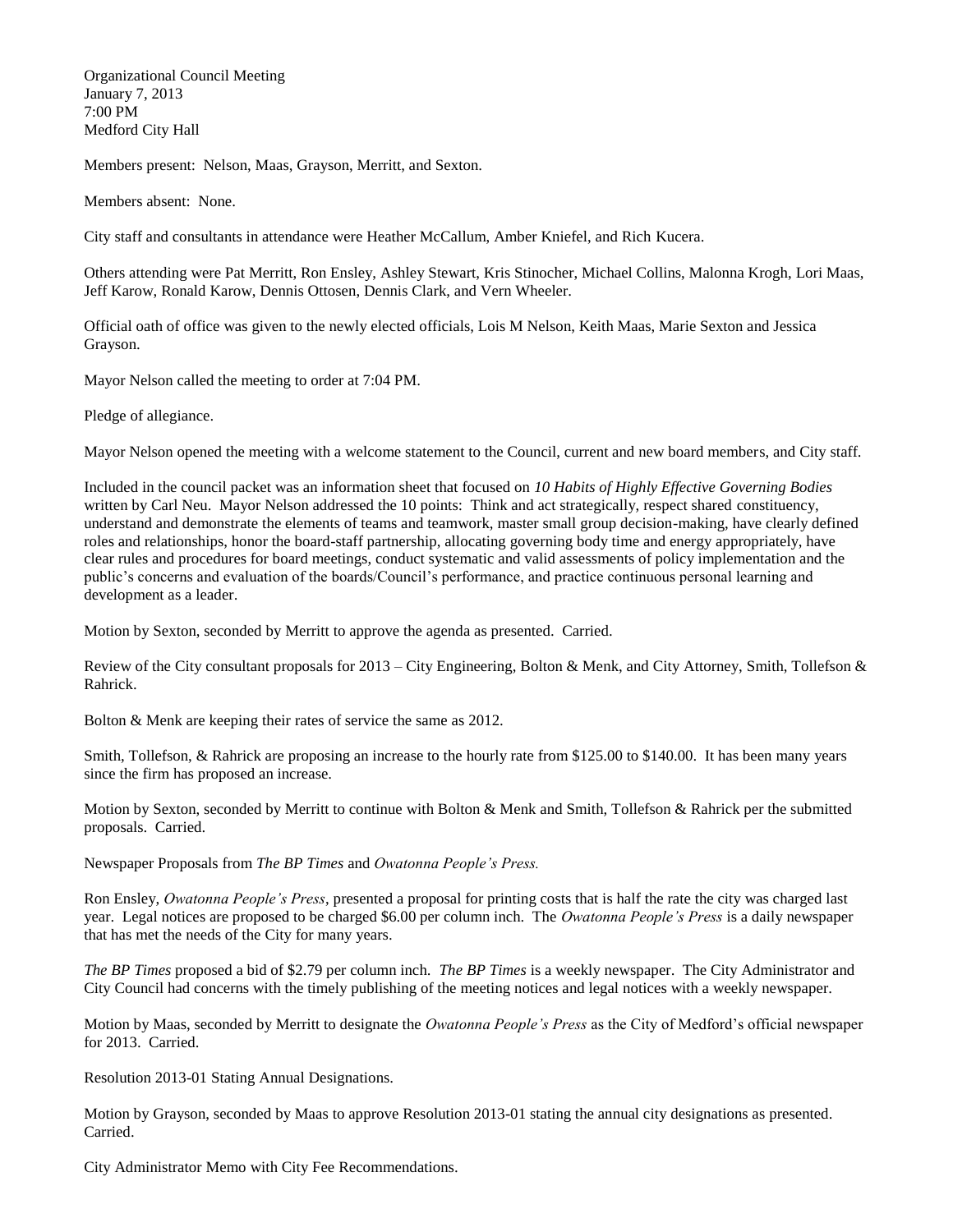Organizational Council Meeting January 7, 2013 7:00 PM Medford City Hall

Members present: Nelson, Maas, Grayson, Merritt, and Sexton.

Members absent: None.

City staff and consultants in attendance were Heather McCallum, Amber Kniefel, and Rich Kucera.

Others attending were Pat Merritt, Ron Ensley, Ashley Stewart, Kris Stinocher, Michael Collins, Malonna Krogh, Lori Maas, Jeff Karow, Ronald Karow, Dennis Ottosen, Dennis Clark, and Vern Wheeler.

Official oath of office was given to the newly elected officials, Lois M Nelson, Keith Maas, Marie Sexton and Jessica Grayson.

Mayor Nelson called the meeting to order at 7:04 PM.

Pledge of allegiance.

Mayor Nelson opened the meeting with a welcome statement to the Council, current and new board members, and City staff.

Included in the council packet was an information sheet that focused on *10 Habits of Highly Effective Governing Bodies* written by Carl Neu. Mayor Nelson addressed the 10 points: Think and act strategically, respect shared constituency, understand and demonstrate the elements of teams and teamwork, master small group decision-making, have clearly defined roles and relationships, honor the board-staff partnership, allocating governing body time and energy appropriately, have clear rules and procedures for board meetings, conduct systematic and valid assessments of policy implementation and the public's concerns and evaluation of the boards/Council's performance, and practice continuous personal learning and development as a leader.

Motion by Sexton, seconded by Merritt to approve the agenda as presented. Carried.

Review of the City consultant proposals for 2013 – City Engineering, Bolton & Menk, and City Attorney, Smith, Tollefson & Rahrick.

Bolton & Menk are keeping their rates of service the same as 2012.

Smith, Tollefson, & Rahrick are proposing an increase to the hourly rate from \$125.00 to \$140.00. It has been many years since the firm has proposed an increase.

Motion by Sexton, seconded by Merritt to continue with Bolton & Menk and Smith, Tollefson & Rahrick per the submitted proposals. Carried.

Newspaper Proposals from *The BP Times* and *Owatonna People's Press.*

Ron Ensley, *Owatonna People's Press*, presented a proposal for printing costs that is half the rate the city was charged last year. Legal notices are proposed to be charged \$6.00 per column inch. The *Owatonna People's Press* is a daily newspaper that has met the needs of the City for many years.

*The BP Times* proposed a bid of \$2.79 per column inch. *The BP Times* is a weekly newspaper. The City Administrator and City Council had concerns with the timely publishing of the meeting notices and legal notices with a weekly newspaper.

Motion by Maas, seconded by Merritt to designate the *Owatonna People's Press* as the City of Medford's official newspaper for 2013. Carried.

Resolution 2013-01 Stating Annual Designations.

Motion by Grayson, seconded by Maas to approve Resolution 2013-01 stating the annual city designations as presented. Carried.

City Administrator Memo with City Fee Recommendations.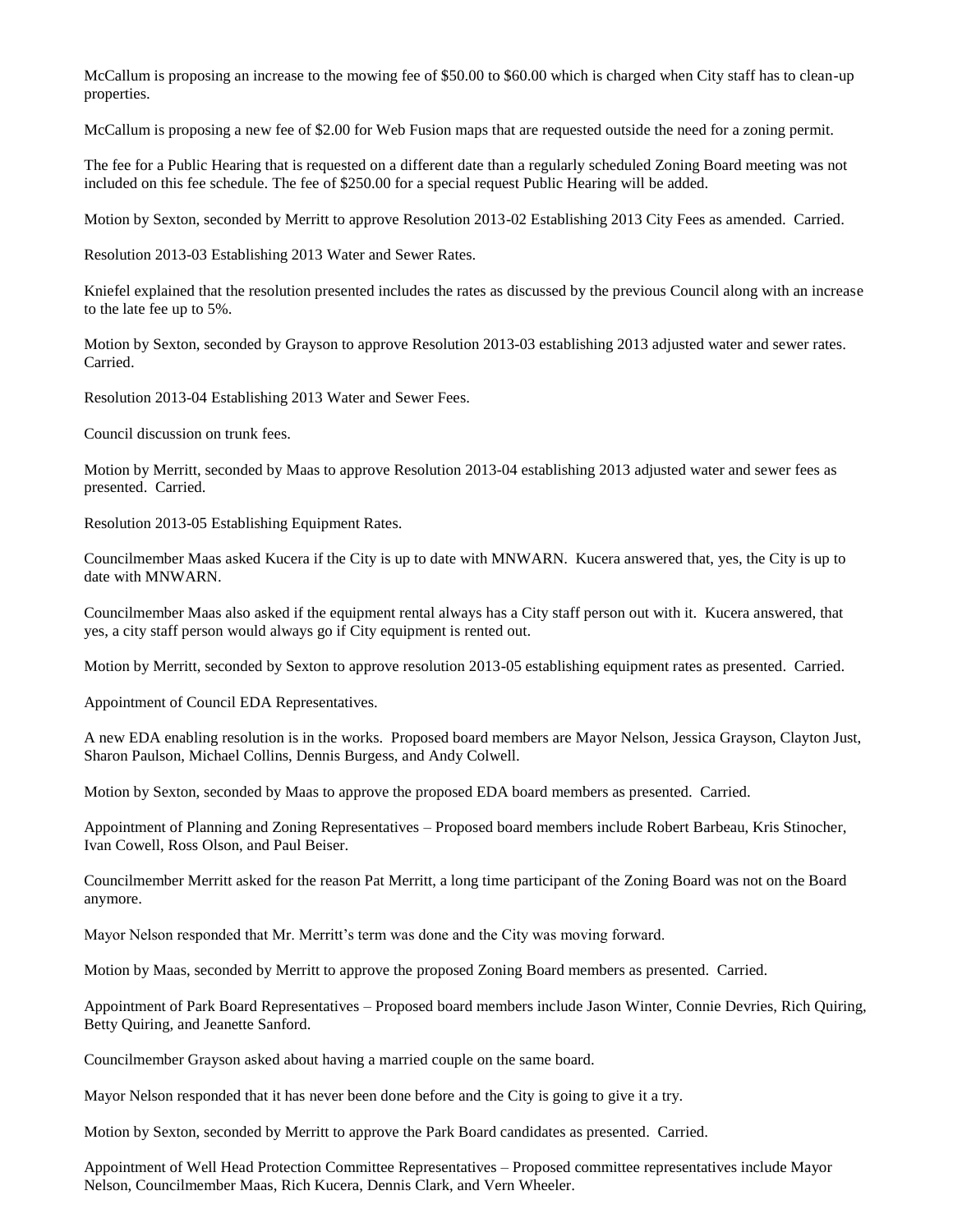McCallum is proposing an increase to the mowing fee of \$50.00 to \$60.00 which is charged when City staff has to clean-up properties.

McCallum is proposing a new fee of \$2.00 for Web Fusion maps that are requested outside the need for a zoning permit.

The fee for a Public Hearing that is requested on a different date than a regularly scheduled Zoning Board meeting was not included on this fee schedule. The fee of \$250.00 for a special request Public Hearing will be added.

Motion by Sexton, seconded by Merritt to approve Resolution 2013-02 Establishing 2013 City Fees as amended. Carried.

Resolution 2013-03 Establishing 2013 Water and Sewer Rates.

Kniefel explained that the resolution presented includes the rates as discussed by the previous Council along with an increase to the late fee up to 5%.

Motion by Sexton, seconded by Grayson to approve Resolution 2013-03 establishing 2013 adjusted water and sewer rates. Carried.

Resolution 2013-04 Establishing 2013 Water and Sewer Fees.

Council discussion on trunk fees.

Motion by Merritt, seconded by Maas to approve Resolution 2013-04 establishing 2013 adjusted water and sewer fees as presented. Carried.

Resolution 2013-05 Establishing Equipment Rates.

Councilmember Maas asked Kucera if the City is up to date with MNWARN. Kucera answered that, yes, the City is up to date with MNWARN.

Councilmember Maas also asked if the equipment rental always has a City staff person out with it. Kucera answered, that yes, a city staff person would always go if City equipment is rented out.

Motion by Merritt, seconded by Sexton to approve resolution 2013-05 establishing equipment rates as presented. Carried.

Appointment of Council EDA Representatives.

A new EDA enabling resolution is in the works. Proposed board members are Mayor Nelson, Jessica Grayson, Clayton Just, Sharon Paulson, Michael Collins, Dennis Burgess, and Andy Colwell.

Motion by Sexton, seconded by Maas to approve the proposed EDA board members as presented. Carried.

Appointment of Planning and Zoning Representatives – Proposed board members include Robert Barbeau, Kris Stinocher, Ivan Cowell, Ross Olson, and Paul Beiser.

Councilmember Merritt asked for the reason Pat Merritt, a long time participant of the Zoning Board was not on the Board anymore.

Mayor Nelson responded that Mr. Merritt's term was done and the City was moving forward.

Motion by Maas, seconded by Merritt to approve the proposed Zoning Board members as presented. Carried.

Appointment of Park Board Representatives – Proposed board members include Jason Winter, Connie Devries, Rich Quiring, Betty Quiring, and Jeanette Sanford.

Councilmember Grayson asked about having a married couple on the same board.

Mayor Nelson responded that it has never been done before and the City is going to give it a try.

Motion by Sexton, seconded by Merritt to approve the Park Board candidates as presented. Carried.

Appointment of Well Head Protection Committee Representatives – Proposed committee representatives include Mayor Nelson, Councilmember Maas, Rich Kucera, Dennis Clark, and Vern Wheeler.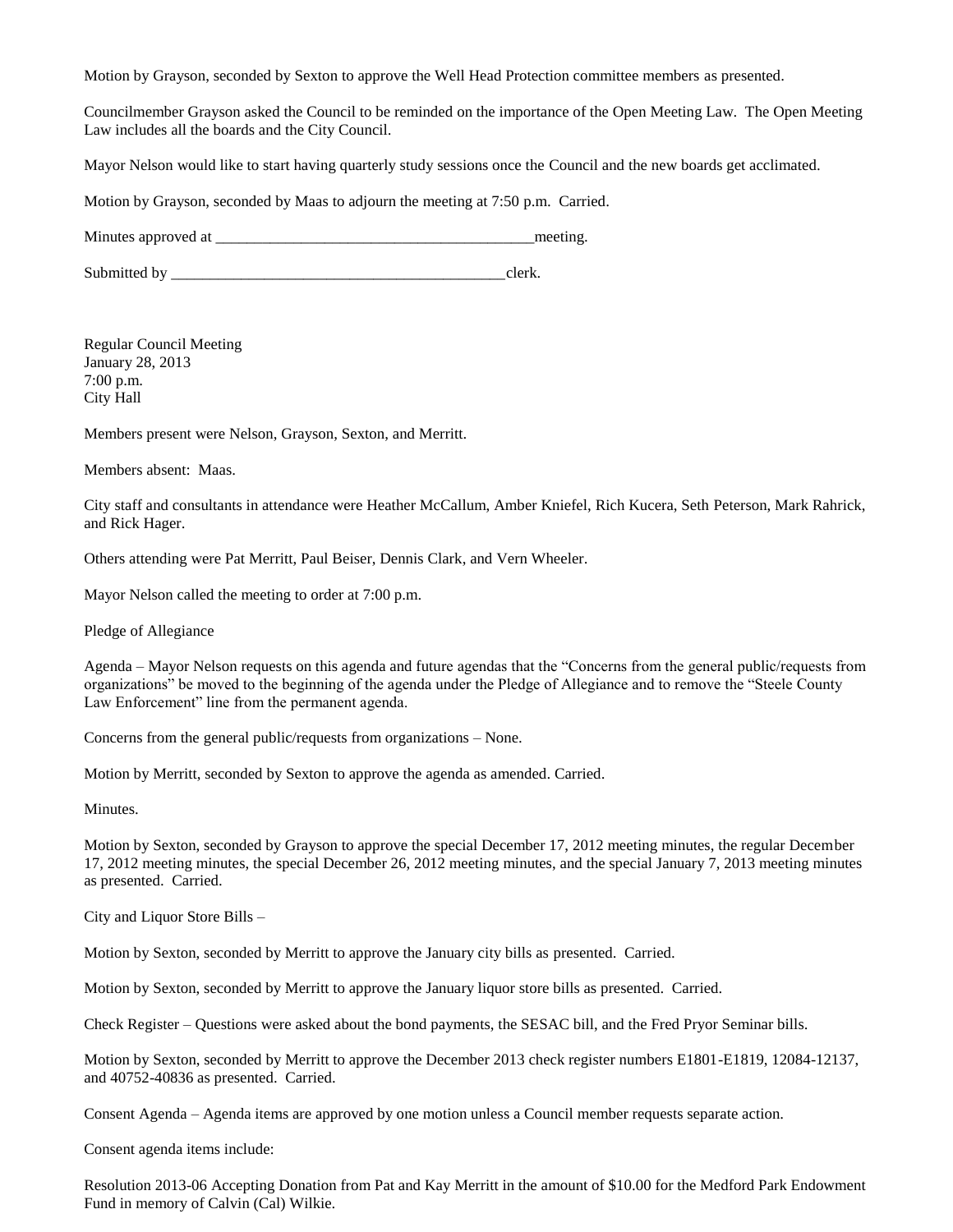Motion by Grayson, seconded by Sexton to approve the Well Head Protection committee members as presented.

Councilmember Grayson asked the Council to be reminded on the importance of the Open Meeting Law. The Open Meeting Law includes all the boards and the City Council.

Mayor Nelson would like to start having quarterly study sessions once the Council and the new boards get acclimated.

Motion by Grayson, seconded by Maas to adjourn the meeting at 7:50 p.m. Carried.

Minutes approved at \_\_\_\_\_\_\_\_\_\_\_\_\_\_\_\_\_\_\_\_\_\_\_\_\_\_\_\_\_\_\_\_\_\_\_\_\_\_\_\_\_meeting.

Submitted by \_\_\_\_\_\_\_\_\_\_\_\_\_\_\_\_\_\_\_\_\_\_\_\_\_\_\_\_\_\_\_\_\_\_\_\_\_\_\_\_\_\_\_clerk.

Regular Council Meeting January 28, 2013 7:00 p.m. City Hall

Members present were Nelson, Grayson, Sexton, and Merritt.

Members absent: Maas.

City staff and consultants in attendance were Heather McCallum, Amber Kniefel, Rich Kucera, Seth Peterson, Mark Rahrick, and Rick Hager.

Others attending were Pat Merritt, Paul Beiser, Dennis Clark, and Vern Wheeler.

Mayor Nelson called the meeting to order at 7:00 p.m.

Pledge of Allegiance

Agenda – Mayor Nelson requests on this agenda and future agendas that the "Concerns from the general public/requests from organizations" be moved to the beginning of the agenda under the Pledge of Allegiance and to remove the "Steele County Law Enforcement" line from the permanent agenda.

Concerns from the general public/requests from organizations – None.

Motion by Merritt, seconded by Sexton to approve the agenda as amended. Carried.

Minutes.

Motion by Sexton, seconded by Grayson to approve the special December 17, 2012 meeting minutes, the regular December 17, 2012 meeting minutes, the special December 26, 2012 meeting minutes, and the special January 7, 2013 meeting minutes as presented. Carried.

City and Liquor Store Bills –

Motion by Sexton, seconded by Merritt to approve the January city bills as presented. Carried.

Motion by Sexton, seconded by Merritt to approve the January liquor store bills as presented. Carried.

Check Register – Questions were asked about the bond payments, the SESAC bill, and the Fred Pryor Seminar bills.

Motion by Sexton, seconded by Merritt to approve the December 2013 check register numbers E1801-E1819, 12084-12137, and 40752-40836 as presented. Carried.

Consent Agenda – Agenda items are approved by one motion unless a Council member requests separate action.

Consent agenda items include:

Resolution 2013-06 Accepting Donation from Pat and Kay Merritt in the amount of \$10.00 for the Medford Park Endowment Fund in memory of Calvin (Cal) Wilkie.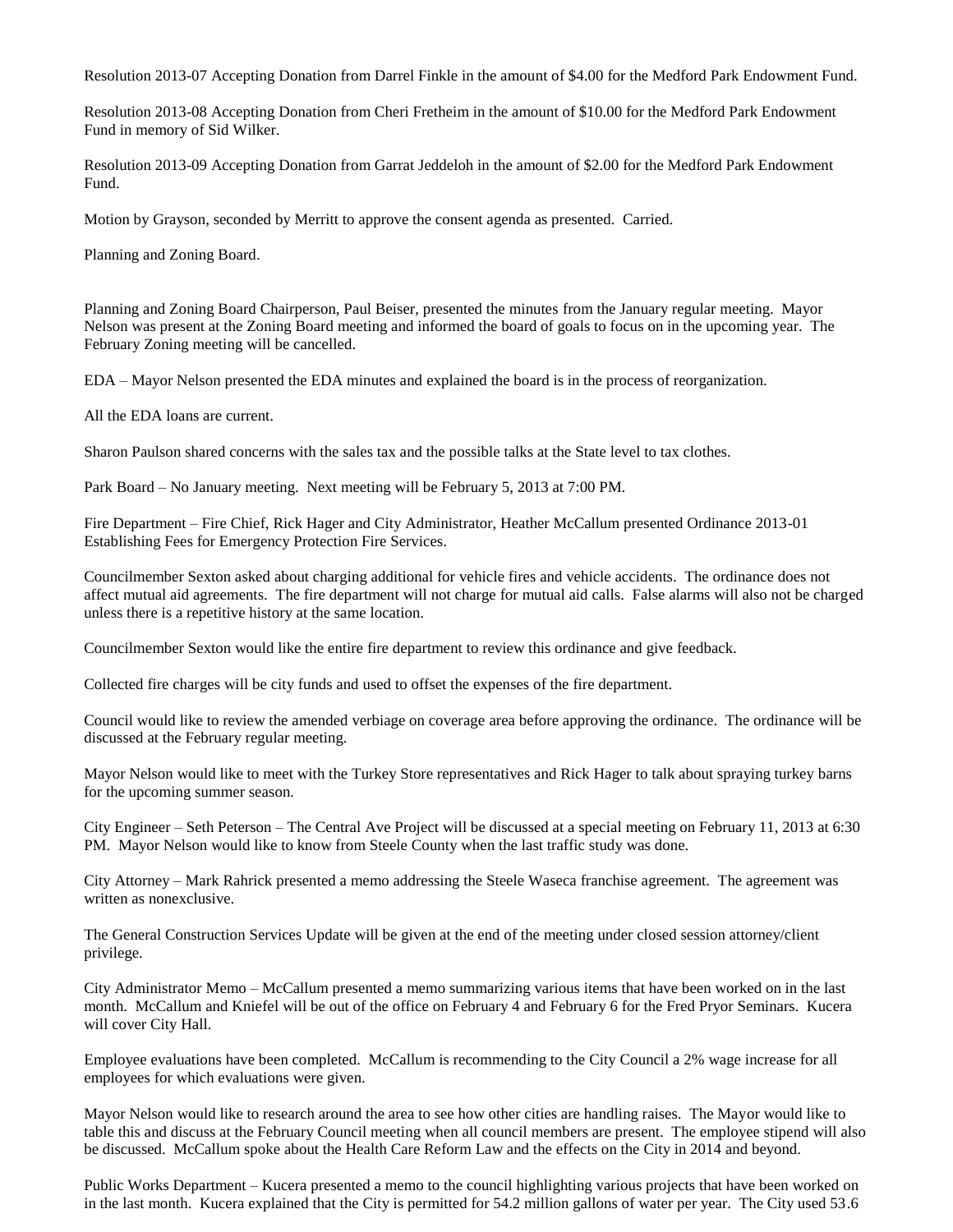Resolution 2013-07 Accepting Donation from Darrel Finkle in the amount of \$4.00 for the Medford Park Endowment Fund.

Resolution 2013-08 Accepting Donation from Cheri Fretheim in the amount of \$10.00 for the Medford Park Endowment Fund in memory of Sid Wilker.

Resolution 2013-09 Accepting Donation from Garrat Jeddeloh in the amount of \$2.00 for the Medford Park Endowment Fund.

Motion by Grayson, seconded by Merritt to approve the consent agenda as presented. Carried.

Planning and Zoning Board.

Planning and Zoning Board Chairperson, Paul Beiser, presented the minutes from the January regular meeting. Mayor Nelson was present at the Zoning Board meeting and informed the board of goals to focus on in the upcoming year. The February Zoning meeting will be cancelled.

EDA – Mayor Nelson presented the EDA minutes and explained the board is in the process of reorganization.

All the EDA loans are current.

Sharon Paulson shared concerns with the sales tax and the possible talks at the State level to tax clothes.

Park Board – No January meeting. Next meeting will be February 5, 2013 at 7:00 PM.

Fire Department – Fire Chief, Rick Hager and City Administrator, Heather McCallum presented Ordinance 2013-01 Establishing Fees for Emergency Protection Fire Services.

Councilmember Sexton asked about charging additional for vehicle fires and vehicle accidents. The ordinance does not affect mutual aid agreements. The fire department will not charge for mutual aid calls. False alarms will also not be charged unless there is a repetitive history at the same location.

Councilmember Sexton would like the entire fire department to review this ordinance and give feedback.

Collected fire charges will be city funds and used to offset the expenses of the fire department.

Council would like to review the amended verbiage on coverage area before approving the ordinance. The ordinance will be discussed at the February regular meeting.

Mayor Nelson would like to meet with the Turkey Store representatives and Rick Hager to talk about spraying turkey barns for the upcoming summer season.

City Engineer – Seth Peterson – The Central Ave Project will be discussed at a special meeting on February 11, 2013 at 6:30 PM. Mayor Nelson would like to know from Steele County when the last traffic study was done.

City Attorney – Mark Rahrick presented a memo addressing the Steele Waseca franchise agreement. The agreement was written as nonexclusive.

The General Construction Services Update will be given at the end of the meeting under closed session attorney/client privilege.

City Administrator Memo – McCallum presented a memo summarizing various items that have been worked on in the last month. McCallum and Kniefel will be out of the office on February 4 and February 6 for the Fred Pryor Seminars. Kucera will cover City Hall.

Employee evaluations have been completed. McCallum is recommending to the City Council a 2% wage increase for all employees for which evaluations were given.

Mayor Nelson would like to research around the area to see how other cities are handling raises. The Mayor would like to table this and discuss at the February Council meeting when all council members are present. The employee stipend will also be discussed. McCallum spoke about the Health Care Reform Law and the effects on the City in 2014 and beyond.

Public Works Department – Kucera presented a memo to the council highlighting various projects that have been worked on in the last month. Kucera explained that the City is permitted for 54.2 million gallons of water per year. The City used 53.6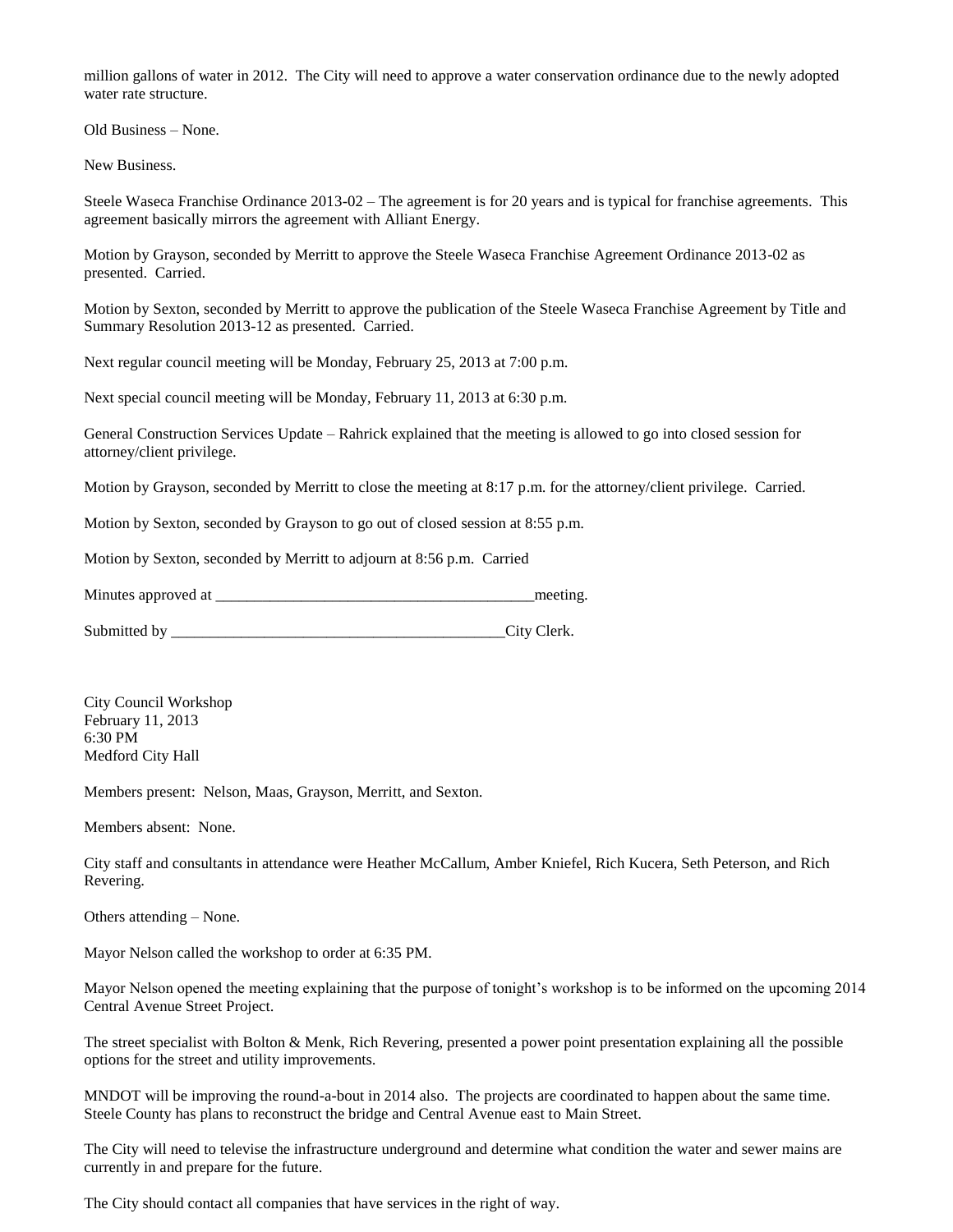million gallons of water in 2012. The City will need to approve a water conservation ordinance due to the newly adopted water rate structure.

Old Business – None.

New Business.

Steele Waseca Franchise Ordinance 2013-02 – The agreement is for 20 years and is typical for franchise agreements. This agreement basically mirrors the agreement with Alliant Energy.

Motion by Grayson, seconded by Merritt to approve the Steele Waseca Franchise Agreement Ordinance 2013-02 as presented. Carried.

Motion by Sexton, seconded by Merritt to approve the publication of the Steele Waseca Franchise Agreement by Title and Summary Resolution 2013-12 as presented. Carried.

Next regular council meeting will be Monday, February 25, 2013 at 7:00 p.m.

Next special council meeting will be Monday, February 11, 2013 at 6:30 p.m.

General Construction Services Update – Rahrick explained that the meeting is allowed to go into closed session for attorney/client privilege.

Motion by Grayson, seconded by Merritt to close the meeting at 8:17 p.m. for the attorney/client privilege. Carried.

Motion by Sexton, seconded by Grayson to go out of closed session at 8:55 p.m.

Motion by Sexton, seconded by Merritt to adjourn at 8:56 p.m. Carried

Minutes approved at  $\blacksquare$ 

Submitted by \_\_\_\_\_\_\_\_\_\_\_\_\_\_\_\_\_\_\_\_\_\_\_\_\_\_\_\_\_\_\_\_\_\_\_\_\_\_\_\_\_\_\_City Clerk.

City Council Workshop February 11, 2013 6:30 PM Medford City Hall

Members present: Nelson, Maas, Grayson, Merritt, and Sexton.

Members absent: None.

City staff and consultants in attendance were Heather McCallum, Amber Kniefel, Rich Kucera, Seth Peterson, and Rich Revering.

Others attending – None.

Mayor Nelson called the workshop to order at 6:35 PM.

Mayor Nelson opened the meeting explaining that the purpose of tonight's workshop is to be informed on the upcoming 2014 Central Avenue Street Project.

The street specialist with Bolton & Menk, Rich Revering, presented a power point presentation explaining all the possible options for the street and utility improvements.

MNDOT will be improving the round-a-bout in 2014 also. The projects are coordinated to happen about the same time. Steele County has plans to reconstruct the bridge and Central Avenue east to Main Street.

The City will need to televise the infrastructure underground and determine what condition the water and sewer mains are currently in and prepare for the future.

The City should contact all companies that have services in the right of way.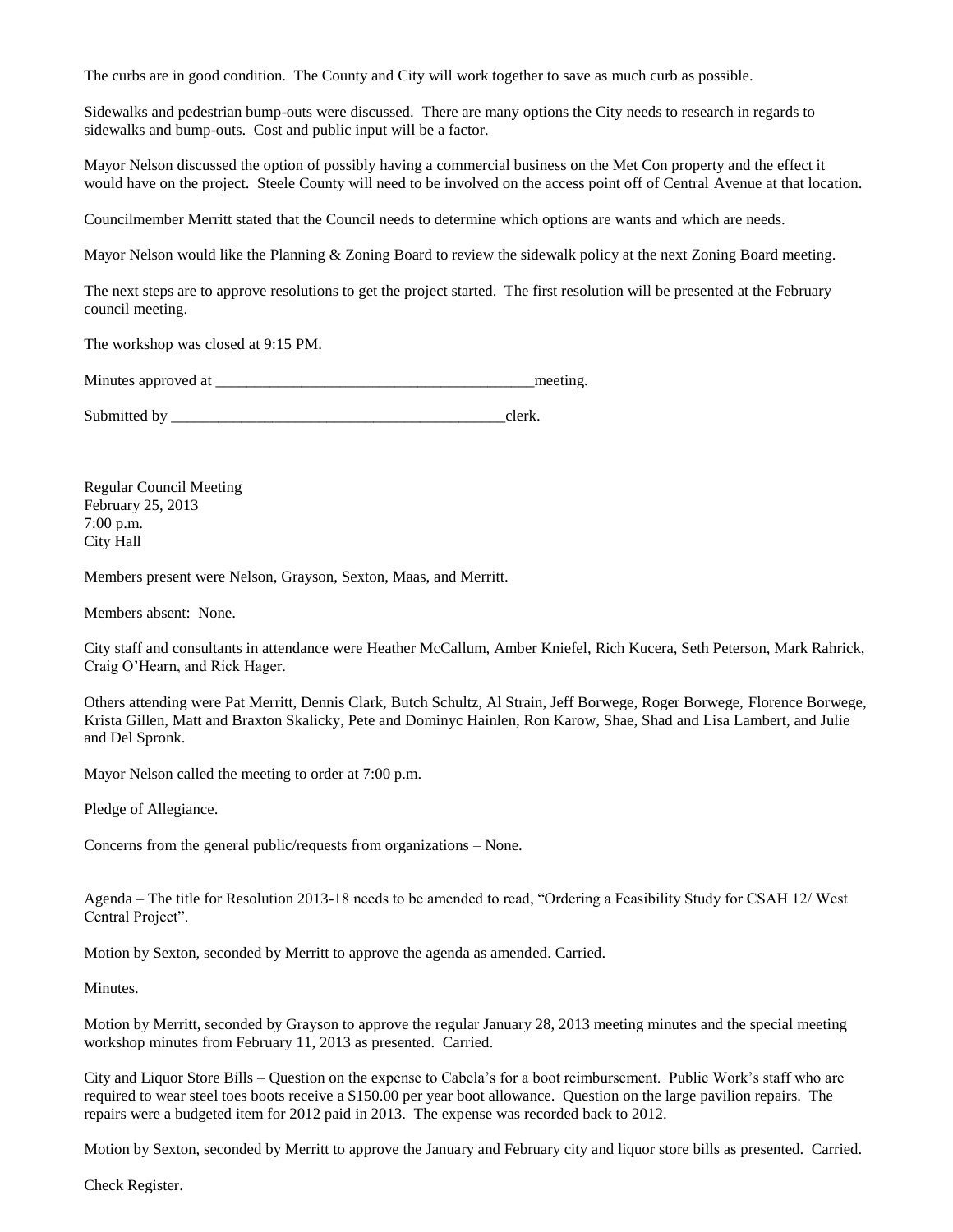The curbs are in good condition. The County and City will work together to save as much curb as possible.

Sidewalks and pedestrian bump-outs were discussed. There are many options the City needs to research in regards to sidewalks and bump-outs. Cost and public input will be a factor.

Mayor Nelson discussed the option of possibly having a commercial business on the Met Con property and the effect it would have on the project. Steele County will need to be involved on the access point off of Central Avenue at that location.

Councilmember Merritt stated that the Council needs to determine which options are wants and which are needs.

Mayor Nelson would like the Planning & Zoning Board to review the sidewalk policy at the next Zoning Board meeting.

The next steps are to approve resolutions to get the project started. The first resolution will be presented at the February council meeting.

The workshop was closed at 9:15 PM.

Minutes approved at  $\Box$ 

Submitted by \_\_\_\_\_\_\_\_\_\_\_\_\_\_\_\_\_\_\_\_\_\_\_\_\_\_\_\_\_\_\_\_\_\_\_\_\_\_\_\_\_\_\_clerk.

Regular Council Meeting February 25, 2013 7:00 p.m. City Hall

Members present were Nelson, Grayson, Sexton, Maas, and Merritt.

Members absent: None.

City staff and consultants in attendance were Heather McCallum, Amber Kniefel, Rich Kucera, Seth Peterson, Mark Rahrick, Craig O'Hearn, and Rick Hager.

Others attending were Pat Merritt, Dennis Clark, Butch Schultz, Al Strain, Jeff Borwege, Roger Borwege, Florence Borwege, Krista Gillen, Matt and Braxton Skalicky, Pete and Dominyc Hainlen, Ron Karow, Shae, Shad and Lisa Lambert, and Julie and Del Spronk.

Mayor Nelson called the meeting to order at 7:00 p.m.

Pledge of Allegiance.

Concerns from the general public/requests from organizations – None.

Agenda – The title for Resolution 2013-18 needs to be amended to read, "Ordering a Feasibility Study for CSAH 12/ West Central Project".

Motion by Sexton, seconded by Merritt to approve the agenda as amended. Carried.

Minutes.

Motion by Merritt, seconded by Grayson to approve the regular January 28, 2013 meeting minutes and the special meeting workshop minutes from February 11, 2013 as presented. Carried.

City and Liquor Store Bills – Question on the expense to Cabela's for a boot reimbursement. Public Work's staff who are required to wear steel toes boots receive a \$150.00 per year boot allowance. Question on the large pavilion repairs. The repairs were a budgeted item for 2012 paid in 2013. The expense was recorded back to 2012.

Motion by Sexton, seconded by Merritt to approve the January and February city and liquor store bills as presented. Carried.

Check Register.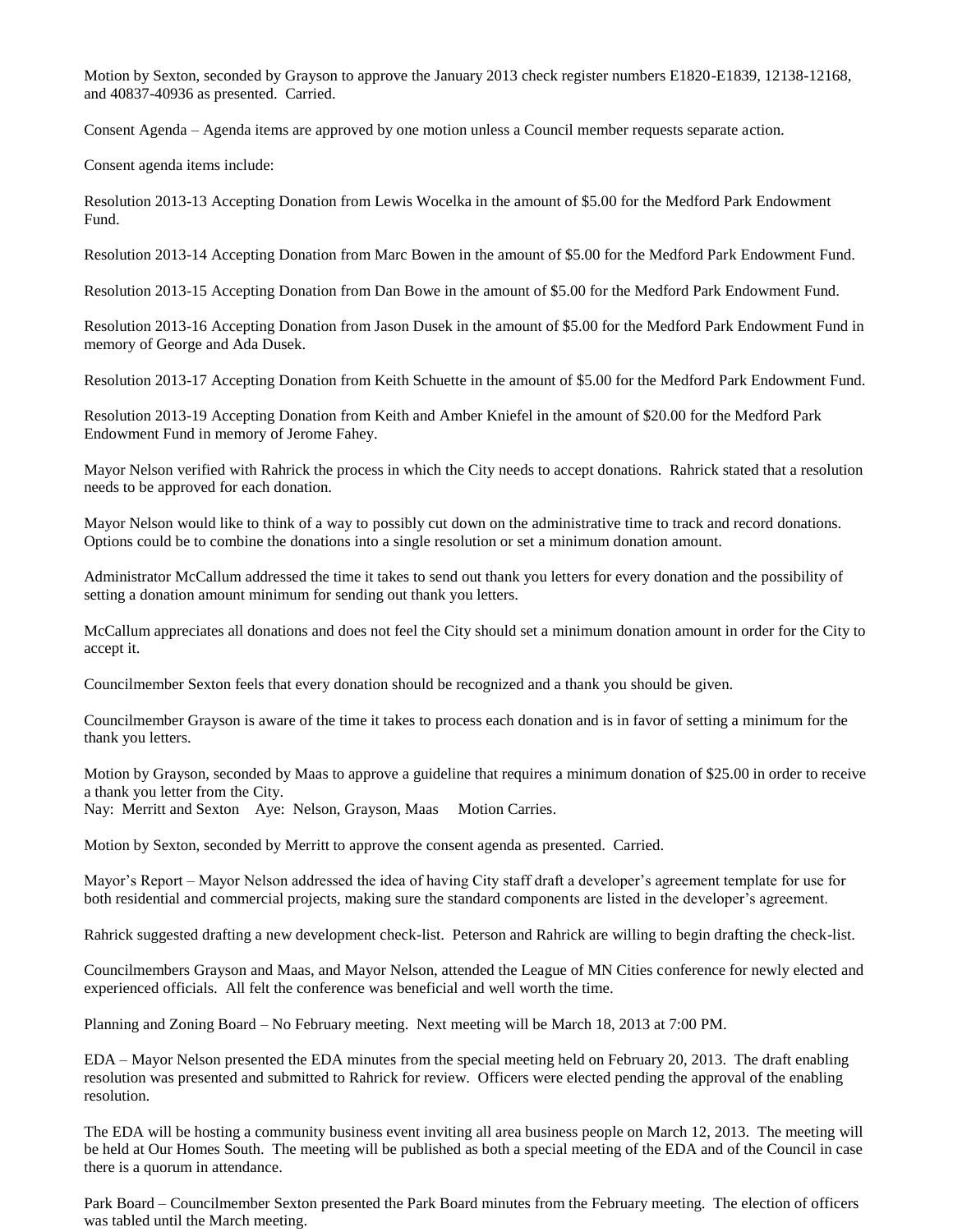Motion by Sexton, seconded by Grayson to approve the January 2013 check register numbers E1820-E1839, 12138-12168, and 40837-40936 as presented. Carried.

Consent Agenda – Agenda items are approved by one motion unless a Council member requests separate action.

Consent agenda items include:

Resolution 2013-13 Accepting Donation from Lewis Wocelka in the amount of \$5.00 for the Medford Park Endowment Fund.

Resolution 2013-14 Accepting Donation from Marc Bowen in the amount of \$5.00 for the Medford Park Endowment Fund.

Resolution 2013-15 Accepting Donation from Dan Bowe in the amount of \$5.00 for the Medford Park Endowment Fund.

Resolution 2013-16 Accepting Donation from Jason Dusek in the amount of \$5.00 for the Medford Park Endowment Fund in memory of George and Ada Dusek.

Resolution 2013-17 Accepting Donation from Keith Schuette in the amount of \$5.00 for the Medford Park Endowment Fund.

Resolution 2013-19 Accepting Donation from Keith and Amber Kniefel in the amount of \$20.00 for the Medford Park Endowment Fund in memory of Jerome Fahey.

Mayor Nelson verified with Rahrick the process in which the City needs to accept donations. Rahrick stated that a resolution needs to be approved for each donation.

Mayor Nelson would like to think of a way to possibly cut down on the administrative time to track and record donations. Options could be to combine the donations into a single resolution or set a minimum donation amount.

Administrator McCallum addressed the time it takes to send out thank you letters for every donation and the possibility of setting a donation amount minimum for sending out thank you letters.

McCallum appreciates all donations and does not feel the City should set a minimum donation amount in order for the City to accept it.

Councilmember Sexton feels that every donation should be recognized and a thank you should be given.

Councilmember Grayson is aware of the time it takes to process each donation and is in favor of setting a minimum for the thank you letters.

Motion by Grayson, seconded by Maas to approve a guideline that requires a minimum donation of \$25.00 in order to receive a thank you letter from the City. Nay: Merritt and Sexton Aye: Nelson, Grayson, Maas Motion Carries.

Motion by Sexton, seconded by Merritt to approve the consent agenda as presented. Carried.

Mayor's Report – Mayor Nelson addressed the idea of having City staff draft a developer's agreement template for use for both residential and commercial projects, making sure the standard components are listed in the developer's agreement.

Rahrick suggested drafting a new development check-list. Peterson and Rahrick are willing to begin drafting the check-list.

Councilmembers Grayson and Maas, and Mayor Nelson, attended the League of MN Cities conference for newly elected and experienced officials. All felt the conference was beneficial and well worth the time.

Planning and Zoning Board – No February meeting. Next meeting will be March 18, 2013 at 7:00 PM.

EDA – Mayor Nelson presented the EDA minutes from the special meeting held on February 20, 2013. The draft enabling resolution was presented and submitted to Rahrick for review. Officers were elected pending the approval of the enabling resolution.

The EDA will be hosting a community business event inviting all area business people on March 12, 2013. The meeting will be held at Our Homes South. The meeting will be published as both a special meeting of the EDA and of the Council in case there is a quorum in attendance.

Park Board – Councilmember Sexton presented the Park Board minutes from the February meeting. The election of officers was tabled until the March meeting.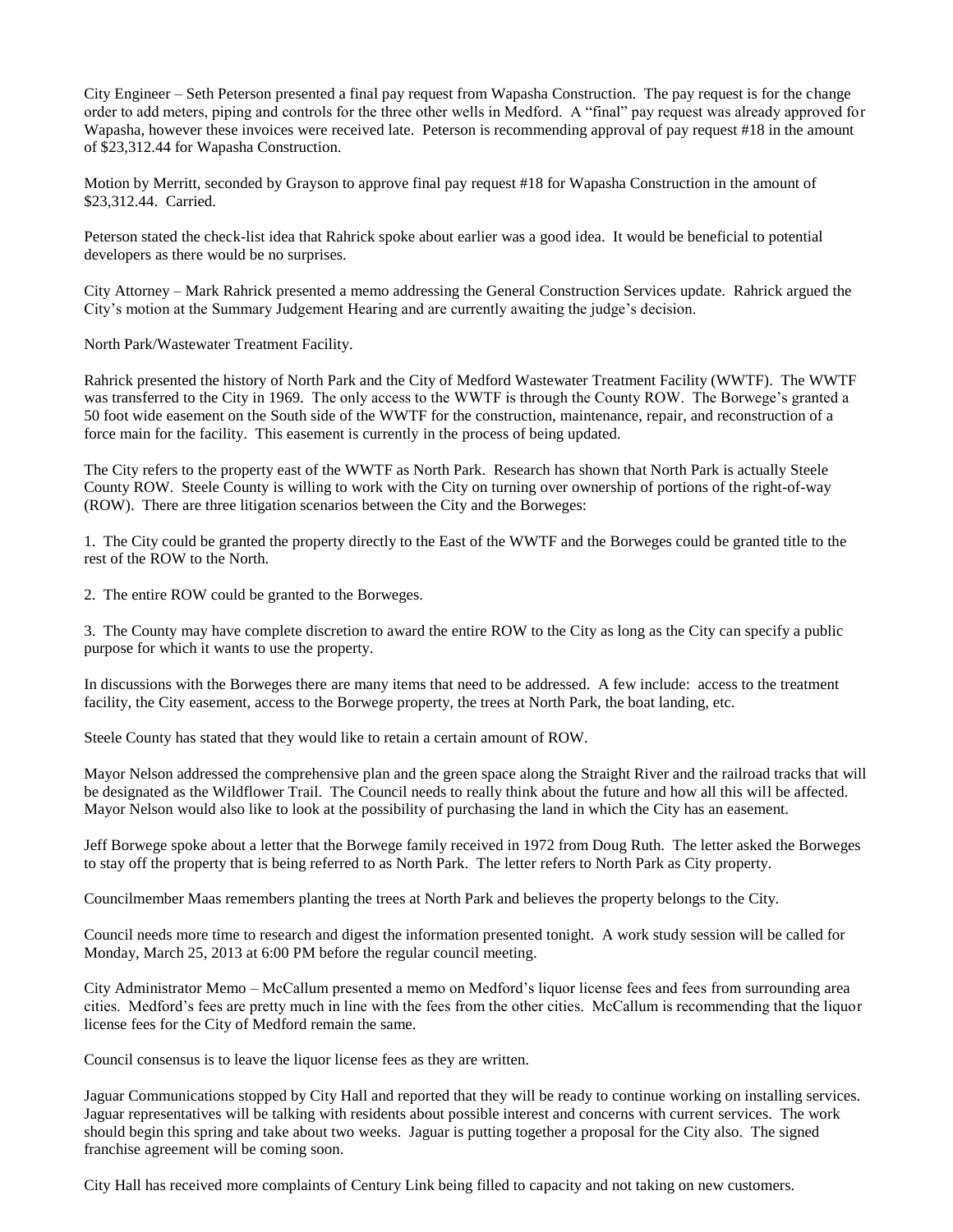City Engineer – Seth Peterson presented a final pay request from Wapasha Construction. The pay request is for the change order to add meters, piping and controls for the three other wells in Medford. A "final" pay request was already approved for Wapasha, however these invoices were received late. Peterson is recommending approval of pay request #18 in the amount of \$23,312.44 for Wapasha Construction.

Motion by Merritt, seconded by Grayson to approve final pay request #18 for Wapasha Construction in the amount of \$23,312.44. Carried.

Peterson stated the check-list idea that Rahrick spoke about earlier was a good idea. It would be beneficial to potential developers as there would be no surprises.

City Attorney – Mark Rahrick presented a memo addressing the General Construction Services update. Rahrick argued the City's motion at the Summary Judgement Hearing and are currently awaiting the judge's decision.

North Park/Wastewater Treatment Facility.

Rahrick presented the history of North Park and the City of Medford Wastewater Treatment Facility (WWTF). The WWTF was transferred to the City in 1969. The only access to the WWTF is through the County ROW. The Borwege's granted a 50 foot wide easement on the South side of the WWTF for the construction, maintenance, repair, and reconstruction of a force main for the facility. This easement is currently in the process of being updated.

The City refers to the property east of the WWTF as North Park. Research has shown that North Park is actually Steele County ROW. Steele County is willing to work with the City on turning over ownership of portions of the right-of-way (ROW). There are three litigation scenarios between the City and the Borweges:

1. The City could be granted the property directly to the East of the WWTF and the Borweges could be granted title to the rest of the ROW to the North.

2. The entire ROW could be granted to the Borweges.

3. The County may have complete discretion to award the entire ROW to the City as long as the City can specify a public purpose for which it wants to use the property.

In discussions with the Borweges there are many items that need to be addressed. A few include: access to the treatment facility, the City easement, access to the Borwege property, the trees at North Park, the boat landing, etc.

Steele County has stated that they would like to retain a certain amount of ROW.

Mayor Nelson addressed the comprehensive plan and the green space along the Straight River and the railroad tracks that will be designated as the Wildflower Trail. The Council needs to really think about the future and how all this will be affected. Mayor Nelson would also like to look at the possibility of purchasing the land in which the City has an easement.

Jeff Borwege spoke about a letter that the Borwege family received in 1972 from Doug Ruth. The letter asked the Borweges to stay off the property that is being referred to as North Park. The letter refers to North Park as City property.

Councilmember Maas remembers planting the trees at North Park and believes the property belongs to the City.

Council needs more time to research and digest the information presented tonight. A work study session will be called for Monday, March 25, 2013 at 6:00 PM before the regular council meeting.

City Administrator Memo – McCallum presented a memo on Medford's liquor license fees and fees from surrounding area cities. Medford's fees are pretty much in line with the fees from the other cities. McCallum is recommending that the liquor license fees for the City of Medford remain the same.

Council consensus is to leave the liquor license fees as they are written.

Jaguar Communications stopped by City Hall and reported that they will be ready to continue working on installing services. Jaguar representatives will be talking with residents about possible interest and concerns with current services. The work should begin this spring and take about two weeks. Jaguar is putting together a proposal for the City also. The signed franchise agreement will be coming soon.

City Hall has received more complaints of Century Link being filled to capacity and not taking on new customers.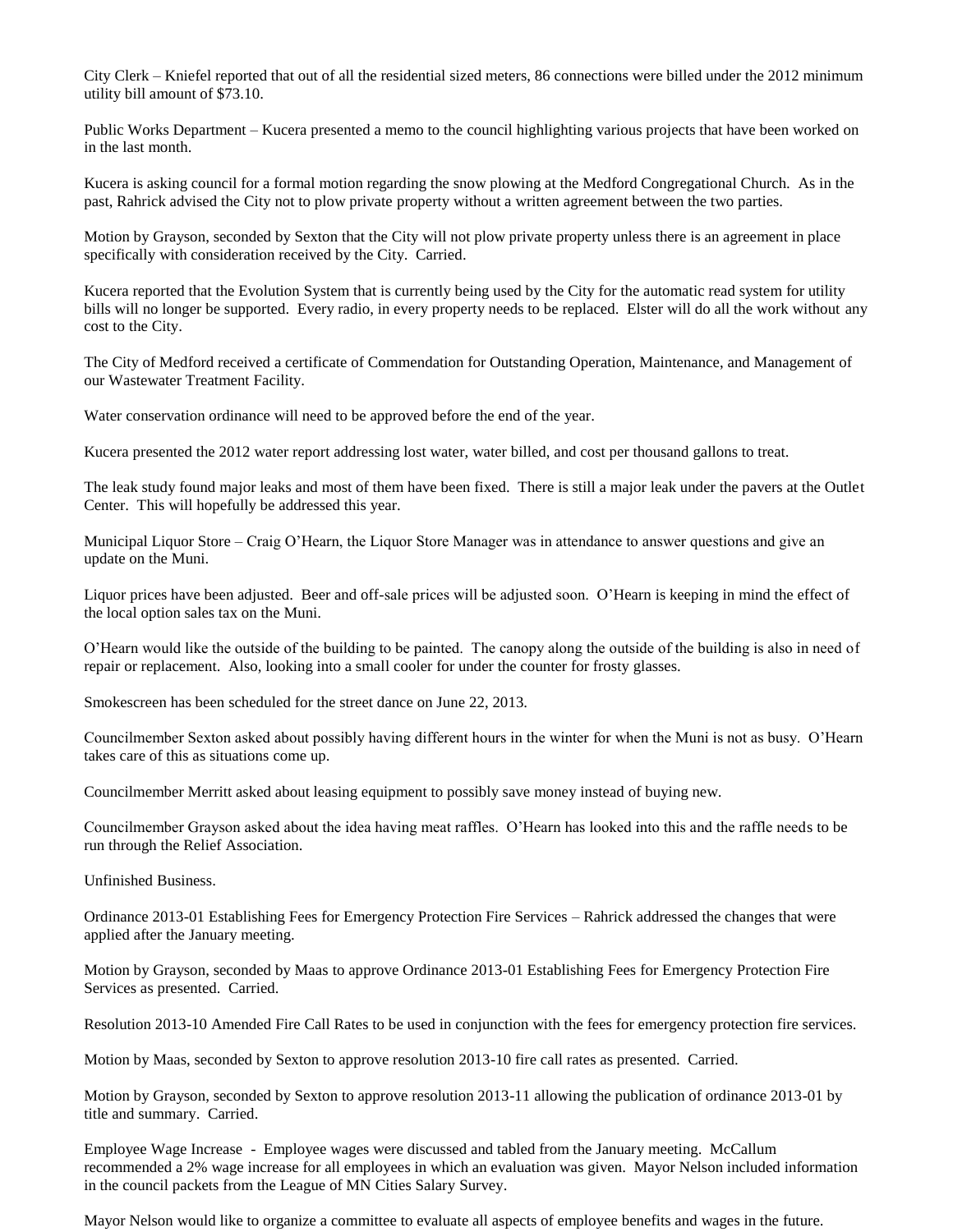City Clerk – Kniefel reported that out of all the residential sized meters, 86 connections were billed under the 2012 minimum utility bill amount of \$73.10.

Public Works Department – Kucera presented a memo to the council highlighting various projects that have been worked on in the last month.

Kucera is asking council for a formal motion regarding the snow plowing at the Medford Congregational Church. As in the past, Rahrick advised the City not to plow private property without a written agreement between the two parties.

Motion by Grayson, seconded by Sexton that the City will not plow private property unless there is an agreement in place specifically with consideration received by the City. Carried.

Kucera reported that the Evolution System that is currently being used by the City for the automatic read system for utility bills will no longer be supported. Every radio, in every property needs to be replaced. Elster will do all the work without any cost to the City.

The City of Medford received a certificate of Commendation for Outstanding Operation, Maintenance, and Management of our Wastewater Treatment Facility.

Water conservation ordinance will need to be approved before the end of the year.

Kucera presented the 2012 water report addressing lost water, water billed, and cost per thousand gallons to treat.

The leak study found major leaks and most of them have been fixed. There is still a major leak under the pavers at the Outlet Center. This will hopefully be addressed this year.

Municipal Liquor Store – Craig O'Hearn, the Liquor Store Manager was in attendance to answer questions and give an update on the Muni.

Liquor prices have been adjusted. Beer and off-sale prices will be adjusted soon. O'Hearn is keeping in mind the effect of the local option sales tax on the Muni.

O'Hearn would like the outside of the building to be painted. The canopy along the outside of the building is also in need of repair or replacement. Also, looking into a small cooler for under the counter for frosty glasses.

Smokescreen has been scheduled for the street dance on June 22, 2013.

Councilmember Sexton asked about possibly having different hours in the winter for when the Muni is not as busy. O'Hearn takes care of this as situations come up.

Councilmember Merritt asked about leasing equipment to possibly save money instead of buying new.

Councilmember Grayson asked about the idea having meat raffles. O'Hearn has looked into this and the raffle needs to be run through the Relief Association.

Unfinished Business.

Ordinance 2013-01 Establishing Fees for Emergency Protection Fire Services – Rahrick addressed the changes that were applied after the January meeting.

Motion by Grayson, seconded by Maas to approve Ordinance 2013-01 Establishing Fees for Emergency Protection Fire Services as presented. Carried.

Resolution 2013-10 Amended Fire Call Rates to be used in conjunction with the fees for emergency protection fire services.

Motion by Maas, seconded by Sexton to approve resolution 2013-10 fire call rates as presented. Carried.

Motion by Grayson, seconded by Sexton to approve resolution 2013-11 allowing the publication of ordinance 2013-01 by title and summary. Carried.

Employee Wage Increase - Employee wages were discussed and tabled from the January meeting. McCallum recommended a 2% wage increase for all employees in which an evaluation was given. Mayor Nelson included information in the council packets from the League of MN Cities Salary Survey.

Mayor Nelson would like to organize a committee to evaluate all aspects of employee benefits and wages in the future.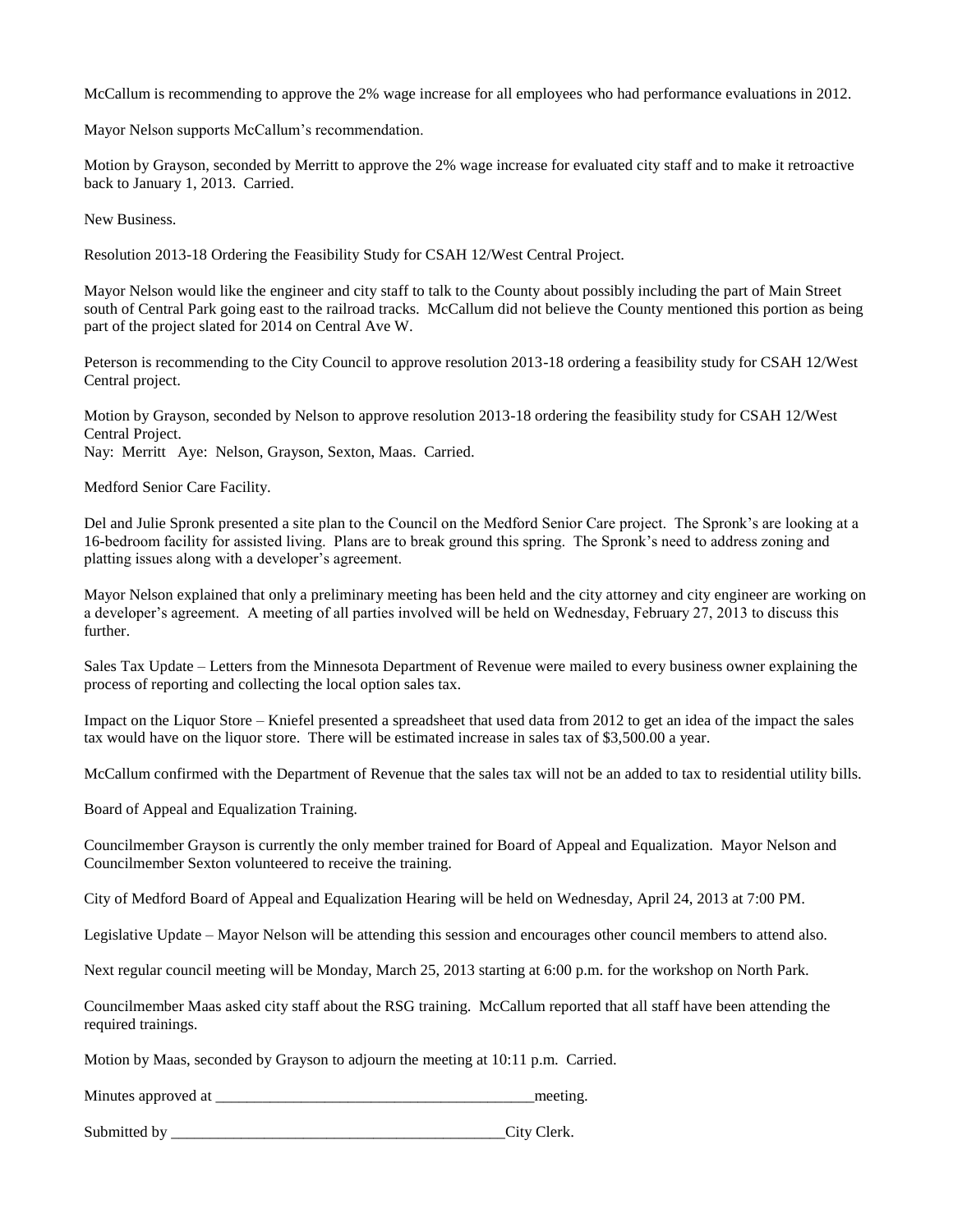McCallum is recommending to approve the 2% wage increase for all employees who had performance evaluations in 2012.

Mayor Nelson supports McCallum's recommendation.

Motion by Grayson, seconded by Merritt to approve the 2% wage increase for evaluated city staff and to make it retroactive back to January 1, 2013. Carried.

New Business.

Resolution 2013-18 Ordering the Feasibility Study for CSAH 12/West Central Project.

Mayor Nelson would like the engineer and city staff to talk to the County about possibly including the part of Main Street south of Central Park going east to the railroad tracks. McCallum did not believe the County mentioned this portion as being part of the project slated for 2014 on Central Ave W.

Peterson is recommending to the City Council to approve resolution 2013-18 ordering a feasibility study for CSAH 12/West Central project.

Motion by Grayson, seconded by Nelson to approve resolution 2013-18 ordering the feasibility study for CSAH 12/West Central Project.

Nay: Merritt Aye: Nelson, Grayson, Sexton, Maas. Carried.

Medford Senior Care Facility.

Del and Julie Spronk presented a site plan to the Council on the Medford Senior Care project. The Spronk's are looking at a 16-bedroom facility for assisted living. Plans are to break ground this spring. The Spronk's need to address zoning and platting issues along with a developer's agreement.

Mayor Nelson explained that only a preliminary meeting has been held and the city attorney and city engineer are working on a developer's agreement. A meeting of all parties involved will be held on Wednesday, February 27, 2013 to discuss this further.

Sales Tax Update – Letters from the Minnesota Department of Revenue were mailed to every business owner explaining the process of reporting and collecting the local option sales tax.

Impact on the Liquor Store – Kniefel presented a spreadsheet that used data from 2012 to get an idea of the impact the sales tax would have on the liquor store. There will be estimated increase in sales tax of \$3,500.00 a year.

McCallum confirmed with the Department of Revenue that the sales tax will not be an added to tax to residential utility bills.

Board of Appeal and Equalization Training.

Councilmember Grayson is currently the only member trained for Board of Appeal and Equalization. Mayor Nelson and Councilmember Sexton volunteered to receive the training.

City of Medford Board of Appeal and Equalization Hearing will be held on Wednesday, April 24, 2013 at 7:00 PM.

Legislative Update – Mayor Nelson will be attending this session and encourages other council members to attend also.

Next regular council meeting will be Monday, March 25, 2013 starting at 6:00 p.m. for the workshop on North Park.

Councilmember Maas asked city staff about the RSG training. McCallum reported that all staff have been attending the required trainings.

Motion by Maas, seconded by Grayson to adjourn the meeting at 10:11 p.m. Carried.

Minutes approved at \_\_\_\_\_\_\_\_\_\_\_\_\_\_\_\_\_\_\_\_\_\_\_\_\_\_\_\_\_\_\_\_\_\_\_\_\_\_\_\_\_meeting.

Submitted by  $\qquad \qquad \text{City} \text{Clerk.}$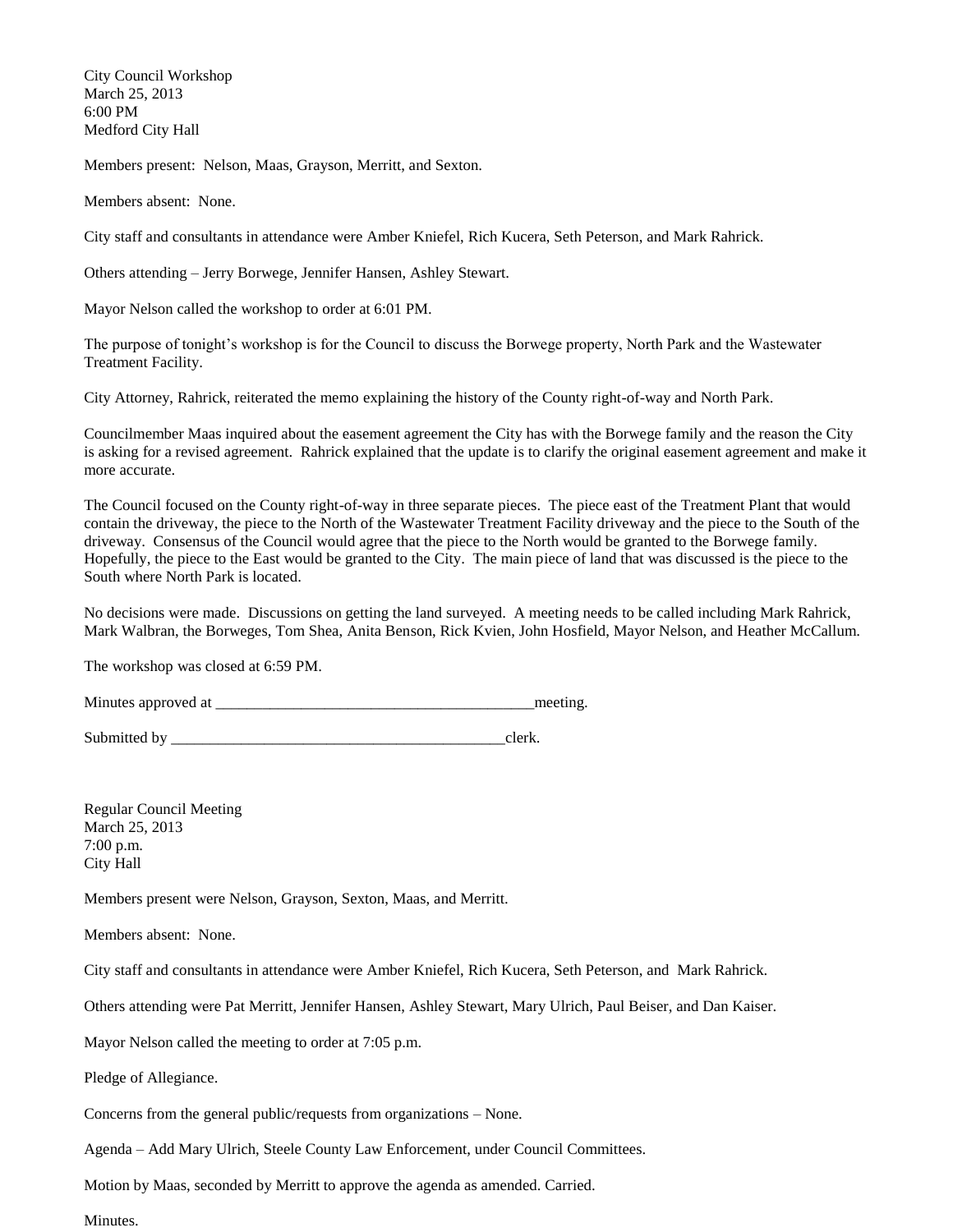City Council Workshop March 25, 2013 6:00 PM Medford City Hall

Members present: Nelson, Maas, Grayson, Merritt, and Sexton.

Members absent: None.

City staff and consultants in attendance were Amber Kniefel, Rich Kucera, Seth Peterson, and Mark Rahrick.

Others attending – Jerry Borwege, Jennifer Hansen, Ashley Stewart.

Mayor Nelson called the workshop to order at 6:01 PM.

The purpose of tonight's workshop is for the Council to discuss the Borwege property, North Park and the Wastewater Treatment Facility.

City Attorney, Rahrick, reiterated the memo explaining the history of the County right-of-way and North Park.

Councilmember Maas inquired about the easement agreement the City has with the Borwege family and the reason the City is asking for a revised agreement. Rahrick explained that the update is to clarify the original easement agreement and make it more accurate.

The Council focused on the County right-of-way in three separate pieces. The piece east of the Treatment Plant that would contain the driveway, the piece to the North of the Wastewater Treatment Facility driveway and the piece to the South of the driveway. Consensus of the Council would agree that the piece to the North would be granted to the Borwege family. Hopefully, the piece to the East would be granted to the City. The main piece of land that was discussed is the piece to the South where North Park is located.

No decisions were made. Discussions on getting the land surveyed. A meeting needs to be called including Mark Rahrick, Mark Walbran, the Borweges, Tom Shea, Anita Benson, Rick Kvien, John Hosfield, Mayor Nelson, and Heather McCallum.

The workshop was closed at 6:59 PM.

Minutes approved at \_\_\_\_\_\_\_\_\_\_\_\_\_\_\_\_\_\_\_\_\_\_\_\_\_\_\_\_\_\_\_\_\_\_\_\_\_\_\_\_\_meeting.

Submitted by \_\_\_\_\_\_\_\_\_\_\_\_\_\_\_\_\_\_\_\_\_\_\_\_\_\_\_\_\_\_\_\_\_\_\_\_\_\_\_\_\_\_\_clerk.

Regular Council Meeting March 25, 2013 7:00 p.m. City Hall

Members present were Nelson, Grayson, Sexton, Maas, and Merritt.

Members absent: None.

City staff and consultants in attendance were Amber Kniefel, Rich Kucera, Seth Peterson, and Mark Rahrick.

Others attending were Pat Merritt, Jennifer Hansen, Ashley Stewart, Mary Ulrich, Paul Beiser, and Dan Kaiser.

Mayor Nelson called the meeting to order at 7:05 p.m.

Pledge of Allegiance.

Concerns from the general public/requests from organizations – None.

Agenda – Add Mary Ulrich, Steele County Law Enforcement, under Council Committees.

Motion by Maas, seconded by Merritt to approve the agenda as amended. Carried.

Minutes.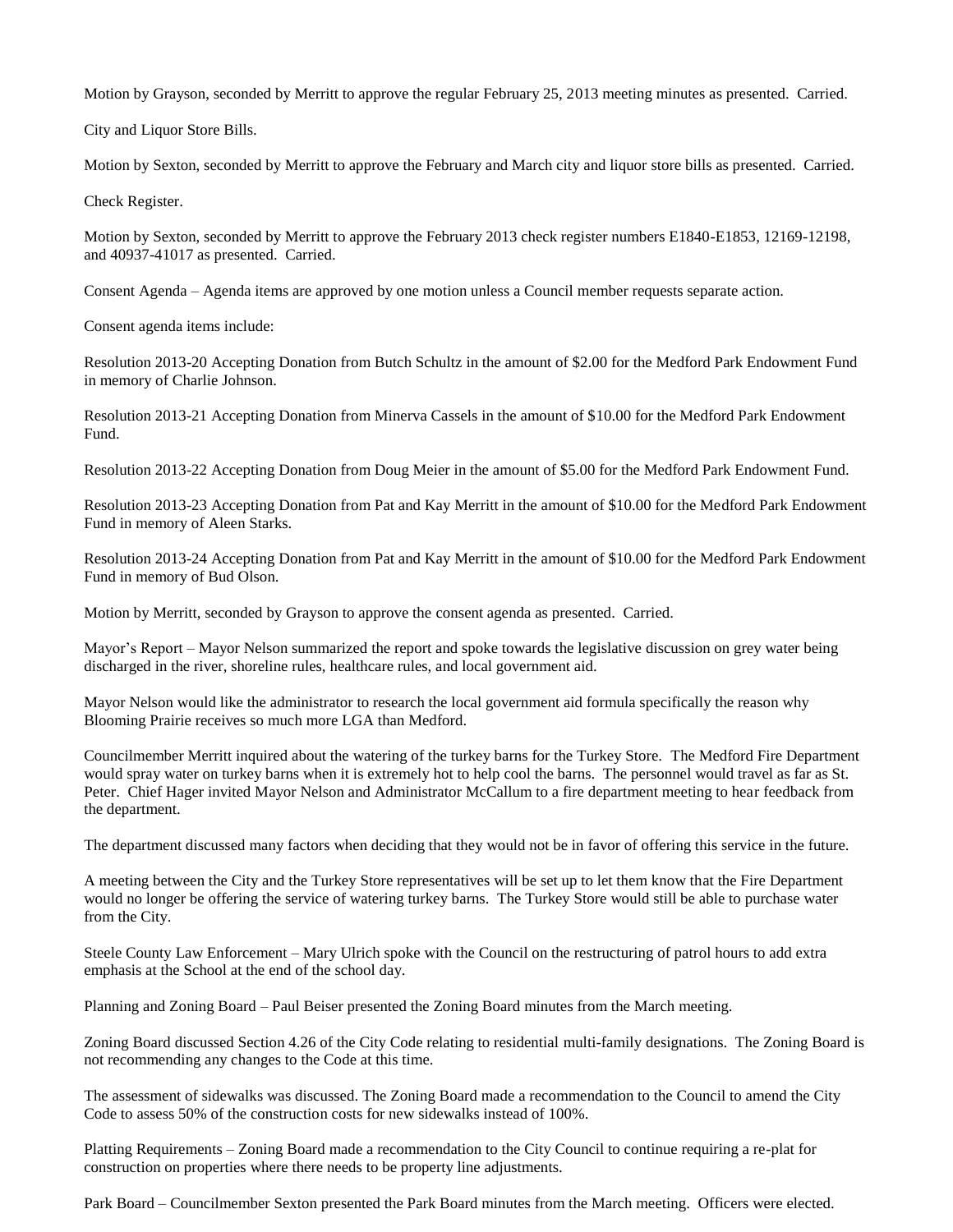Motion by Grayson, seconded by Merritt to approve the regular February 25, 2013 meeting minutes as presented. Carried.

City and Liquor Store Bills.

Motion by Sexton, seconded by Merritt to approve the February and March city and liquor store bills as presented. Carried.

Check Register.

Motion by Sexton, seconded by Merritt to approve the February 2013 check register numbers E1840-E1853, 12169-12198, and 40937-41017 as presented. Carried.

Consent Agenda – Agenda items are approved by one motion unless a Council member requests separate action.

Consent agenda items include:

Resolution 2013-20 Accepting Donation from Butch Schultz in the amount of \$2.00 for the Medford Park Endowment Fund in memory of Charlie Johnson.

Resolution 2013-21 Accepting Donation from Minerva Cassels in the amount of \$10.00 for the Medford Park Endowment Fund.

Resolution 2013-22 Accepting Donation from Doug Meier in the amount of \$5.00 for the Medford Park Endowment Fund.

Resolution 2013-23 Accepting Donation from Pat and Kay Merritt in the amount of \$10.00 for the Medford Park Endowment Fund in memory of Aleen Starks.

Resolution 2013-24 Accepting Donation from Pat and Kay Merritt in the amount of \$10.00 for the Medford Park Endowment Fund in memory of Bud Olson.

Motion by Merritt, seconded by Grayson to approve the consent agenda as presented. Carried.

Mayor's Report – Mayor Nelson summarized the report and spoke towards the legislative discussion on grey water being discharged in the river, shoreline rules, healthcare rules, and local government aid.

Mayor Nelson would like the administrator to research the local government aid formula specifically the reason why Blooming Prairie receives so much more LGA than Medford.

Councilmember Merritt inquired about the watering of the turkey barns for the Turkey Store. The Medford Fire Department would spray water on turkey barns when it is extremely hot to help cool the barns. The personnel would travel as far as St. Peter. Chief Hager invited Mayor Nelson and Administrator McCallum to a fire department meeting to hear feedback from the department.

The department discussed many factors when deciding that they would not be in favor of offering this service in the future.

A meeting between the City and the Turkey Store representatives will be set up to let them know that the Fire Department would no longer be offering the service of watering turkey barns. The Turkey Store would still be able to purchase water from the City.

Steele County Law Enforcement – Mary Ulrich spoke with the Council on the restructuring of patrol hours to add extra emphasis at the School at the end of the school day.

Planning and Zoning Board – Paul Beiser presented the Zoning Board minutes from the March meeting.

Zoning Board discussed Section 4.26 of the City Code relating to residential multi-family designations. The Zoning Board is not recommending any changes to the Code at this time.

The assessment of sidewalks was discussed. The Zoning Board made a recommendation to the Council to amend the City Code to assess 50% of the construction costs for new sidewalks instead of 100%.

Platting Requirements – Zoning Board made a recommendation to the City Council to continue requiring a re-plat for construction on properties where there needs to be property line adjustments.

Park Board – Councilmember Sexton presented the Park Board minutes from the March meeting. Officers were elected.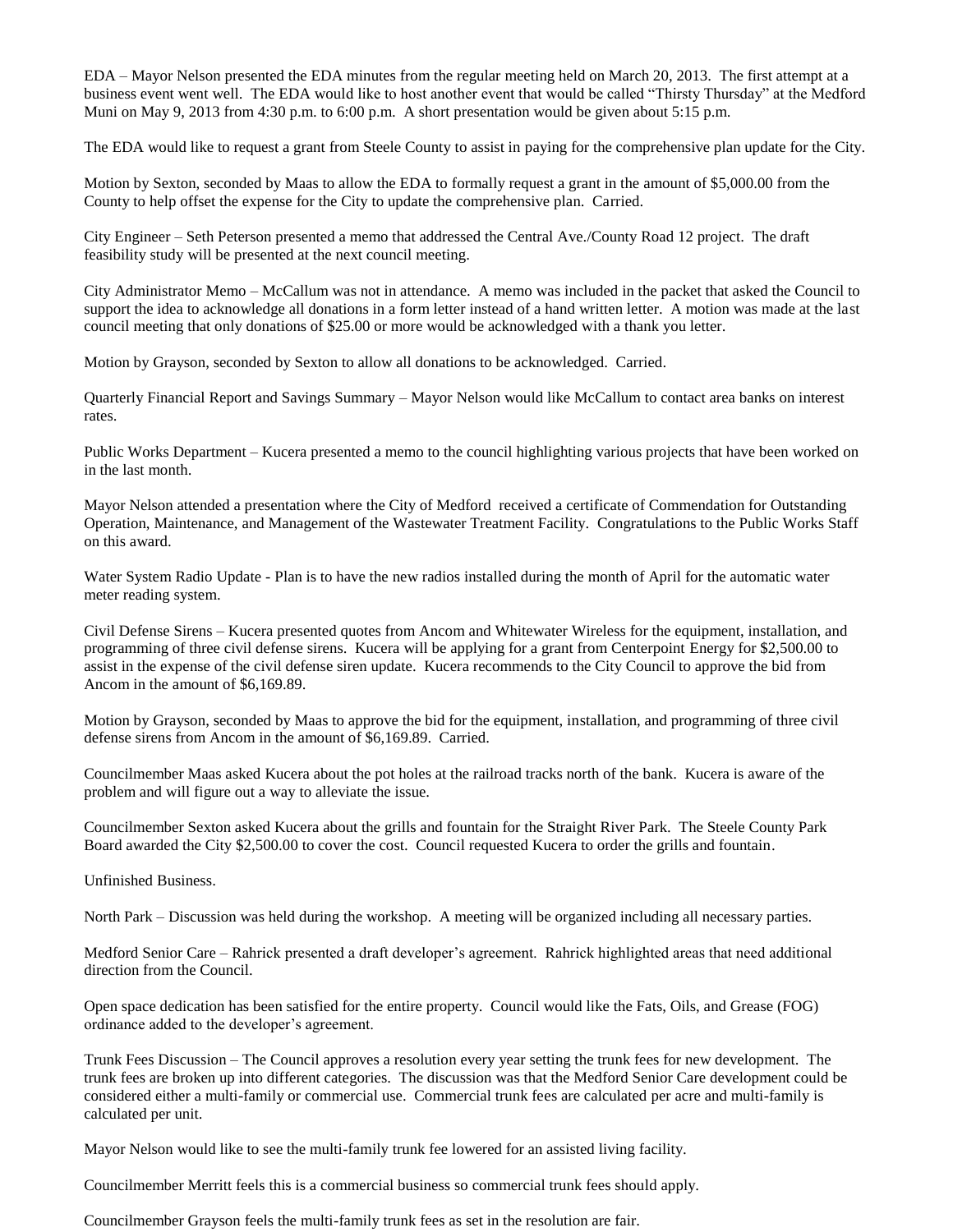EDA – Mayor Nelson presented the EDA minutes from the regular meeting held on March 20, 2013. The first attempt at a business event went well. The EDA would like to host another event that would be called "Thirsty Thursday" at the Medford Muni on May 9, 2013 from 4:30 p.m. to 6:00 p.m. A short presentation would be given about 5:15 p.m.

The EDA would like to request a grant from Steele County to assist in paying for the comprehensive plan update for the City.

Motion by Sexton, seconded by Maas to allow the EDA to formally request a grant in the amount of \$5,000.00 from the County to help offset the expense for the City to update the comprehensive plan. Carried.

City Engineer – Seth Peterson presented a memo that addressed the Central Ave./County Road 12 project. The draft feasibility study will be presented at the next council meeting.

City Administrator Memo – McCallum was not in attendance. A memo was included in the packet that asked the Council to support the idea to acknowledge all donations in a form letter instead of a hand written letter. A motion was made at the last council meeting that only donations of \$25.00 or more would be acknowledged with a thank you letter.

Motion by Grayson, seconded by Sexton to allow all donations to be acknowledged. Carried.

Quarterly Financial Report and Savings Summary – Mayor Nelson would like McCallum to contact area banks on interest rates.

Public Works Department – Kucera presented a memo to the council highlighting various projects that have been worked on in the last month.

Mayor Nelson attended a presentation where the City of Medford received a certificate of Commendation for Outstanding Operation, Maintenance, and Management of the Wastewater Treatment Facility. Congratulations to the Public Works Staff on this award.

Water System Radio Update - Plan is to have the new radios installed during the month of April for the automatic water meter reading system.

Civil Defense Sirens – Kucera presented quotes from Ancom and Whitewater Wireless for the equipment, installation, and programming of three civil defense sirens. Kucera will be applying for a grant from Centerpoint Energy for \$2,500.00 to assist in the expense of the civil defense siren update. Kucera recommends to the City Council to approve the bid from Ancom in the amount of \$6,169.89.

Motion by Grayson, seconded by Maas to approve the bid for the equipment, installation, and programming of three civil defense sirens from Ancom in the amount of \$6,169.89. Carried.

Councilmember Maas asked Kucera about the pot holes at the railroad tracks north of the bank. Kucera is aware of the problem and will figure out a way to alleviate the issue.

Councilmember Sexton asked Kucera about the grills and fountain for the Straight River Park. The Steele County Park Board awarded the City \$2,500.00 to cover the cost. Council requested Kucera to order the grills and fountain.

Unfinished Business.

North Park – Discussion was held during the workshop. A meeting will be organized including all necessary parties.

Medford Senior Care – Rahrick presented a draft developer's agreement. Rahrick highlighted areas that need additional direction from the Council.

Open space dedication has been satisfied for the entire property. Council would like the Fats, Oils, and Grease (FOG) ordinance added to the developer's agreement.

Trunk Fees Discussion – The Council approves a resolution every year setting the trunk fees for new development. The trunk fees are broken up into different categories. The discussion was that the Medford Senior Care development could be considered either a multi-family or commercial use. Commercial trunk fees are calculated per acre and multi-family is calculated per unit.

Mayor Nelson would like to see the multi-family trunk fee lowered for an assisted living facility.

Councilmember Merritt feels this is a commercial business so commercial trunk fees should apply.

Councilmember Grayson feels the multi-family trunk fees as set in the resolution are fair.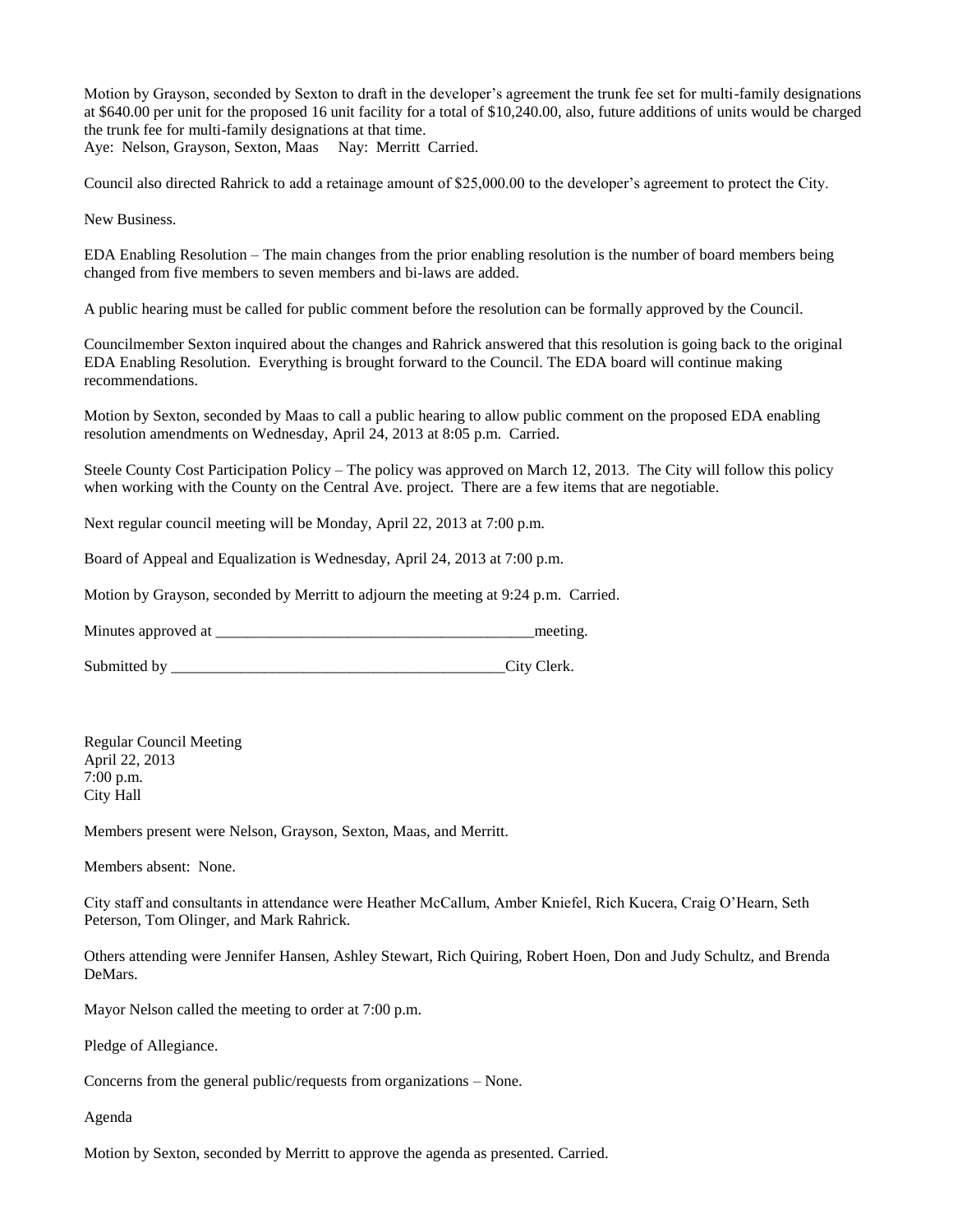Motion by Grayson, seconded by Sexton to draft in the developer's agreement the trunk fee set for multi-family designations at \$640.00 per unit for the proposed 16 unit facility for a total of \$10,240.00, also, future additions of units would be charged the trunk fee for multi-family designations at that time. Aye: Nelson, Grayson, Sexton, Maas Nay: Merritt Carried.

Council also directed Rahrick to add a retainage amount of \$25,000.00 to the developer's agreement to protect the City.

New Business.

EDA Enabling Resolution – The main changes from the prior enabling resolution is the number of board members being changed from five members to seven members and bi-laws are added.

A public hearing must be called for public comment before the resolution can be formally approved by the Council.

Councilmember Sexton inquired about the changes and Rahrick answered that this resolution is going back to the original EDA Enabling Resolution. Everything is brought forward to the Council. The EDA board will continue making recommendations.

Motion by Sexton, seconded by Maas to call a public hearing to allow public comment on the proposed EDA enabling resolution amendments on Wednesday, April 24, 2013 at 8:05 p.m. Carried.

Steele County Cost Participation Policy – The policy was approved on March 12, 2013. The City will follow this policy when working with the County on the Central Ave. project. There are a few items that are negotiable.

Next regular council meeting will be Monday, April 22, 2013 at 7:00 p.m.

Board of Appeal and Equalization is Wednesday, April 24, 2013 at 7:00 p.m.

Motion by Grayson, seconded by Merritt to adjourn the meeting at 9:24 p.m. Carried.

Minutes approved at \_\_\_\_\_\_\_\_\_\_\_\_\_\_\_\_\_\_\_\_\_\_\_\_\_\_\_\_\_\_\_\_\_\_\_\_\_\_\_\_\_meeting.

Submitted by \_\_\_\_\_\_\_\_\_\_\_\_\_\_\_\_\_\_\_\_\_\_\_\_\_\_\_\_\_\_\_\_\_\_\_\_\_\_\_\_\_\_\_City Clerk.

Regular Council Meeting April 22, 2013 7:00 p.m. City Hall

Members present were Nelson, Grayson, Sexton, Maas, and Merritt.

Members absent: None.

City staff and consultants in attendance were Heather McCallum, Amber Kniefel, Rich Kucera, Craig O'Hearn, Seth Peterson, Tom Olinger, and Mark Rahrick.

Others attending were Jennifer Hansen, Ashley Stewart, Rich Quiring, Robert Hoen, Don and Judy Schultz, and Brenda DeMars.

Mayor Nelson called the meeting to order at 7:00 p.m.

Pledge of Allegiance.

Concerns from the general public/requests from organizations – None.

Agenda

Motion by Sexton, seconded by Merritt to approve the agenda as presented. Carried.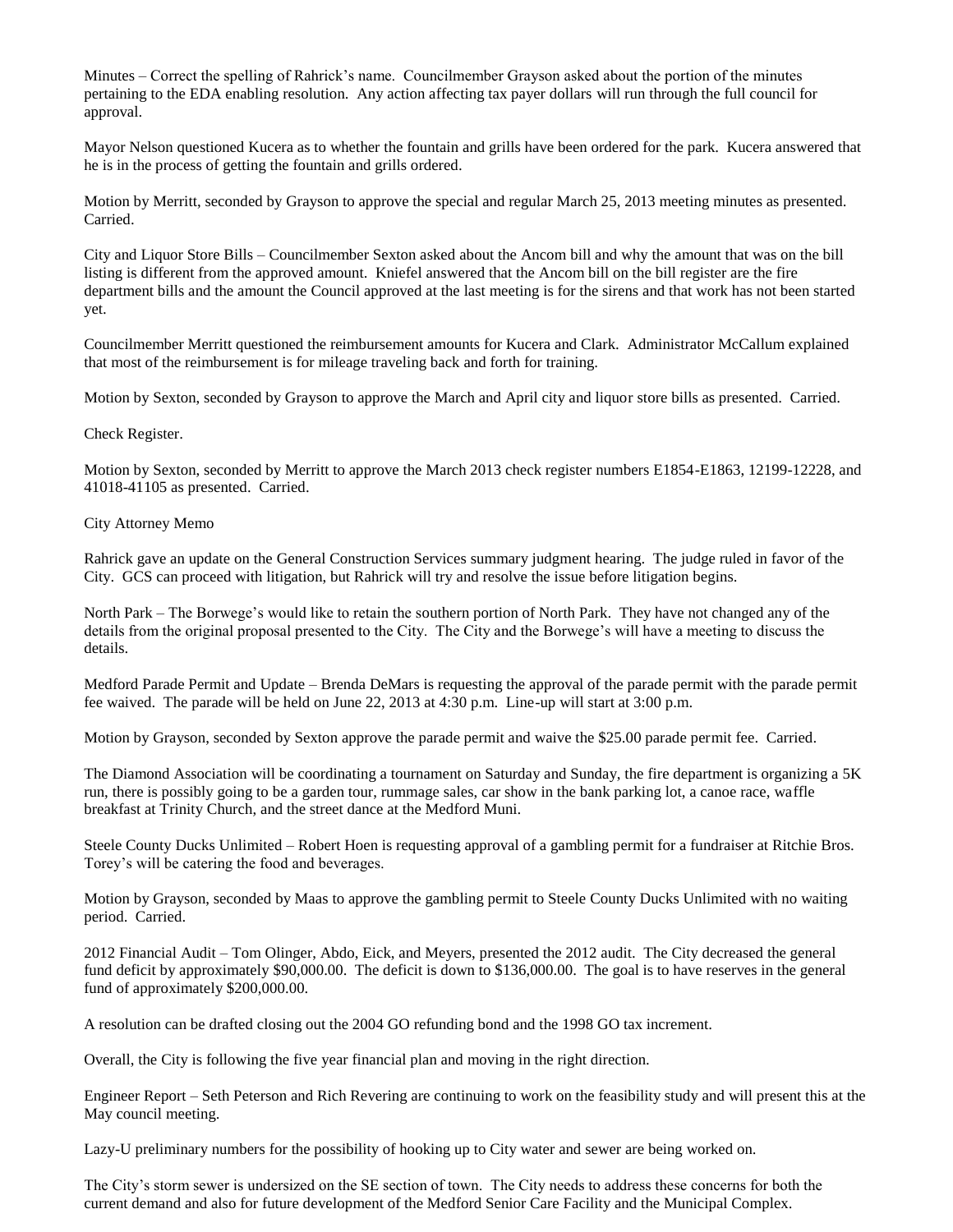Minutes – Correct the spelling of Rahrick's name. Councilmember Grayson asked about the portion of the minutes pertaining to the EDA enabling resolution. Any action affecting tax payer dollars will run through the full council for approval.

Mayor Nelson questioned Kucera as to whether the fountain and grills have been ordered for the park. Kucera answered that he is in the process of getting the fountain and grills ordered.

Motion by Merritt, seconded by Grayson to approve the special and regular March 25, 2013 meeting minutes as presented. Carried.

City and Liquor Store Bills – Councilmember Sexton asked about the Ancom bill and why the amount that was on the bill listing is different from the approved amount. Kniefel answered that the Ancom bill on the bill register are the fire department bills and the amount the Council approved at the last meeting is for the sirens and that work has not been started yet.

Councilmember Merritt questioned the reimbursement amounts for Kucera and Clark. Administrator McCallum explained that most of the reimbursement is for mileage traveling back and forth for training.

Motion by Sexton, seconded by Grayson to approve the March and April city and liquor store bills as presented. Carried.

Check Register.

Motion by Sexton, seconded by Merritt to approve the March 2013 check register numbers E1854-E1863, 12199-12228, and 41018-41105 as presented. Carried.

## City Attorney Memo

Rahrick gave an update on the General Construction Services summary judgment hearing. The judge ruled in favor of the City. GCS can proceed with litigation, but Rahrick will try and resolve the issue before litigation begins.

North Park – The Borwege's would like to retain the southern portion of North Park. They have not changed any of the details from the original proposal presented to the City. The City and the Borwege's will have a meeting to discuss the details.

Medford Parade Permit and Update – Brenda DeMars is requesting the approval of the parade permit with the parade permit fee waived. The parade will be held on June 22, 2013 at 4:30 p.m. Line-up will start at 3:00 p.m.

Motion by Grayson, seconded by Sexton approve the parade permit and waive the \$25.00 parade permit fee. Carried.

The Diamond Association will be coordinating a tournament on Saturday and Sunday, the fire department is organizing a 5K run, there is possibly going to be a garden tour, rummage sales, car show in the bank parking lot, a canoe race, waffle breakfast at Trinity Church, and the street dance at the Medford Muni.

Steele County Ducks Unlimited – Robert Hoen is requesting approval of a gambling permit for a fundraiser at Ritchie Bros. Torey's will be catering the food and beverages.

Motion by Grayson, seconded by Maas to approve the gambling permit to Steele County Ducks Unlimited with no waiting period. Carried.

2012 Financial Audit – Tom Olinger, Abdo, Eick, and Meyers, presented the 2012 audit. The City decreased the general fund deficit by approximately \$90,000.00. The deficit is down to \$136,000.00. The goal is to have reserves in the general fund of approximately \$200,000.00.

A resolution can be drafted closing out the 2004 GO refunding bond and the 1998 GO tax increment.

Overall, the City is following the five year financial plan and moving in the right direction.

Engineer Report – Seth Peterson and Rich Revering are continuing to work on the feasibility study and will present this at the May council meeting.

Lazy-U preliminary numbers for the possibility of hooking up to City water and sewer are being worked on.

The City's storm sewer is undersized on the SE section of town. The City needs to address these concerns for both the current demand and also for future development of the Medford Senior Care Facility and the Municipal Complex.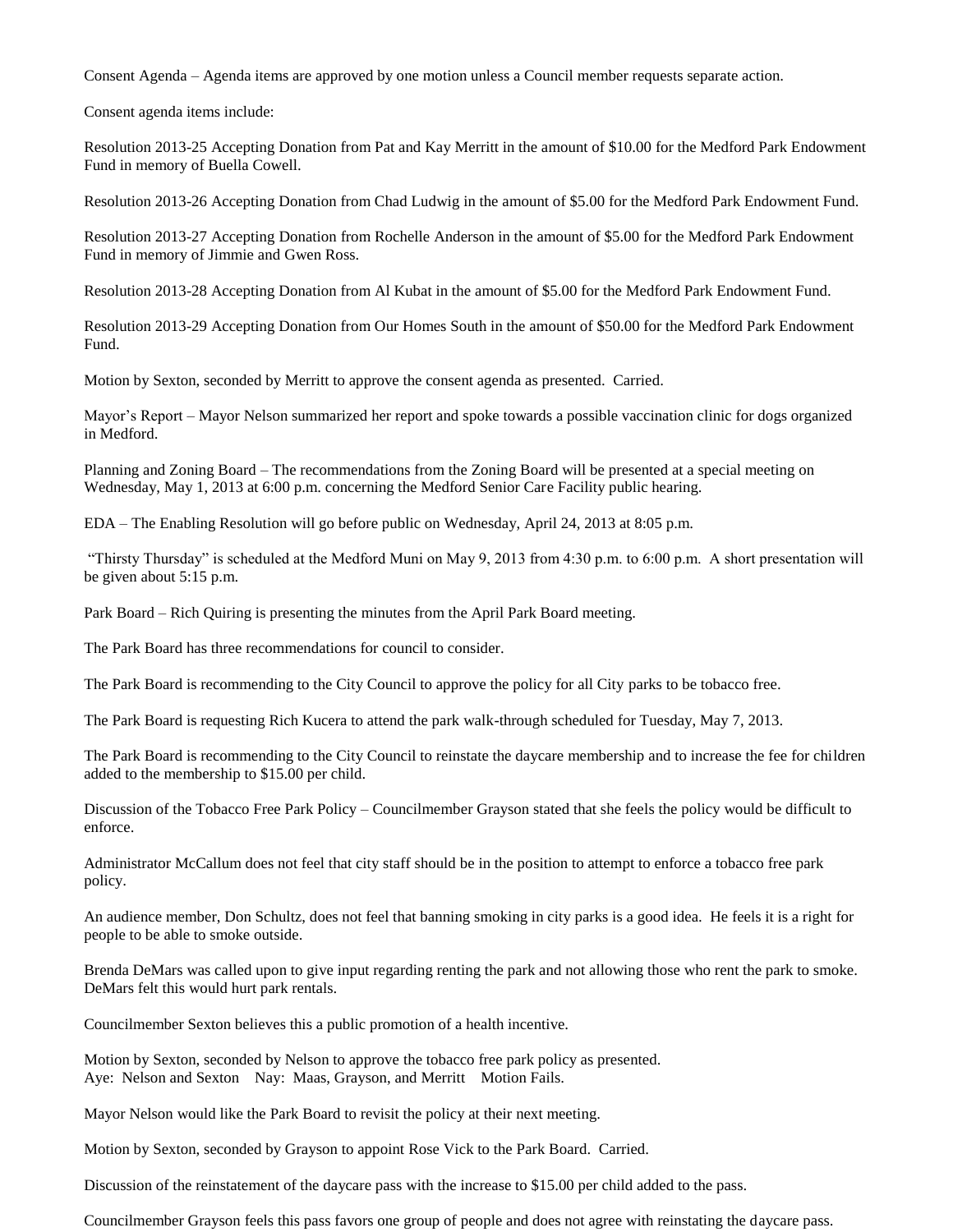Consent Agenda – Agenda items are approved by one motion unless a Council member requests separate action.

Consent agenda items include:

Resolution 2013-25 Accepting Donation from Pat and Kay Merritt in the amount of \$10.00 for the Medford Park Endowment Fund in memory of Buella Cowell.

Resolution 2013-26 Accepting Donation from Chad Ludwig in the amount of \$5.00 for the Medford Park Endowment Fund.

Resolution 2013-27 Accepting Donation from Rochelle Anderson in the amount of \$5.00 for the Medford Park Endowment Fund in memory of Jimmie and Gwen Ross.

Resolution 2013-28 Accepting Donation from Al Kubat in the amount of \$5.00 for the Medford Park Endowment Fund.

Resolution 2013-29 Accepting Donation from Our Homes South in the amount of \$50.00 for the Medford Park Endowment Fund.

Motion by Sexton, seconded by Merritt to approve the consent agenda as presented. Carried.

Mayor's Report – Mayor Nelson summarized her report and spoke towards a possible vaccination clinic for dogs organized in Medford.

Planning and Zoning Board – The recommendations from the Zoning Board will be presented at a special meeting on Wednesday, May 1, 2013 at 6:00 p.m. concerning the Medford Senior Care Facility public hearing.

EDA – The Enabling Resolution will go before public on Wednesday, April 24, 2013 at 8:05 p.m.

"Thirsty Thursday" is scheduled at the Medford Muni on May 9, 2013 from 4:30 p.m. to 6:00 p.m. A short presentation will be given about 5:15 p.m.

Park Board – Rich Quiring is presenting the minutes from the April Park Board meeting.

The Park Board has three recommendations for council to consider.

The Park Board is recommending to the City Council to approve the policy for all City parks to be tobacco free.

The Park Board is requesting Rich Kucera to attend the park walk-through scheduled for Tuesday, May 7, 2013.

The Park Board is recommending to the City Council to reinstate the daycare membership and to increase the fee for children added to the membership to \$15.00 per child.

Discussion of the Tobacco Free Park Policy – Councilmember Grayson stated that she feels the policy would be difficult to enforce.

Administrator McCallum does not feel that city staff should be in the position to attempt to enforce a tobacco free park policy.

An audience member, Don Schultz, does not feel that banning smoking in city parks is a good idea. He feels it is a right for people to be able to smoke outside.

Brenda DeMars was called upon to give input regarding renting the park and not allowing those who rent the park to smoke. DeMars felt this would hurt park rentals.

Councilmember Sexton believes this a public promotion of a health incentive.

Motion by Sexton, seconded by Nelson to approve the tobacco free park policy as presented. Aye: Nelson and Sexton Nay: Maas, Grayson, and Merritt Motion Fails.

Mayor Nelson would like the Park Board to revisit the policy at their next meeting.

Motion by Sexton, seconded by Grayson to appoint Rose Vick to the Park Board. Carried.

Discussion of the reinstatement of the daycare pass with the increase to \$15.00 per child added to the pass.

Councilmember Grayson feels this pass favors one group of people and does not agree with reinstating the daycare pass.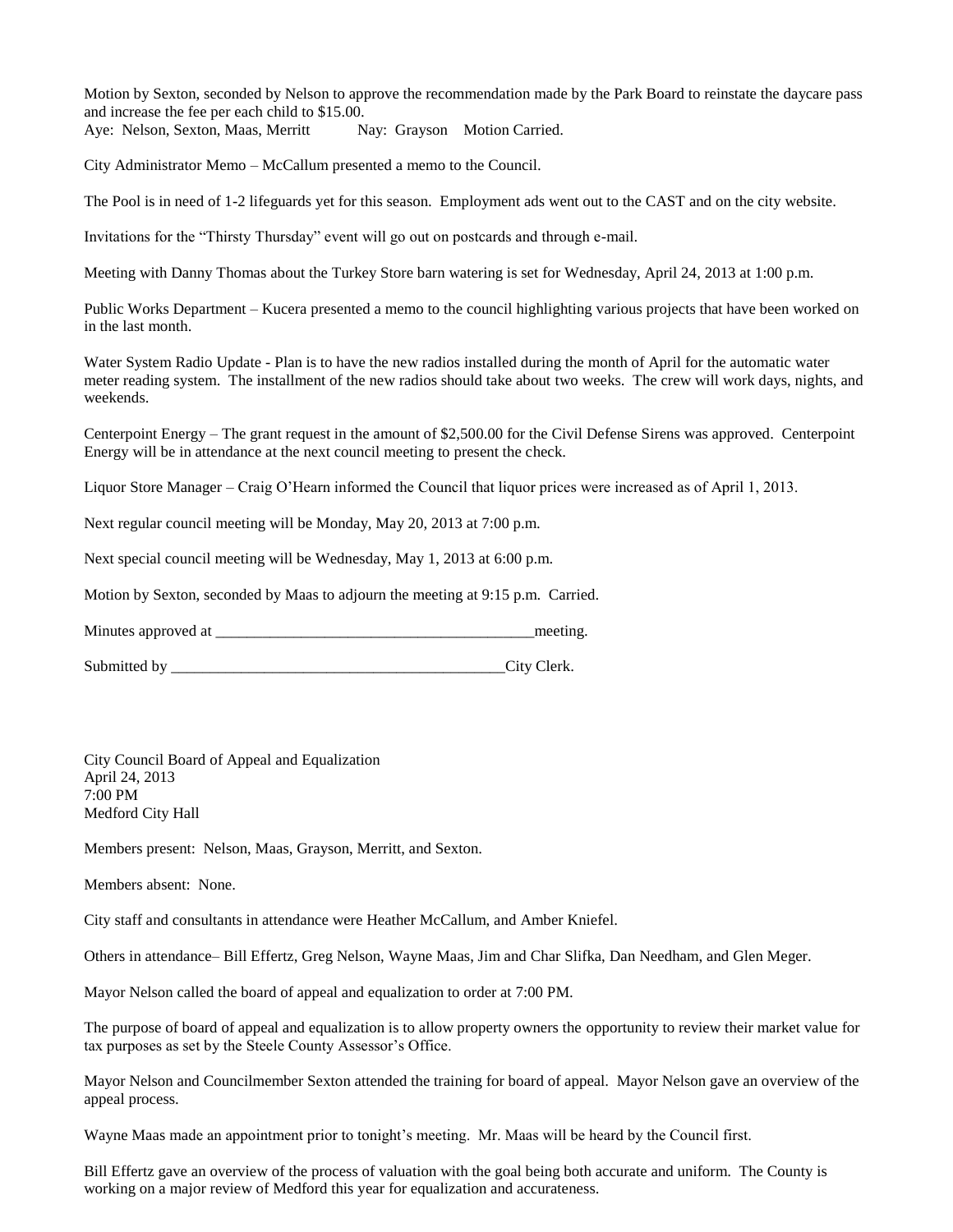Motion by Sexton, seconded by Nelson to approve the recommendation made by the Park Board to reinstate the daycare pass and increase the fee per each child to \$15.00.

Aye: Nelson, Sexton, Maas, Merritt Nay: Grayson Motion Carried.

City Administrator Memo – McCallum presented a memo to the Council.

The Pool is in need of 1-2 lifeguards yet for this season. Employment ads went out to the CAST and on the city website.

Invitations for the "Thirsty Thursday" event will go out on postcards and through e-mail.

Meeting with Danny Thomas about the Turkey Store barn watering is set for Wednesday, April 24, 2013 at 1:00 p.m.

Public Works Department – Kucera presented a memo to the council highlighting various projects that have been worked on in the last month.

Water System Radio Update - Plan is to have the new radios installed during the month of April for the automatic water meter reading system. The installment of the new radios should take about two weeks. The crew will work days, nights, and weekends.

Centerpoint Energy – The grant request in the amount of \$2,500.00 for the Civil Defense Sirens was approved. Centerpoint Energy will be in attendance at the next council meeting to present the check.

Liquor Store Manager – Craig O'Hearn informed the Council that liquor prices were increased as of April 1, 2013.

Next regular council meeting will be Monday, May 20, 2013 at 7:00 p.m.

Next special council meeting will be Wednesday, May 1, 2013 at 6:00 p.m.

Motion by Sexton, seconded by Maas to adjourn the meeting at 9:15 p.m. Carried.

Minutes approved at \_\_\_\_\_\_\_\_\_\_\_\_\_\_\_\_\_\_\_\_\_\_\_\_\_\_\_\_\_\_\_\_\_\_\_\_\_\_\_\_\_meeting.

Submitted by \_\_\_\_\_\_\_\_\_\_\_\_\_\_\_\_\_\_\_\_\_\_\_\_\_\_\_\_\_\_\_\_\_\_\_\_\_\_\_\_\_\_\_City Clerk.

City Council Board of Appeal and Equalization April 24, 2013 7:00 PM Medford City Hall

Members present: Nelson, Maas, Grayson, Merritt, and Sexton.

Members absent: None.

City staff and consultants in attendance were Heather McCallum, and Amber Kniefel.

Others in attendance– Bill Effertz, Greg Nelson, Wayne Maas, Jim and Char Slifka, Dan Needham, and Glen Meger.

Mayor Nelson called the board of appeal and equalization to order at 7:00 PM.

The purpose of board of appeal and equalization is to allow property owners the opportunity to review their market value for tax purposes as set by the Steele County Assessor's Office.

Mayor Nelson and Councilmember Sexton attended the training for board of appeal. Mayor Nelson gave an overview of the appeal process.

Wayne Maas made an appointment prior to tonight's meeting. Mr. Maas will be heard by the Council first.

Bill Effertz gave an overview of the process of valuation with the goal being both accurate and uniform. The County is working on a major review of Medford this year for equalization and accurateness.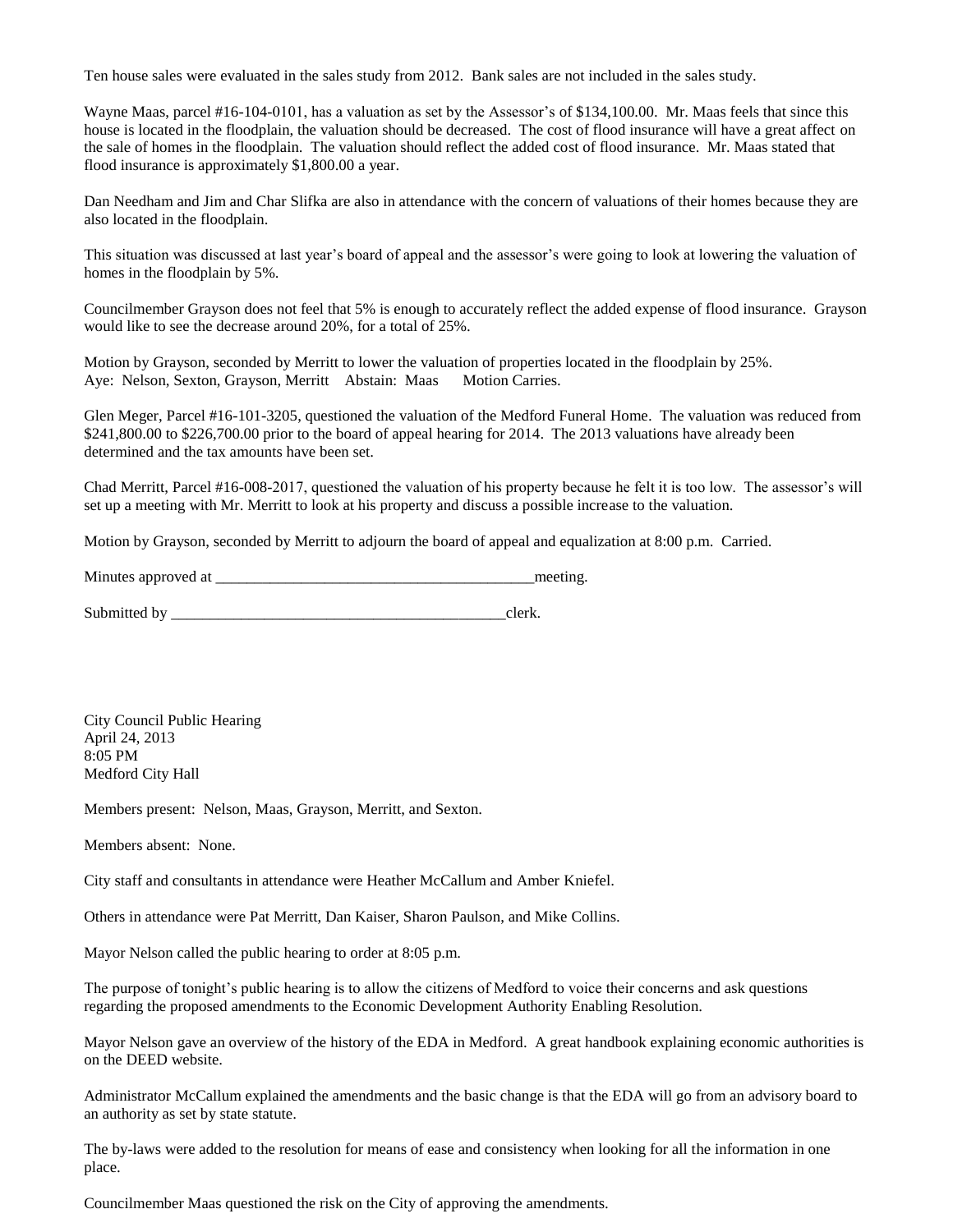Ten house sales were evaluated in the sales study from 2012. Bank sales are not included in the sales study.

Wayne Maas, parcel #16-104-0101, has a valuation as set by the Assessor's of \$134,100.00. Mr. Maas feels that since this house is located in the floodplain, the valuation should be decreased. The cost of flood insurance will have a great affect on the sale of homes in the floodplain. The valuation should reflect the added cost of flood insurance. Mr. Maas stated that flood insurance is approximately \$1,800.00 a year.

Dan Needham and Jim and Char Slifka are also in attendance with the concern of valuations of their homes because they are also located in the floodplain.

This situation was discussed at last year's board of appeal and the assessor's were going to look at lowering the valuation of homes in the floodplain by 5%.

Councilmember Grayson does not feel that 5% is enough to accurately reflect the added expense of flood insurance. Grayson would like to see the decrease around 20%, for a total of 25%.

Motion by Grayson, seconded by Merritt to lower the valuation of properties located in the floodplain by 25%. Aye: Nelson, Sexton, Grayson, Merritt Abstain: Maas Motion Carries.

Glen Meger, Parcel #16-101-3205, questioned the valuation of the Medford Funeral Home. The valuation was reduced from \$241,800.00 to \$226,700.00 prior to the board of appeal hearing for 2014. The 2013 valuations have already been determined and the tax amounts have been set.

Chad Merritt, Parcel #16-008-2017, questioned the valuation of his property because he felt it is too low. The assessor's will set up a meeting with Mr. Merritt to look at his property and discuss a possible increase to the valuation.

Motion by Grayson, seconded by Merritt to adjourn the board of appeal and equalization at 8:00 p.m. Carried.

| Minutes approved at |  | meeting |
|---------------------|--|---------|
|---------------------|--|---------|

Submitted by \_\_\_\_\_\_\_\_\_\_\_\_\_\_\_\_\_\_\_\_\_\_\_\_\_\_\_\_\_\_\_\_\_\_\_\_\_\_\_\_\_\_\_clerk.

City Council Public Hearing April 24, 2013 8:05 PM Medford City Hall

Members present: Nelson, Maas, Grayson, Merritt, and Sexton.

Members absent: None.

City staff and consultants in attendance were Heather McCallum and Amber Kniefel.

Others in attendance were Pat Merritt, Dan Kaiser, Sharon Paulson, and Mike Collins.

Mayor Nelson called the public hearing to order at 8:05 p.m.

The purpose of tonight's public hearing is to allow the citizens of Medford to voice their concerns and ask questions regarding the proposed amendments to the Economic Development Authority Enabling Resolution.

Mayor Nelson gave an overview of the history of the EDA in Medford. A great handbook explaining economic authorities is on the DEED website.

Administrator McCallum explained the amendments and the basic change is that the EDA will go from an advisory board to an authority as set by state statute.

The by-laws were added to the resolution for means of ease and consistency when looking for all the information in one place.

Councilmember Maas questioned the risk on the City of approving the amendments.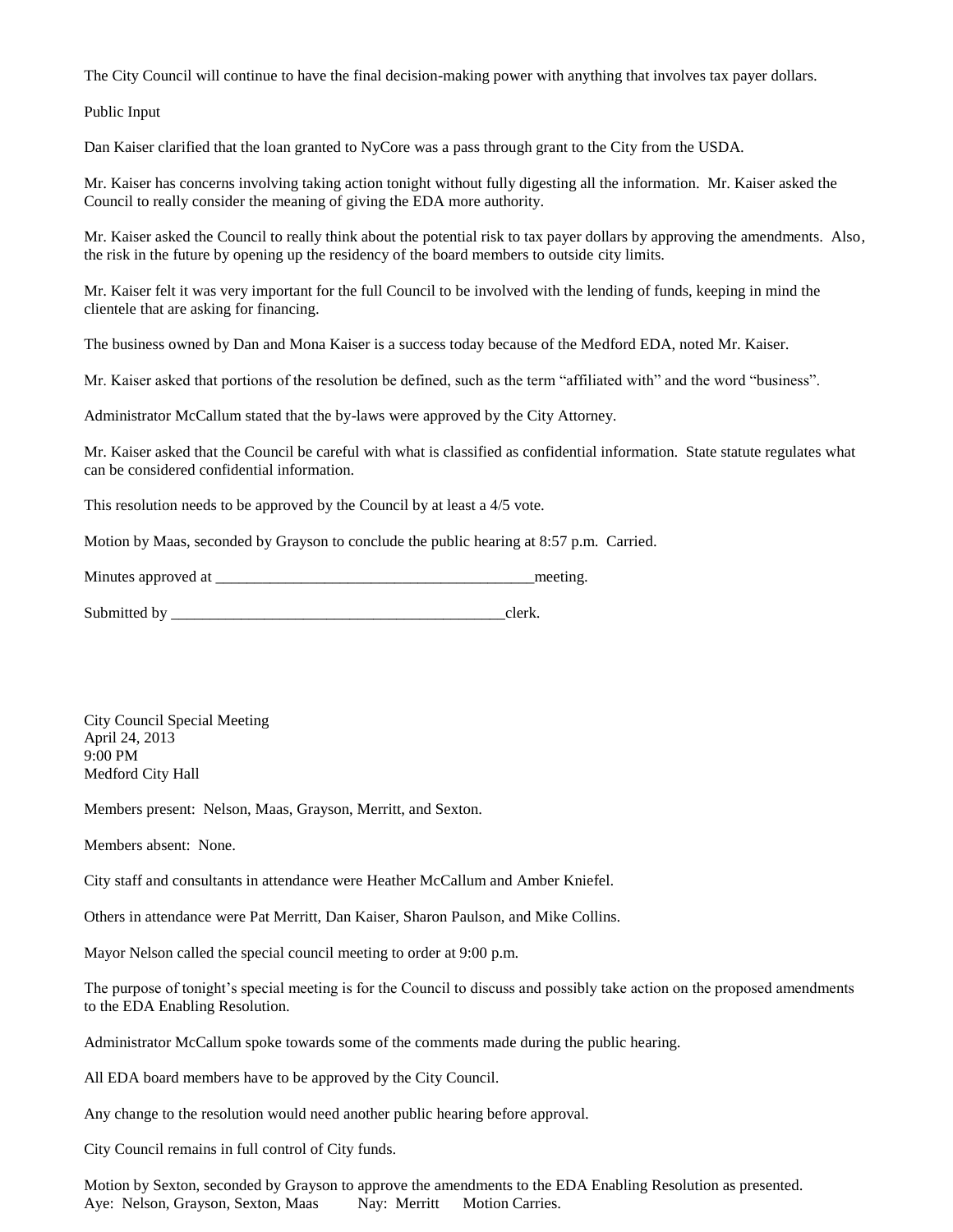The City Council will continue to have the final decision-making power with anything that involves tax payer dollars.

Public Input

Dan Kaiser clarified that the loan granted to NyCore was a pass through grant to the City from the USDA.

Mr. Kaiser has concerns involving taking action tonight without fully digesting all the information. Mr. Kaiser asked the Council to really consider the meaning of giving the EDA more authority.

Mr. Kaiser asked the Council to really think about the potential risk to tax payer dollars by approving the amendments. Also, the risk in the future by opening up the residency of the board members to outside city limits.

Mr. Kaiser felt it was very important for the full Council to be involved with the lending of funds, keeping in mind the clientele that are asking for financing.

The business owned by Dan and Mona Kaiser is a success today because of the Medford EDA, noted Mr. Kaiser.

Mr. Kaiser asked that portions of the resolution be defined, such as the term "affiliated with" and the word "business".

Administrator McCallum stated that the by-laws were approved by the City Attorney.

Mr. Kaiser asked that the Council be careful with what is classified as confidential information. State statute regulates what can be considered confidential information.

This resolution needs to be approved by the Council by at least a 4/5 vote.

Motion by Maas, seconded by Grayson to conclude the public hearing at 8:57 p.m. Carried.

Minutes approved at \_\_\_\_\_\_\_\_\_\_\_\_\_\_\_\_\_\_\_\_\_\_\_\_\_\_\_\_\_\_\_\_\_\_\_\_\_\_\_\_\_meeting.

Submitted by \_\_\_\_\_\_\_\_\_\_\_\_\_\_\_\_\_\_\_\_\_\_\_\_\_\_\_\_\_\_\_\_\_\_\_\_\_\_\_\_\_\_\_clerk.

City Council Special Meeting April 24, 2013 9:00 PM Medford City Hall

Members present: Nelson, Maas, Grayson, Merritt, and Sexton.

Members absent: None.

City staff and consultants in attendance were Heather McCallum and Amber Kniefel.

Others in attendance were Pat Merritt, Dan Kaiser, Sharon Paulson, and Mike Collins.

Mayor Nelson called the special council meeting to order at 9:00 p.m.

The purpose of tonight's special meeting is for the Council to discuss and possibly take action on the proposed amendments to the EDA Enabling Resolution.

Administrator McCallum spoke towards some of the comments made during the public hearing.

All EDA board members have to be approved by the City Council.

Any change to the resolution would need another public hearing before approval.

City Council remains in full control of City funds.

Motion by Sexton, seconded by Grayson to approve the amendments to the EDA Enabling Resolution as presented. Aye: Nelson, Grayson, Sexton, Maas Nay: Merritt Motion Carries.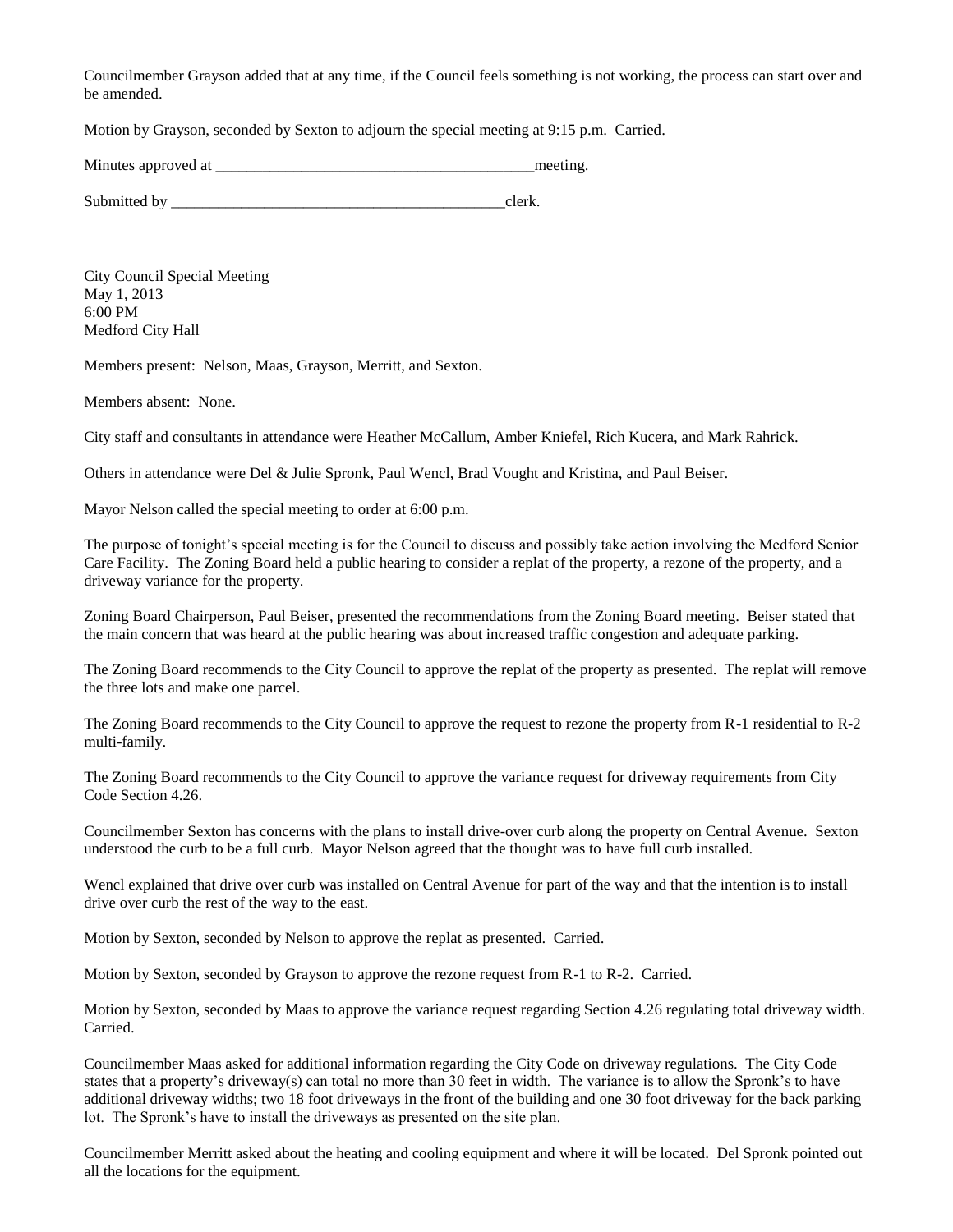Councilmember Grayson added that at any time, if the Council feels something is not working, the process can start over and be amended.

Motion by Grayson, seconded by Sexton to adjourn the special meeting at 9:15 p.m. Carried.

| Minutes approved at | meeting |
|---------------------|---------|
|                     |         |

Submitted by \_\_\_\_\_\_\_\_\_\_\_\_\_\_\_\_\_\_\_\_\_\_\_\_\_\_\_\_\_\_\_\_\_\_\_\_\_\_\_\_\_\_\_clerk.

City Council Special Meeting May 1, 2013 6:00 PM Medford City Hall

Members present: Nelson, Maas, Grayson, Merritt, and Sexton.

Members absent: None.

City staff and consultants in attendance were Heather McCallum, Amber Kniefel, Rich Kucera, and Mark Rahrick.

Others in attendance were Del & Julie Spronk, Paul Wencl, Brad Vought and Kristina, and Paul Beiser.

Mayor Nelson called the special meeting to order at 6:00 p.m.

The purpose of tonight's special meeting is for the Council to discuss and possibly take action involving the Medford Senior Care Facility. The Zoning Board held a public hearing to consider a replat of the property, a rezone of the property, and a driveway variance for the property.

Zoning Board Chairperson, Paul Beiser, presented the recommendations from the Zoning Board meeting. Beiser stated that the main concern that was heard at the public hearing was about increased traffic congestion and adequate parking.

The Zoning Board recommends to the City Council to approve the replat of the property as presented. The replat will remove the three lots and make one parcel.

The Zoning Board recommends to the City Council to approve the request to rezone the property from R-1 residential to R-2 multi-family.

The Zoning Board recommends to the City Council to approve the variance request for driveway requirements from City Code Section 4.26.

Councilmember Sexton has concerns with the plans to install drive-over curb along the property on Central Avenue. Sexton understood the curb to be a full curb. Mayor Nelson agreed that the thought was to have full curb installed.

Wencl explained that drive over curb was installed on Central Avenue for part of the way and that the intention is to install drive over curb the rest of the way to the east.

Motion by Sexton, seconded by Nelson to approve the replat as presented. Carried.

Motion by Sexton, seconded by Grayson to approve the rezone request from R-1 to R-2. Carried.

Motion by Sexton, seconded by Maas to approve the variance request regarding Section 4.26 regulating total driveway width. Carried.

Councilmember Maas asked for additional information regarding the City Code on driveway regulations. The City Code states that a property's driveway(s) can total no more than 30 feet in width. The variance is to allow the Spronk's to have additional driveway widths; two 18 foot driveways in the front of the building and one 30 foot driveway for the back parking lot. The Spronk's have to install the driveways as presented on the site plan.

Councilmember Merritt asked about the heating and cooling equipment and where it will be located. Del Spronk pointed out all the locations for the equipment.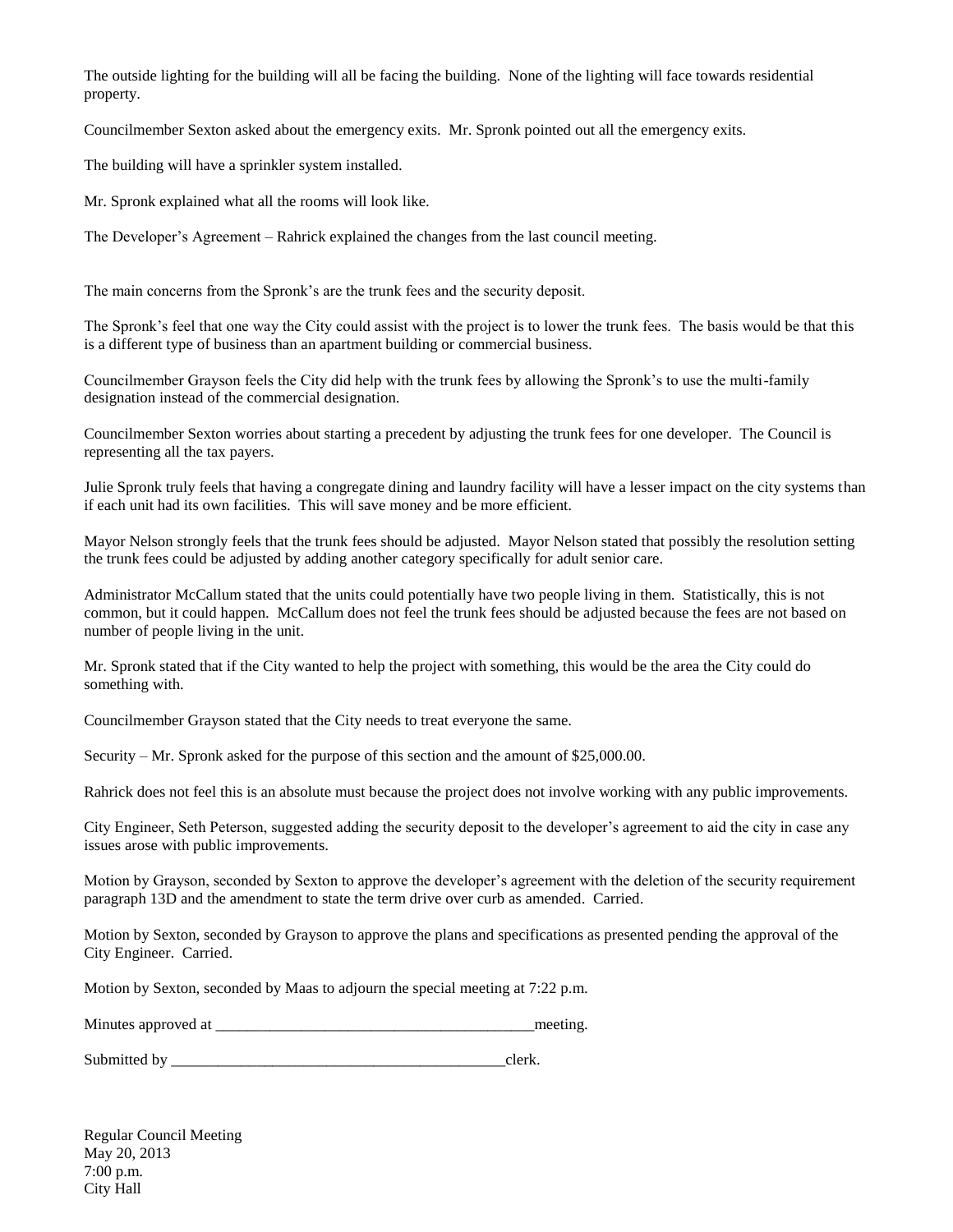The outside lighting for the building will all be facing the building. None of the lighting will face towards residential property.

Councilmember Sexton asked about the emergency exits. Mr. Spronk pointed out all the emergency exits.

The building will have a sprinkler system installed.

Mr. Spronk explained what all the rooms will look like.

The Developer's Agreement – Rahrick explained the changes from the last council meeting.

The main concerns from the Spronk's are the trunk fees and the security deposit.

The Spronk's feel that one way the City could assist with the project is to lower the trunk fees. The basis would be that this is a different type of business than an apartment building or commercial business.

Councilmember Grayson feels the City did help with the trunk fees by allowing the Spronk's to use the multi-family designation instead of the commercial designation.

Councilmember Sexton worries about starting a precedent by adjusting the trunk fees for one developer. The Council is representing all the tax payers.

Julie Spronk truly feels that having a congregate dining and laundry facility will have a lesser impact on the city systems than if each unit had its own facilities. This will save money and be more efficient.

Mayor Nelson strongly feels that the trunk fees should be adjusted. Mayor Nelson stated that possibly the resolution setting the trunk fees could be adjusted by adding another category specifically for adult senior care.

Administrator McCallum stated that the units could potentially have two people living in them. Statistically, this is not common, but it could happen. McCallum does not feel the trunk fees should be adjusted because the fees are not based on number of people living in the unit.

Mr. Spronk stated that if the City wanted to help the project with something, this would be the area the City could do something with.

Councilmember Grayson stated that the City needs to treat everyone the same.

Security – Mr. Spronk asked for the purpose of this section and the amount of \$25,000.00.

Rahrick does not feel this is an absolute must because the project does not involve working with any public improvements.

City Engineer, Seth Peterson, suggested adding the security deposit to the developer's agreement to aid the city in case any issues arose with public improvements.

Motion by Grayson, seconded by Sexton to approve the developer's agreement with the deletion of the security requirement paragraph 13D and the amendment to state the term drive over curb as amended. Carried.

Motion by Sexton, seconded by Grayson to approve the plans and specifications as presented pending the approval of the City Engineer. Carried.

Motion by Sexton, seconded by Maas to adjourn the special meeting at 7:22 p.m.

Minutes approved at \_\_\_\_\_\_\_\_\_\_\_\_\_\_\_\_\_\_\_\_\_\_\_\_\_\_\_\_\_\_\_\_\_\_\_\_\_\_\_\_\_meeting.

Submitted by \_\_\_\_\_\_\_\_\_\_\_\_\_\_\_\_\_\_\_\_\_\_\_\_\_\_\_\_\_\_\_\_\_\_\_\_\_\_\_\_\_\_\_clerk.

Regular Council Meeting May 20, 2013 7:00 p.m. City Hall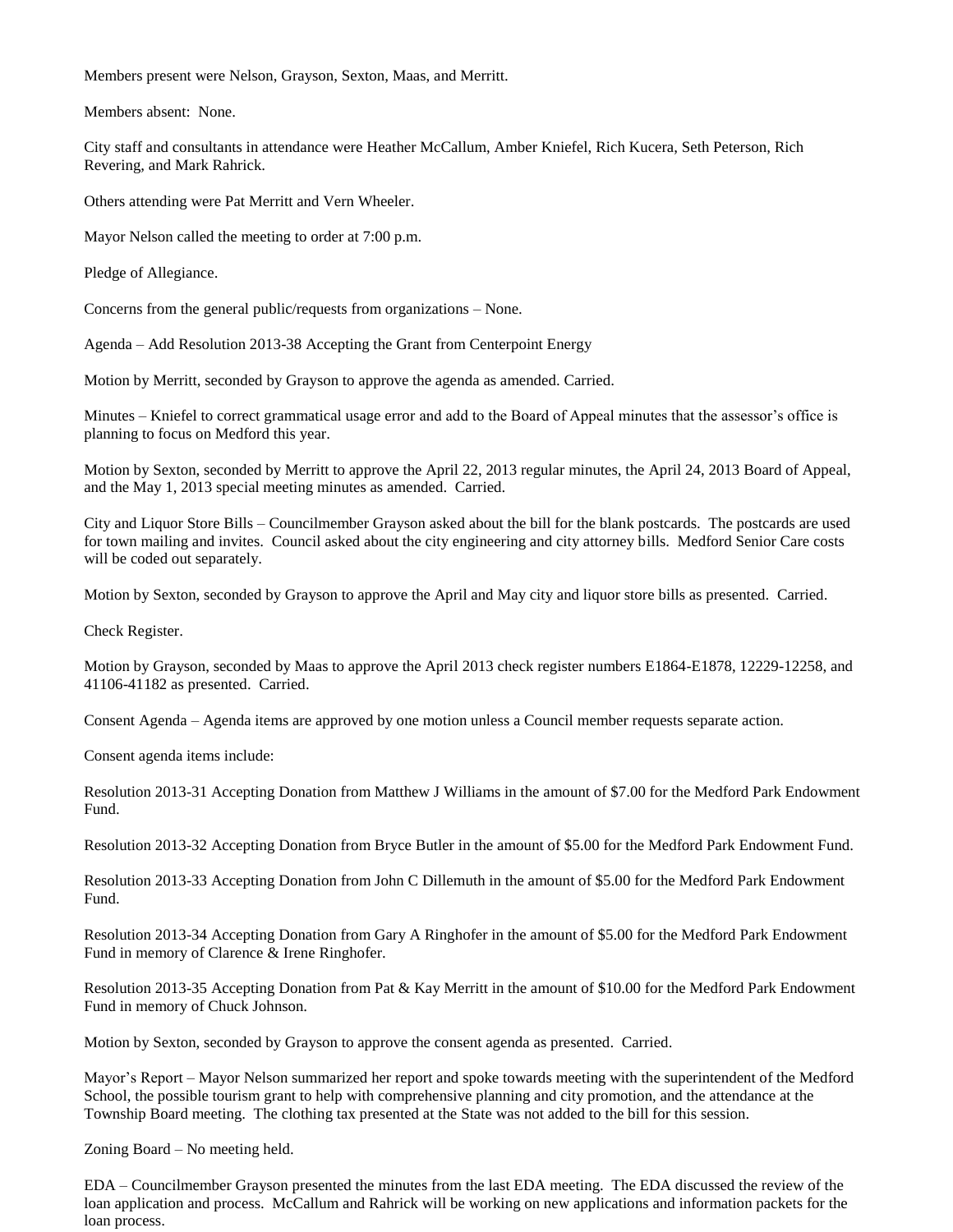Members present were Nelson, Grayson, Sexton, Maas, and Merritt.

Members absent: None.

City staff and consultants in attendance were Heather McCallum, Amber Kniefel, Rich Kucera, Seth Peterson, Rich Revering, and Mark Rahrick.

Others attending were Pat Merritt and Vern Wheeler.

Mayor Nelson called the meeting to order at 7:00 p.m.

Pledge of Allegiance.

Concerns from the general public/requests from organizations – None.

Agenda – Add Resolution 2013-38 Accepting the Grant from Centerpoint Energy

Motion by Merritt, seconded by Grayson to approve the agenda as amended. Carried.

Minutes – Kniefel to correct grammatical usage error and add to the Board of Appeal minutes that the assessor's office is planning to focus on Medford this year.

Motion by Sexton, seconded by Merritt to approve the April 22, 2013 regular minutes, the April 24, 2013 Board of Appeal, and the May 1, 2013 special meeting minutes as amended. Carried.

City and Liquor Store Bills – Councilmember Grayson asked about the bill for the blank postcards. The postcards are used for town mailing and invites. Council asked about the city engineering and city attorney bills. Medford Senior Care costs will be coded out separately.

Motion by Sexton, seconded by Grayson to approve the April and May city and liquor store bills as presented. Carried.

Check Register.

Motion by Grayson, seconded by Maas to approve the April 2013 check register numbers E1864-E1878, 12229-12258, and 41106-41182 as presented. Carried.

Consent Agenda – Agenda items are approved by one motion unless a Council member requests separate action.

Consent agenda items include:

Resolution 2013-31 Accepting Donation from Matthew J Williams in the amount of \$7.00 for the Medford Park Endowment Fund.

Resolution 2013-32 Accepting Donation from Bryce Butler in the amount of \$5.00 for the Medford Park Endowment Fund.

Resolution 2013-33 Accepting Donation from John C Dillemuth in the amount of \$5.00 for the Medford Park Endowment Fund.

Resolution 2013-34 Accepting Donation from Gary A Ringhofer in the amount of \$5.00 for the Medford Park Endowment Fund in memory of Clarence & Irene Ringhofer.

Resolution 2013-35 Accepting Donation from Pat & Kay Merritt in the amount of \$10.00 for the Medford Park Endowment Fund in memory of Chuck Johnson.

Motion by Sexton, seconded by Grayson to approve the consent agenda as presented. Carried.

Mayor's Report – Mayor Nelson summarized her report and spoke towards meeting with the superintendent of the Medford School, the possible tourism grant to help with comprehensive planning and city promotion, and the attendance at the Township Board meeting. The clothing tax presented at the State was not added to the bill for this session.

Zoning Board – No meeting held.

EDA – Councilmember Grayson presented the minutes from the last EDA meeting. The EDA discussed the review of the loan application and process. McCallum and Rahrick will be working on new applications and information packets for the loan process.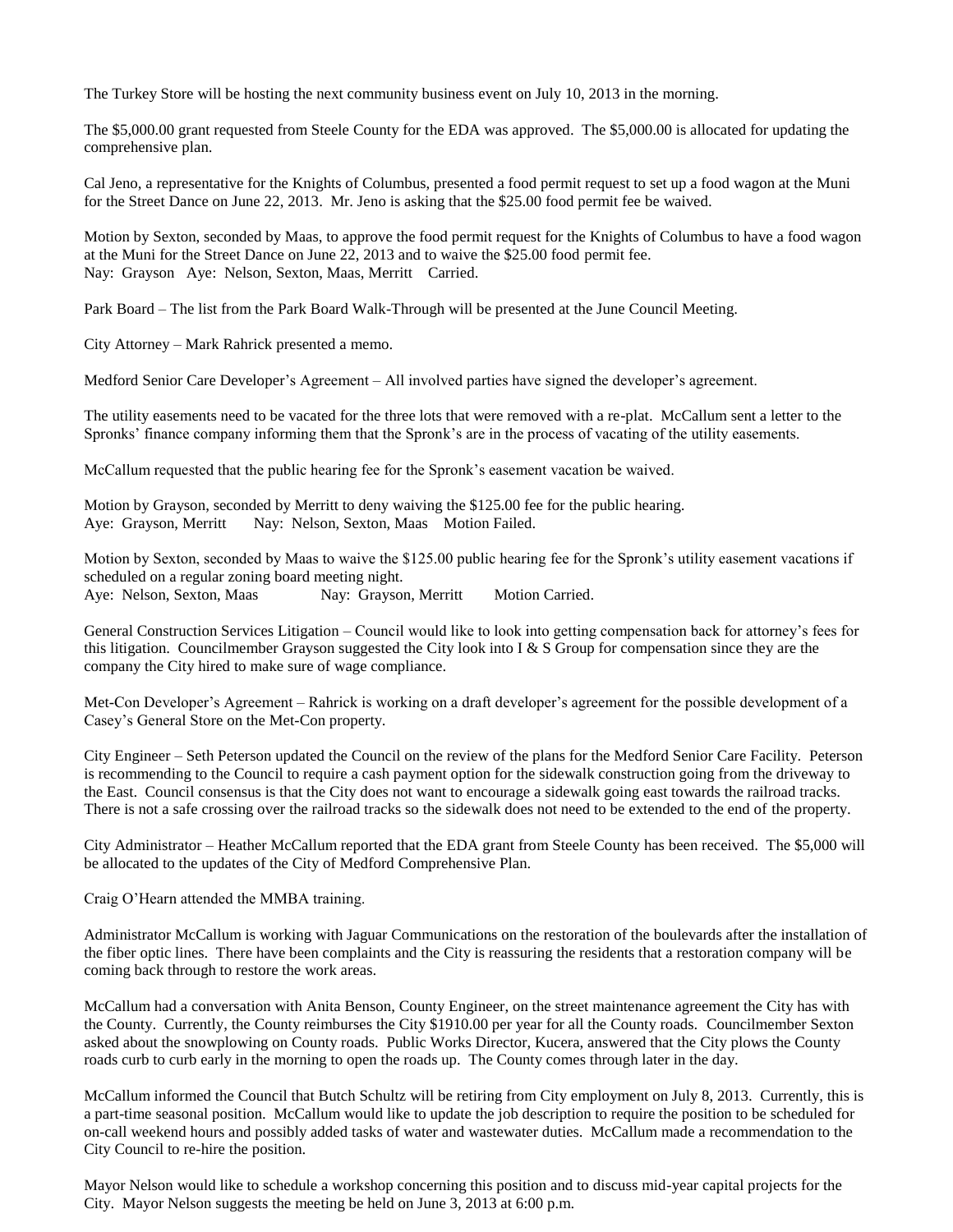The Turkey Store will be hosting the next community business event on July 10, 2013 in the morning.

The \$5,000.00 grant requested from Steele County for the EDA was approved. The \$5,000.00 is allocated for updating the comprehensive plan.

Cal Jeno, a representative for the Knights of Columbus, presented a food permit request to set up a food wagon at the Muni for the Street Dance on June 22, 2013. Mr. Jeno is asking that the \$25.00 food permit fee be waived.

Motion by Sexton, seconded by Maas, to approve the food permit request for the Knights of Columbus to have a food wagon at the Muni for the Street Dance on June 22, 2013 and to waive the \$25.00 food permit fee. Nay: Grayson Aye: Nelson, Sexton, Maas, Merritt Carried.

Park Board – The list from the Park Board Walk-Through will be presented at the June Council Meeting.

City Attorney – Mark Rahrick presented a memo.

Medford Senior Care Developer's Agreement – All involved parties have signed the developer's agreement.

The utility easements need to be vacated for the three lots that were removed with a re-plat. McCallum sent a letter to the Spronks' finance company informing them that the Spronk's are in the process of vacating of the utility easements.

McCallum requested that the public hearing fee for the Spronk's easement vacation be waived.

Motion by Grayson, seconded by Merritt to deny waiving the \$125.00 fee for the public hearing. Aye: Grayson, Merritt Nay: Nelson, Sexton, Maas Motion Failed.

Motion by Sexton, seconded by Maas to waive the \$125.00 public hearing fee for the Spronk's utility easement vacations if scheduled on a regular zoning board meeting night. Aye: Nelson, Sexton, Maas Nay: Grayson, Merritt Motion Carried.

General Construction Services Litigation – Council would like to look into getting compensation back for attorney's fees for this litigation. Councilmember Grayson suggested the City look into I  $\& S$  Group for compensation since they are the company the City hired to make sure of wage compliance.

Met-Con Developer's Agreement – Rahrick is working on a draft developer's agreement for the possible development of a Casey's General Store on the Met-Con property.

City Engineer – Seth Peterson updated the Council on the review of the plans for the Medford Senior Care Facility. Peterson is recommending to the Council to require a cash payment option for the sidewalk construction going from the driveway to the East. Council consensus is that the City does not want to encourage a sidewalk going east towards the railroad tracks. There is not a safe crossing over the railroad tracks so the sidewalk does not need to be extended to the end of the property.

City Administrator – Heather McCallum reported that the EDA grant from Steele County has been received. The \$5,000 will be allocated to the updates of the City of Medford Comprehensive Plan.

Craig O'Hearn attended the MMBA training.

Administrator McCallum is working with Jaguar Communications on the restoration of the boulevards after the installation of the fiber optic lines. There have been complaints and the City is reassuring the residents that a restoration company will be coming back through to restore the work areas.

McCallum had a conversation with Anita Benson, County Engineer, on the street maintenance agreement the City has with the County. Currently, the County reimburses the City \$1910.00 per year for all the County roads. Councilmember Sexton asked about the snowplowing on County roads. Public Works Director, Kucera, answered that the City plows the County roads curb to curb early in the morning to open the roads up. The County comes through later in the day.

McCallum informed the Council that Butch Schultz will be retiring from City employment on July 8, 2013. Currently, this is a part-time seasonal position. McCallum would like to update the job description to require the position to be scheduled for on-call weekend hours and possibly added tasks of water and wastewater duties. McCallum made a recommendation to the City Council to re-hire the position.

Mayor Nelson would like to schedule a workshop concerning this position and to discuss mid-year capital projects for the City. Mayor Nelson suggests the meeting be held on June 3, 2013 at 6:00 p.m.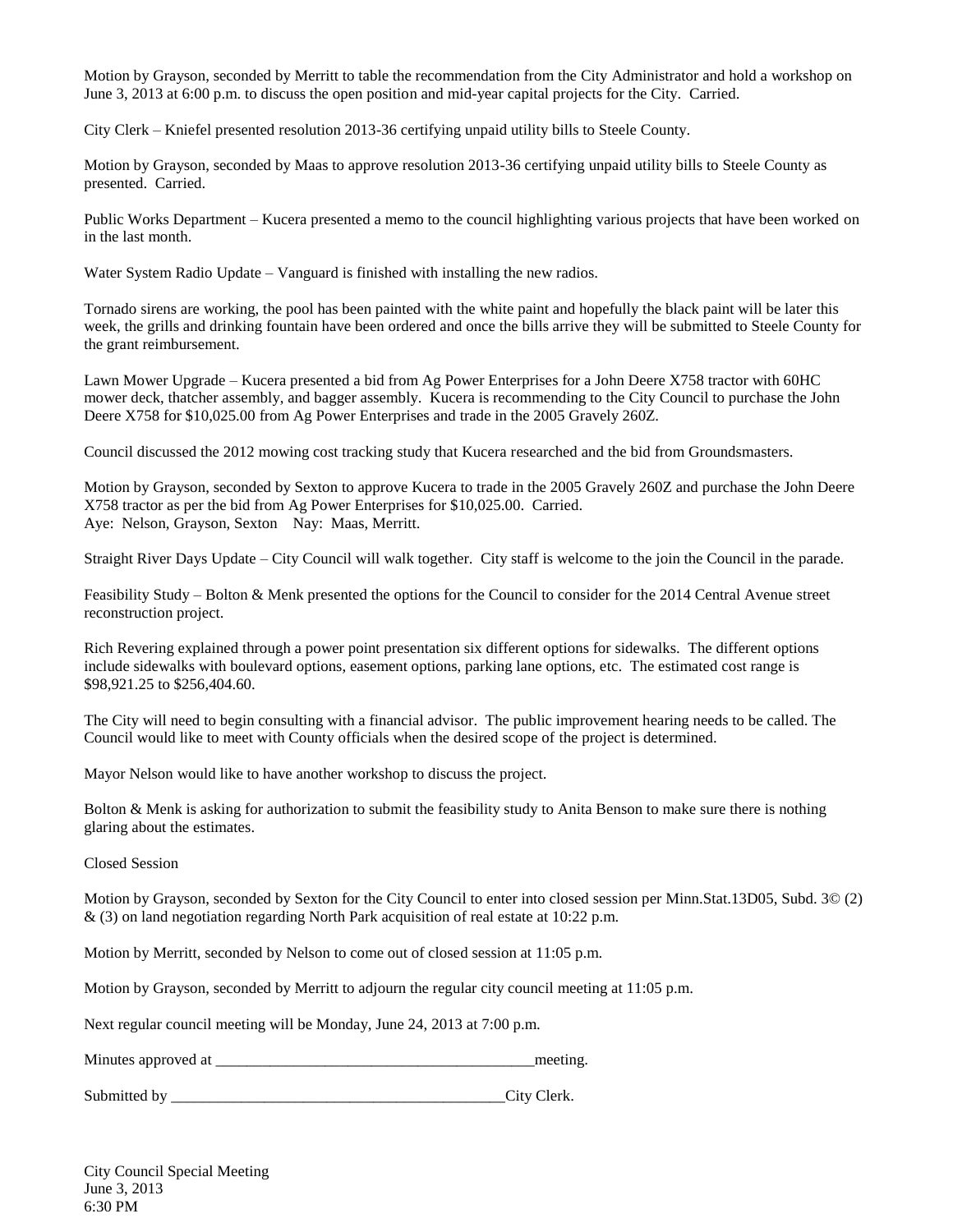Motion by Grayson, seconded by Merritt to table the recommendation from the City Administrator and hold a workshop on June 3, 2013 at 6:00 p.m. to discuss the open position and mid-year capital projects for the City. Carried.

City Clerk – Kniefel presented resolution 2013-36 certifying unpaid utility bills to Steele County.

Motion by Grayson, seconded by Maas to approve resolution 2013-36 certifying unpaid utility bills to Steele County as presented. Carried.

Public Works Department – Kucera presented a memo to the council highlighting various projects that have been worked on in the last month.

Water System Radio Update – Vanguard is finished with installing the new radios.

Tornado sirens are working, the pool has been painted with the white paint and hopefully the black paint will be later this week, the grills and drinking fountain have been ordered and once the bills arrive they will be submitted to Steele County for the grant reimbursement.

Lawn Mower Upgrade – Kucera presented a bid from Ag Power Enterprises for a John Deere X758 tractor with 60HC mower deck, thatcher assembly, and bagger assembly. Kucera is recommending to the City Council to purchase the John Deere X758 for \$10,025.00 from Ag Power Enterprises and trade in the 2005 Gravely 260Z.

Council discussed the 2012 mowing cost tracking study that Kucera researched and the bid from Groundsmasters.

Motion by Grayson, seconded by Sexton to approve Kucera to trade in the 2005 Gravely 260Z and purchase the John Deere X758 tractor as per the bid from Ag Power Enterprises for \$10,025.00. Carried. Aye: Nelson, Grayson, Sexton Nay: Maas, Merritt.

Straight River Days Update – City Council will walk together. City staff is welcome to the join the Council in the parade.

Feasibility Study – Bolton & Menk presented the options for the Council to consider for the 2014 Central Avenue street reconstruction project.

Rich Revering explained through a power point presentation six different options for sidewalks. The different options include sidewalks with boulevard options, easement options, parking lane options, etc. The estimated cost range is \$98,921.25 to \$256,404.60.

The City will need to begin consulting with a financial advisor. The public improvement hearing needs to be called. The Council would like to meet with County officials when the desired scope of the project is determined.

Mayor Nelson would like to have another workshop to discuss the project.

Bolton & Menk is asking for authorization to submit the feasibility study to Anita Benson to make sure there is nothing glaring about the estimates.

Closed Session

Motion by Grayson, seconded by Sexton for the City Council to enter into closed session per Minn.Stat.13D05, Subd. 3© (2) & (3) on land negotiation regarding North Park acquisition of real estate at 10:22 p.m.

Motion by Merritt, seconded by Nelson to come out of closed session at 11:05 p.m.

Motion by Grayson, seconded by Merritt to adjourn the regular city council meeting at 11:05 p.m.

Next regular council meeting will be Monday, June 24, 2013 at 7:00 p.m.

Minutes approved at \_\_\_\_\_\_\_\_\_\_\_\_\_\_\_\_\_\_\_\_\_\_\_\_\_\_\_\_\_\_\_\_\_\_\_\_\_\_\_\_\_meeting.

Submitted by \_\_\_\_\_\_\_\_\_\_\_\_\_\_\_\_\_\_\_\_\_\_\_\_\_\_\_\_\_\_\_\_\_\_\_\_\_\_\_\_\_\_\_City Clerk.

City Council Special Meeting June 3, 2013 6:30 PM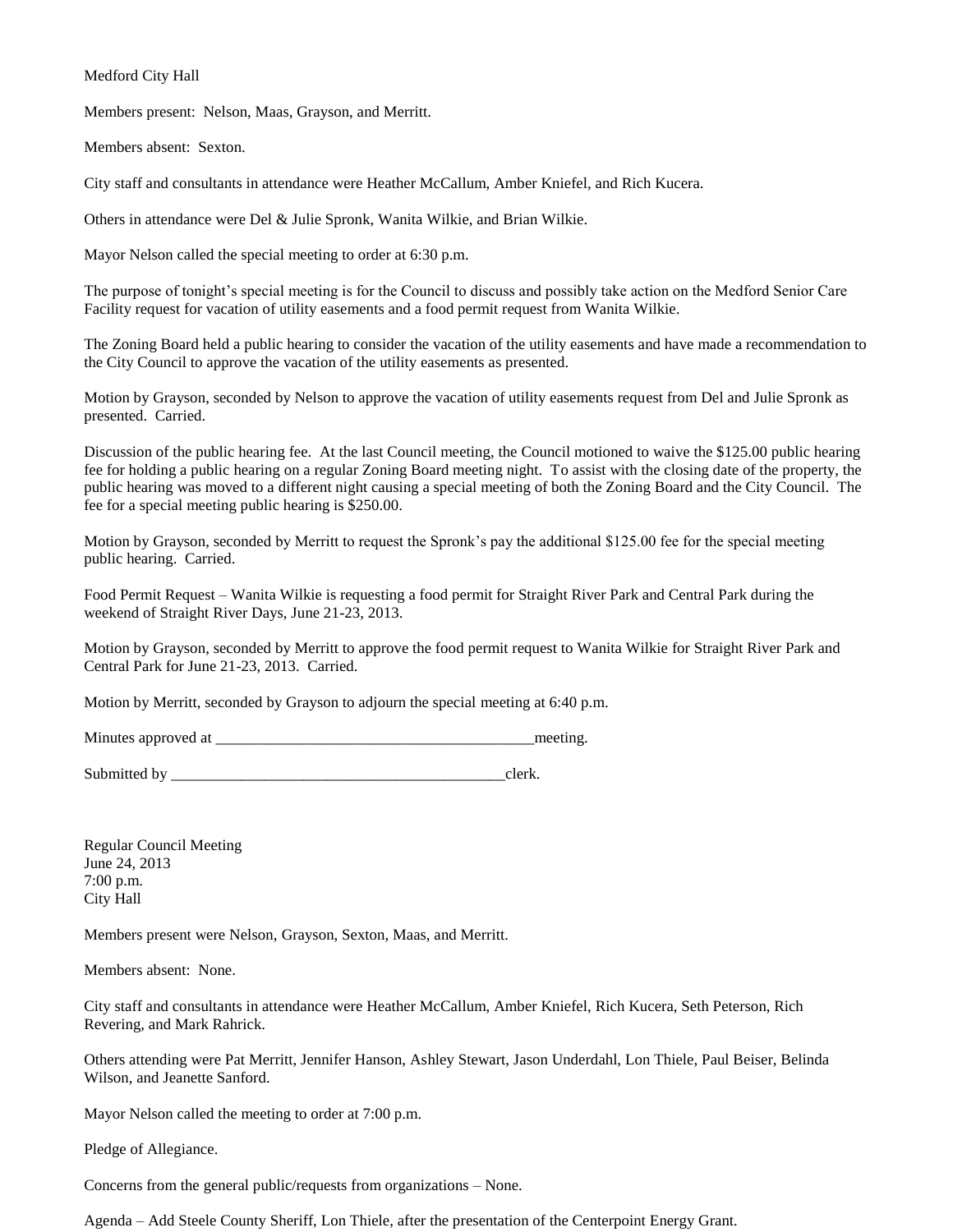## Medford City Hall

Members present: Nelson, Maas, Grayson, and Merritt.

Members absent: Sexton.

City staff and consultants in attendance were Heather McCallum, Amber Kniefel, and Rich Kucera.

Others in attendance were Del & Julie Spronk, Wanita Wilkie, and Brian Wilkie.

Mayor Nelson called the special meeting to order at 6:30 p.m.

The purpose of tonight's special meeting is for the Council to discuss and possibly take action on the Medford Senior Care Facility request for vacation of utility easements and a food permit request from Wanita Wilkie.

The Zoning Board held a public hearing to consider the vacation of the utility easements and have made a recommendation to the City Council to approve the vacation of the utility easements as presented.

Motion by Grayson, seconded by Nelson to approve the vacation of utility easements request from Del and Julie Spronk as presented. Carried.

Discussion of the public hearing fee. At the last Council meeting, the Council motioned to waive the \$125.00 public hearing fee for holding a public hearing on a regular Zoning Board meeting night. To assist with the closing date of the property, the public hearing was moved to a different night causing a special meeting of both the Zoning Board and the City Council. The fee for a special meeting public hearing is \$250.00.

Motion by Grayson, seconded by Merritt to request the Spronk's pay the additional \$125.00 fee for the special meeting public hearing. Carried.

Food Permit Request – Wanita Wilkie is requesting a food permit for Straight River Park and Central Park during the weekend of Straight River Days, June 21-23, 2013.

Motion by Grayson, seconded by Merritt to approve the food permit request to Wanita Wilkie for Straight River Park and Central Park for June 21-23, 2013. Carried.

Motion by Merritt, seconded by Grayson to adjourn the special meeting at 6:40 p.m.

Minutes approved at  $\Box$ 

Submitted by \_\_\_\_\_\_\_\_\_\_\_\_\_\_\_\_\_\_\_\_\_\_\_\_\_\_\_\_\_\_\_\_\_\_\_\_\_\_\_\_\_\_\_clerk.

Regular Council Meeting June 24, 2013 7:00 p.m. City Hall

Members present were Nelson, Grayson, Sexton, Maas, and Merritt.

Members absent: None.

City staff and consultants in attendance were Heather McCallum, Amber Kniefel, Rich Kucera, Seth Peterson, Rich Revering, and Mark Rahrick.

Others attending were Pat Merritt, Jennifer Hanson, Ashley Stewart, Jason Underdahl, Lon Thiele, Paul Beiser, Belinda Wilson, and Jeanette Sanford.

Mayor Nelson called the meeting to order at 7:00 p.m.

Pledge of Allegiance.

Concerns from the general public/requests from organizations – None.

Agenda – Add Steele County Sheriff, Lon Thiele, after the presentation of the Centerpoint Energy Grant.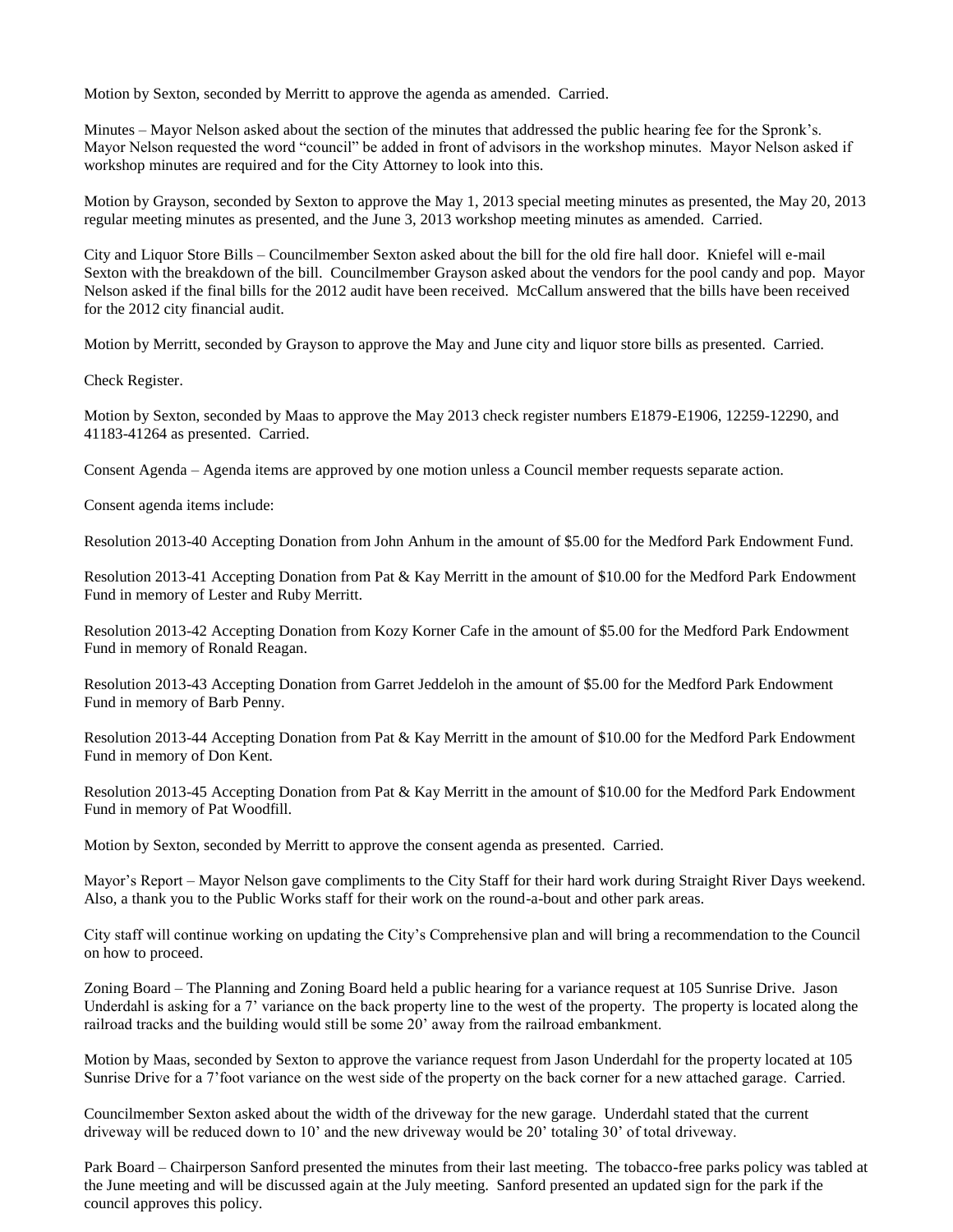Motion by Sexton, seconded by Merritt to approve the agenda as amended. Carried.

Minutes – Mayor Nelson asked about the section of the minutes that addressed the public hearing fee for the Spronk's. Mayor Nelson requested the word "council" be added in front of advisors in the workshop minutes. Mayor Nelson asked if workshop minutes are required and for the City Attorney to look into this.

Motion by Grayson, seconded by Sexton to approve the May 1, 2013 special meeting minutes as presented, the May 20, 2013 regular meeting minutes as presented, and the June 3, 2013 workshop meeting minutes as amended. Carried.

City and Liquor Store Bills – Councilmember Sexton asked about the bill for the old fire hall door. Kniefel will e-mail Sexton with the breakdown of the bill. Councilmember Grayson asked about the vendors for the pool candy and pop. Mayor Nelson asked if the final bills for the 2012 audit have been received. McCallum answered that the bills have been received for the 2012 city financial audit.

Motion by Merritt, seconded by Grayson to approve the May and June city and liquor store bills as presented. Carried.

Check Register.

Motion by Sexton, seconded by Maas to approve the May 2013 check register numbers E1879-E1906, 12259-12290, and 41183-41264 as presented. Carried.

Consent Agenda – Agenda items are approved by one motion unless a Council member requests separate action.

Consent agenda items include:

Resolution 2013-40 Accepting Donation from John Anhum in the amount of \$5.00 for the Medford Park Endowment Fund.

Resolution 2013-41 Accepting Donation from Pat & Kay Merritt in the amount of \$10.00 for the Medford Park Endowment Fund in memory of Lester and Ruby Merritt.

Resolution 2013-42 Accepting Donation from Kozy Korner Cafe in the amount of \$5.00 for the Medford Park Endowment Fund in memory of Ronald Reagan.

Resolution 2013-43 Accepting Donation from Garret Jeddeloh in the amount of \$5.00 for the Medford Park Endowment Fund in memory of Barb Penny.

Resolution 2013-44 Accepting Donation from Pat & Kay Merritt in the amount of \$10.00 for the Medford Park Endowment Fund in memory of Don Kent.

Resolution 2013-45 Accepting Donation from Pat & Kay Merritt in the amount of \$10.00 for the Medford Park Endowment Fund in memory of Pat Woodfill.

Motion by Sexton, seconded by Merritt to approve the consent agenda as presented. Carried.

Mayor's Report – Mayor Nelson gave compliments to the City Staff for their hard work during Straight River Days weekend. Also, a thank you to the Public Works staff for their work on the round-a-bout and other park areas.

City staff will continue working on updating the City's Comprehensive plan and will bring a recommendation to the Council on how to proceed.

Zoning Board – The Planning and Zoning Board held a public hearing for a variance request at 105 Sunrise Drive. Jason Underdahl is asking for a 7' variance on the back property line to the west of the property. The property is located along the railroad tracks and the building would still be some 20' away from the railroad embankment.

Motion by Maas, seconded by Sexton to approve the variance request from Jason Underdahl for the property located at 105 Sunrise Drive for a 7'foot variance on the west side of the property on the back corner for a new attached garage. Carried.

Councilmember Sexton asked about the width of the driveway for the new garage. Underdahl stated that the current driveway will be reduced down to 10' and the new driveway would be 20' totaling 30' of total driveway.

Park Board – Chairperson Sanford presented the minutes from their last meeting. The tobacco-free parks policy was tabled at the June meeting and will be discussed again at the July meeting. Sanford presented an updated sign for the park if the council approves this policy.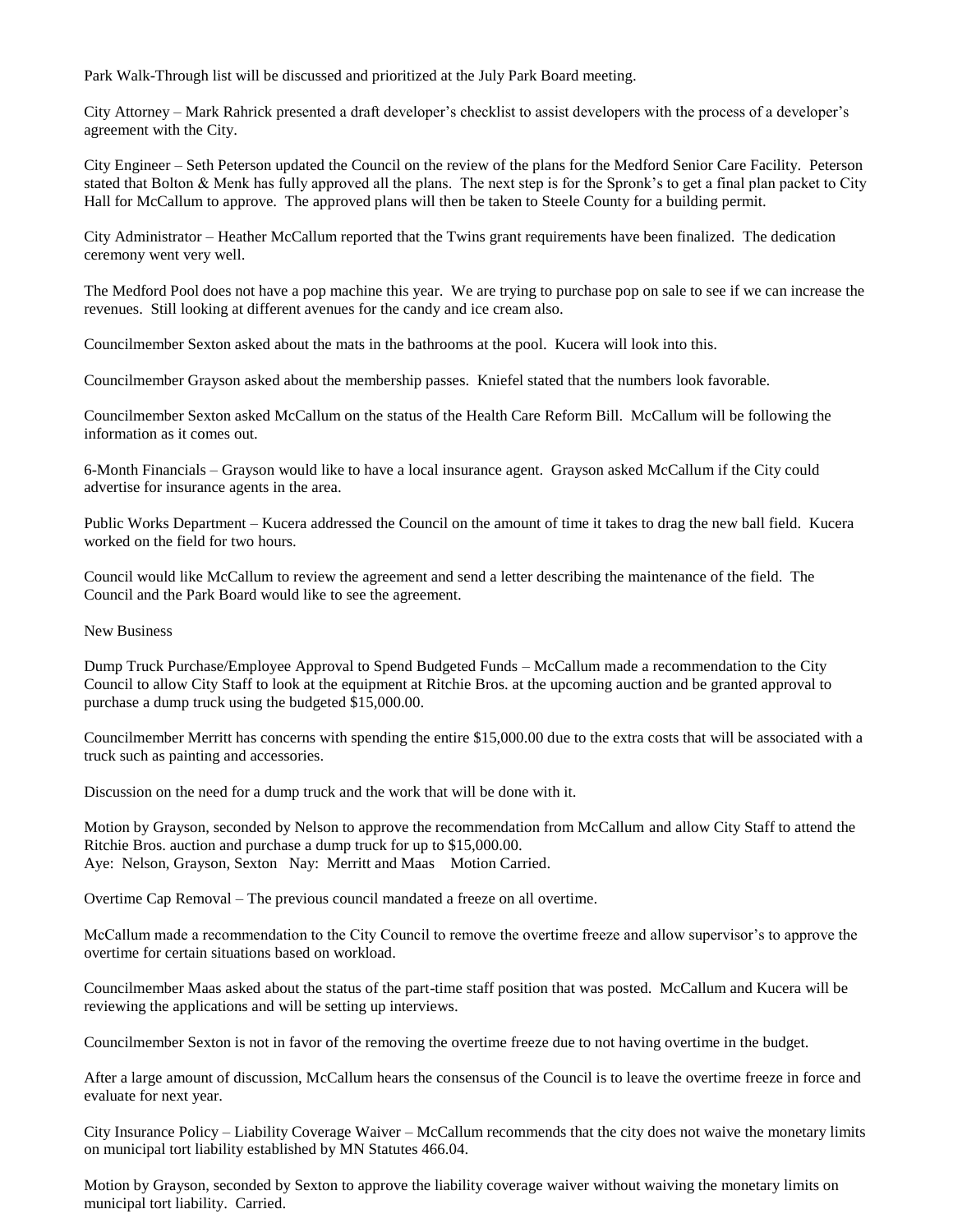Park Walk-Through list will be discussed and prioritized at the July Park Board meeting.

City Attorney – Mark Rahrick presented a draft developer's checklist to assist developers with the process of a developer's agreement with the City.

City Engineer – Seth Peterson updated the Council on the review of the plans for the Medford Senior Care Facility. Peterson stated that Bolton & Menk has fully approved all the plans. The next step is for the Spronk's to get a final plan packet to City Hall for McCallum to approve. The approved plans will then be taken to Steele County for a building permit.

City Administrator – Heather McCallum reported that the Twins grant requirements have been finalized. The dedication ceremony went very well.

The Medford Pool does not have a pop machine this year. We are trying to purchase pop on sale to see if we can increase the revenues. Still looking at different avenues for the candy and ice cream also.

Councilmember Sexton asked about the mats in the bathrooms at the pool. Kucera will look into this.

Councilmember Grayson asked about the membership passes. Kniefel stated that the numbers look favorable.

Councilmember Sexton asked McCallum on the status of the Health Care Reform Bill. McCallum will be following the information as it comes out.

6-Month Financials – Grayson would like to have a local insurance agent. Grayson asked McCallum if the City could advertise for insurance agents in the area.

Public Works Department – Kucera addressed the Council on the amount of time it takes to drag the new ball field. Kucera worked on the field for two hours.

Council would like McCallum to review the agreement and send a letter describing the maintenance of the field. The Council and the Park Board would like to see the agreement.

New Business

Dump Truck Purchase/Employee Approval to Spend Budgeted Funds – McCallum made a recommendation to the City Council to allow City Staff to look at the equipment at Ritchie Bros. at the upcoming auction and be granted approval to purchase a dump truck using the budgeted \$15,000.00.

Councilmember Merritt has concerns with spending the entire \$15,000.00 due to the extra costs that will be associated with a truck such as painting and accessories.

Discussion on the need for a dump truck and the work that will be done with it.

Motion by Grayson, seconded by Nelson to approve the recommendation from McCallum and allow City Staff to attend the Ritchie Bros. auction and purchase a dump truck for up to \$15,000.00. Aye: Nelson, Grayson, Sexton Nay: Merritt and Maas Motion Carried.

Overtime Cap Removal – The previous council mandated a freeze on all overtime.

McCallum made a recommendation to the City Council to remove the overtime freeze and allow supervisor's to approve the overtime for certain situations based on workload.

Councilmember Maas asked about the status of the part-time staff position that was posted. McCallum and Kucera will be reviewing the applications and will be setting up interviews.

Councilmember Sexton is not in favor of the removing the overtime freeze due to not having overtime in the budget.

After a large amount of discussion, McCallum hears the consensus of the Council is to leave the overtime freeze in force and evaluate for next year.

City Insurance Policy – Liability Coverage Waiver – McCallum recommends that the city does not waive the monetary limits on municipal tort liability established by MN Statutes 466.04.

Motion by Grayson, seconded by Sexton to approve the liability coverage waiver without waiving the monetary limits on municipal tort liability. Carried.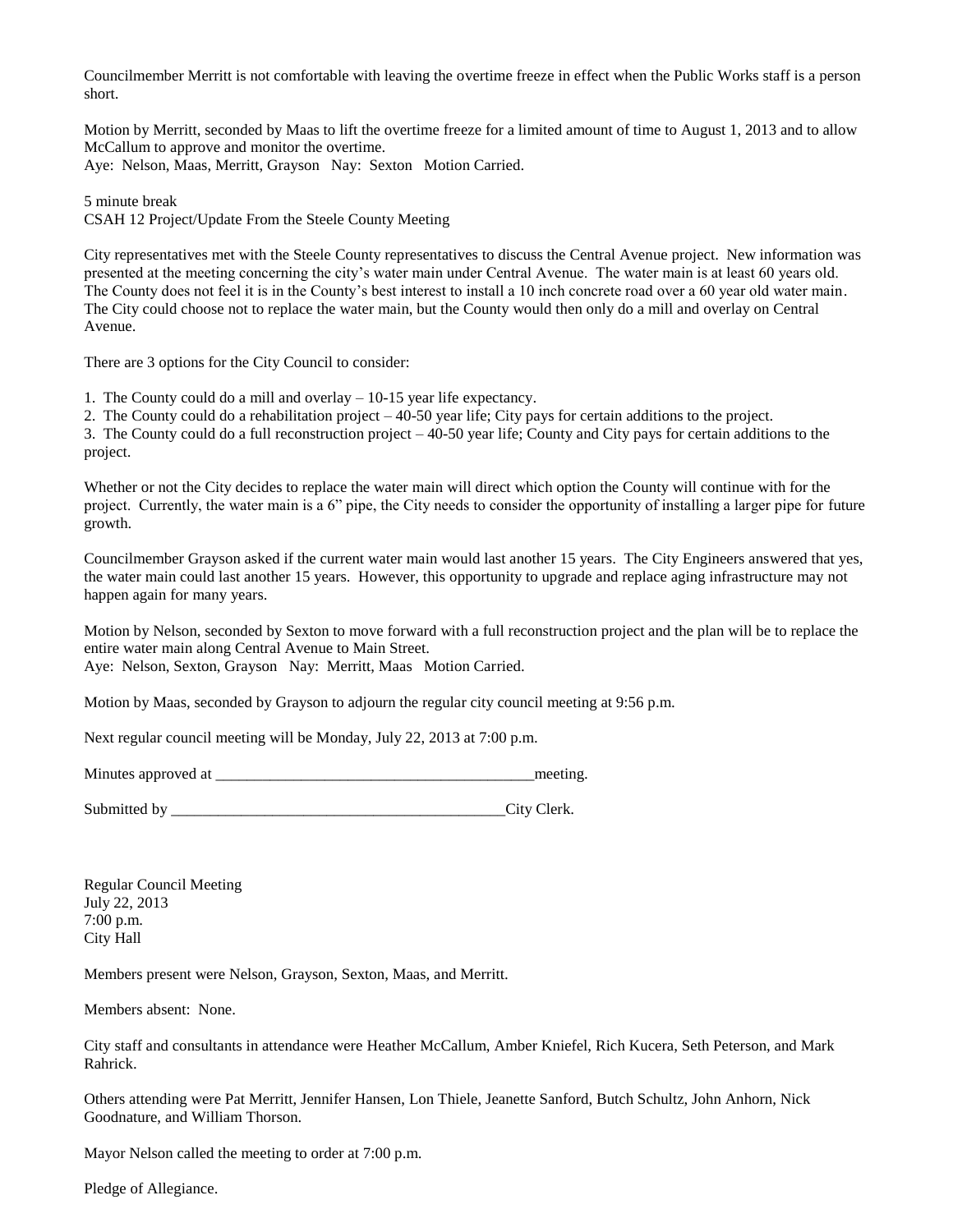Councilmember Merritt is not comfortable with leaving the overtime freeze in effect when the Public Works staff is a person short.

Motion by Merritt, seconded by Maas to lift the overtime freeze for a limited amount of time to August 1, 2013 and to allow McCallum to approve and monitor the overtime.

Aye: Nelson, Maas, Merritt, Grayson Nay: Sexton Motion Carried.

5 minute break

CSAH 12 Project/Update From the Steele County Meeting

City representatives met with the Steele County representatives to discuss the Central Avenue project. New information was presented at the meeting concerning the city's water main under Central Avenue. The water main is at least 60 years old. The County does not feel it is in the County's best interest to install a 10 inch concrete road over a 60 year old water main. The City could choose not to replace the water main, but the County would then only do a mill and overlay on Central Avenue.

There are 3 options for the City Council to consider:

1. The County could do a mill and overlay – 10-15 year life expectancy.

2. The County could do a rehabilitation project – 40-50 year life; City pays for certain additions to the project.

3. The County could do a full reconstruction project – 40-50 year life; County and City pays for certain additions to the project.

Whether or not the City decides to replace the water main will direct which option the County will continue with for the project. Currently, the water main is a 6" pipe, the City needs to consider the opportunity of installing a larger pipe for future growth.

Councilmember Grayson asked if the current water main would last another 15 years. The City Engineers answered that yes, the water main could last another 15 years. However, this opportunity to upgrade and replace aging infrastructure may not happen again for many years.

Motion by Nelson, seconded by Sexton to move forward with a full reconstruction project and the plan will be to replace the entire water main along Central Avenue to Main Street.

Aye: Nelson, Sexton, Grayson Nay: Merritt, Maas Motion Carried.

Motion by Maas, seconded by Grayson to adjourn the regular city council meeting at 9:56 p.m.

Next regular council meeting will be Monday, July 22, 2013 at 7:00 p.m.

Minutes approved at \_\_\_\_\_\_\_\_\_\_\_\_\_\_\_\_\_\_\_\_\_\_\_\_\_\_\_\_\_\_\_\_\_\_\_\_\_\_\_\_\_meeting.

Submitted by \_\_\_\_\_\_\_\_\_\_\_\_\_\_\_\_\_\_\_\_\_\_\_\_\_\_\_\_\_\_\_\_\_\_\_\_\_\_\_\_\_\_\_City Clerk.

Regular Council Meeting July 22, 2013 7:00 p.m. City Hall

Members present were Nelson, Grayson, Sexton, Maas, and Merritt.

Members absent: None.

City staff and consultants in attendance were Heather McCallum, Amber Kniefel, Rich Kucera, Seth Peterson, and Mark Rahrick.

Others attending were Pat Merritt, Jennifer Hansen, Lon Thiele, Jeanette Sanford, Butch Schultz, John Anhorn, Nick Goodnature, and William Thorson.

Mayor Nelson called the meeting to order at 7:00 p.m.

Pledge of Allegiance.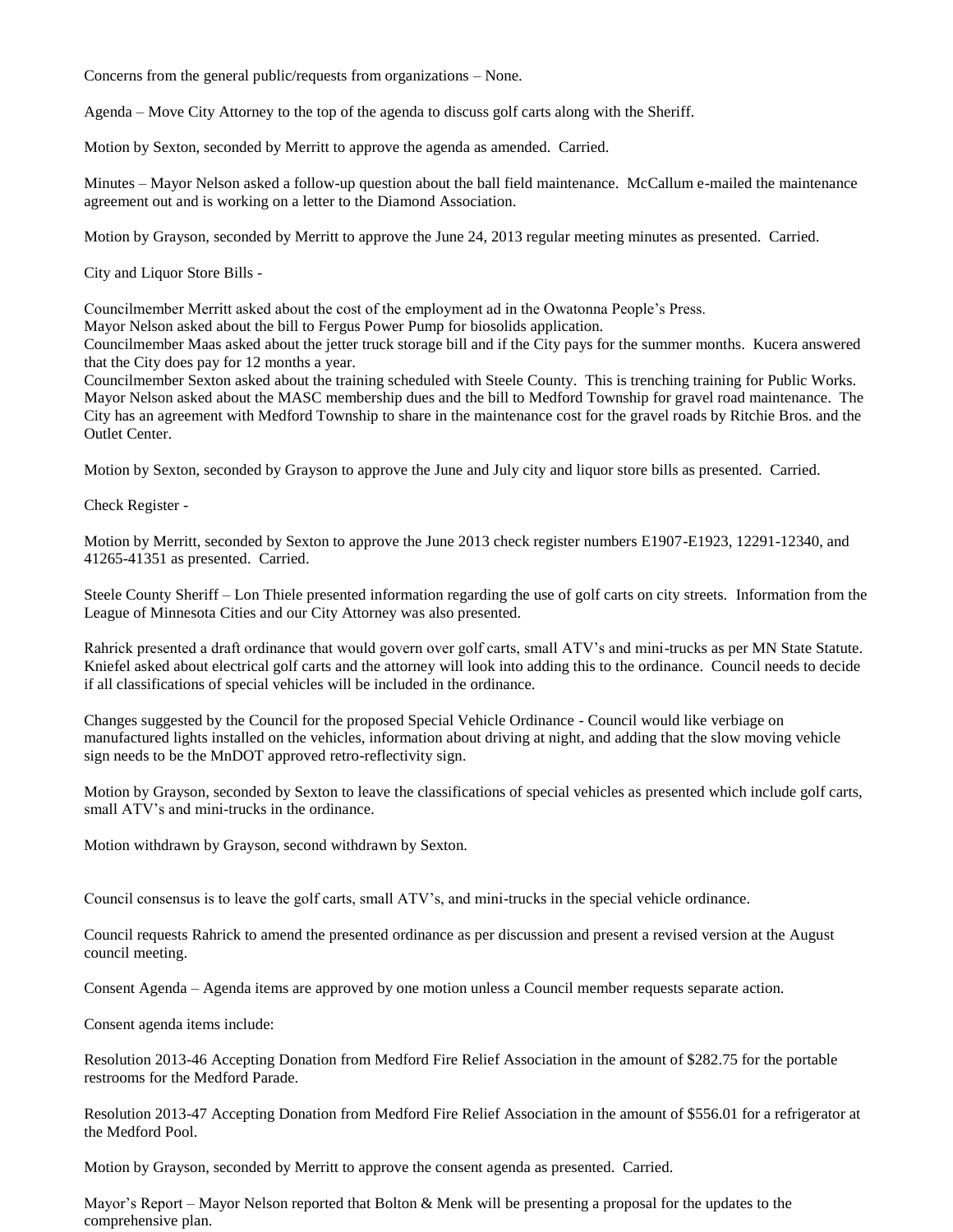Concerns from the general public/requests from organizations – None.

Agenda – Move City Attorney to the top of the agenda to discuss golf carts along with the Sheriff.

Motion by Sexton, seconded by Merritt to approve the agenda as amended. Carried.

Minutes – Mayor Nelson asked a follow-up question about the ball field maintenance. McCallum e-mailed the maintenance agreement out and is working on a letter to the Diamond Association.

Motion by Grayson, seconded by Merritt to approve the June 24, 2013 regular meeting minutes as presented. Carried.

City and Liquor Store Bills -

Councilmember Merritt asked about the cost of the employment ad in the Owatonna People's Press.

Mayor Nelson asked about the bill to Fergus Power Pump for biosolids application.

Councilmember Maas asked about the jetter truck storage bill and if the City pays for the summer months. Kucera answered that the City does pay for 12 months a year.

Councilmember Sexton asked about the training scheduled with Steele County. This is trenching training for Public Works. Mayor Nelson asked about the MASC membership dues and the bill to Medford Township for gravel road maintenance. The City has an agreement with Medford Township to share in the maintenance cost for the gravel roads by Ritchie Bros. and the Outlet Center.

Motion by Sexton, seconded by Grayson to approve the June and July city and liquor store bills as presented. Carried.

Check Register -

Motion by Merritt, seconded by Sexton to approve the June 2013 check register numbers E1907-E1923, 12291-12340, and 41265-41351 as presented. Carried.

Steele County Sheriff – Lon Thiele presented information regarding the use of golf carts on city streets. Information from the League of Minnesota Cities and our City Attorney was also presented.

Rahrick presented a draft ordinance that would govern over golf carts, small ATV's and mini-trucks as per MN State Statute. Kniefel asked about electrical golf carts and the attorney will look into adding this to the ordinance. Council needs to decide if all classifications of special vehicles will be included in the ordinance.

Changes suggested by the Council for the proposed Special Vehicle Ordinance - Council would like verbiage on manufactured lights installed on the vehicles, information about driving at night, and adding that the slow moving vehicle sign needs to be the MnDOT approved retro-reflectivity sign.

Motion by Grayson, seconded by Sexton to leave the classifications of special vehicles as presented which include golf carts, small ATV's and mini-trucks in the ordinance.

Motion withdrawn by Grayson, second withdrawn by Sexton.

Council consensus is to leave the golf carts, small ATV's, and mini-trucks in the special vehicle ordinance.

Council requests Rahrick to amend the presented ordinance as per discussion and present a revised version at the August council meeting.

Consent Agenda – Agenda items are approved by one motion unless a Council member requests separate action.

Consent agenda items include:

Resolution 2013-46 Accepting Donation from Medford Fire Relief Association in the amount of \$282.75 for the portable restrooms for the Medford Parade.

Resolution 2013-47 Accepting Donation from Medford Fire Relief Association in the amount of \$556.01 for a refrigerator at the Medford Pool.

Motion by Grayson, seconded by Merritt to approve the consent agenda as presented. Carried.

Mayor's Report – Mayor Nelson reported that Bolton & Menk will be presenting a proposal for the updates to the comprehensive plan.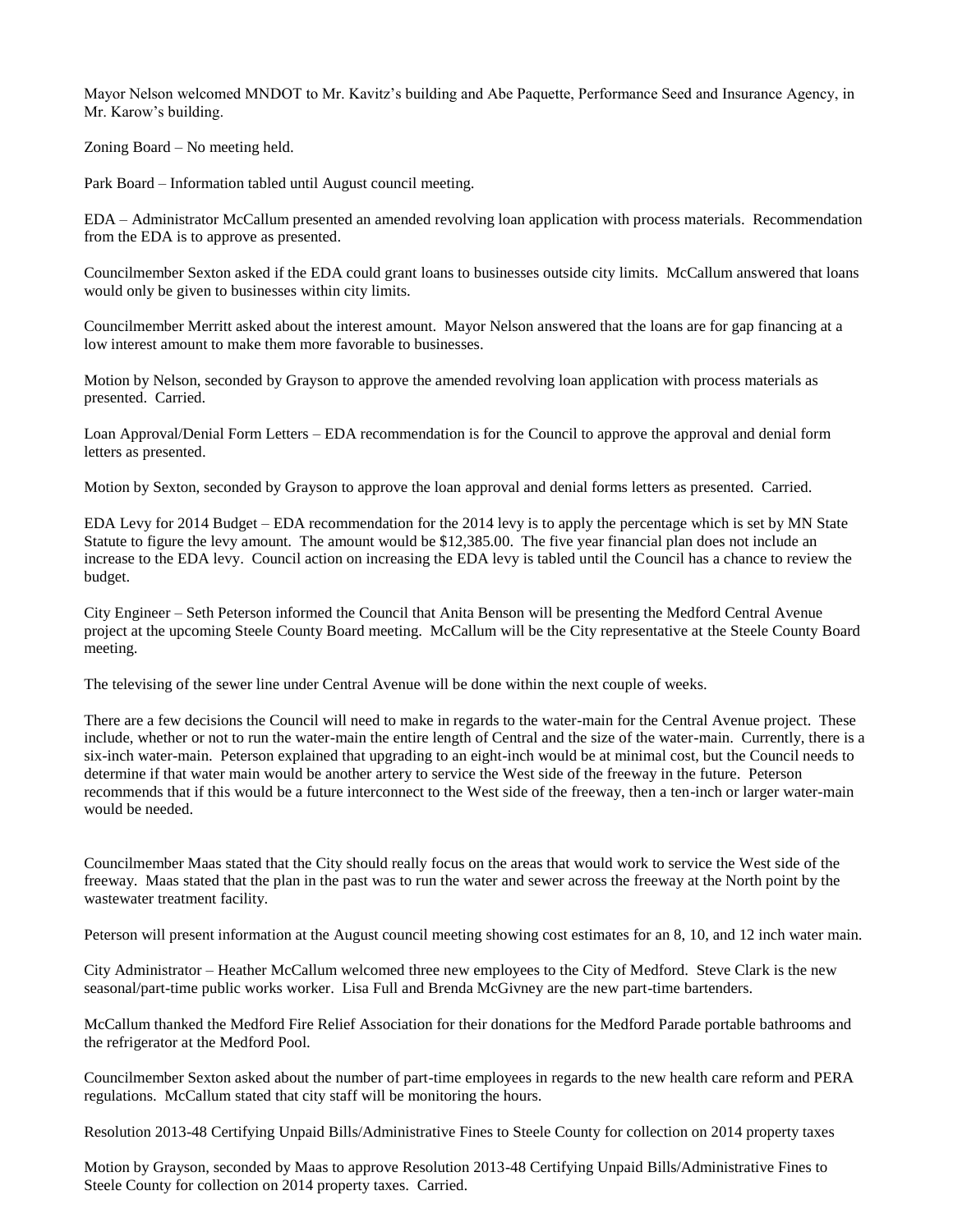Mayor Nelson welcomed MNDOT to Mr. Kavitz's building and Abe Paquette, Performance Seed and Insurance Agency, in Mr. Karow's building.

Zoning Board – No meeting held.

Park Board – Information tabled until August council meeting.

EDA – Administrator McCallum presented an amended revolving loan application with process materials. Recommendation from the EDA is to approve as presented.

Councilmember Sexton asked if the EDA could grant loans to businesses outside city limits. McCallum answered that loans would only be given to businesses within city limits.

Councilmember Merritt asked about the interest amount. Mayor Nelson answered that the loans are for gap financing at a low interest amount to make them more favorable to businesses.

Motion by Nelson, seconded by Grayson to approve the amended revolving loan application with process materials as presented. Carried.

Loan Approval/Denial Form Letters – EDA recommendation is for the Council to approve the approval and denial form letters as presented.

Motion by Sexton, seconded by Grayson to approve the loan approval and denial forms letters as presented. Carried.

EDA Levy for 2014 Budget – EDA recommendation for the 2014 levy is to apply the percentage which is set by MN State Statute to figure the levy amount. The amount would be \$12,385.00. The five year financial plan does not include an increase to the EDA levy. Council action on increasing the EDA levy is tabled until the Council has a chance to review the budget.

City Engineer – Seth Peterson informed the Council that Anita Benson will be presenting the Medford Central Avenue project at the upcoming Steele County Board meeting. McCallum will be the City representative at the Steele County Board meeting.

The televising of the sewer line under Central Avenue will be done within the next couple of weeks.

There are a few decisions the Council will need to make in regards to the water-main for the Central Avenue project. These include, whether or not to run the water-main the entire length of Central and the size of the water-main. Currently, there is a six-inch water-main. Peterson explained that upgrading to an eight-inch would be at minimal cost, but the Council needs to determine if that water main would be another artery to service the West side of the freeway in the future. Peterson recommends that if this would be a future interconnect to the West side of the freeway, then a ten-inch or larger water-main would be needed.

Councilmember Maas stated that the City should really focus on the areas that would work to service the West side of the freeway. Maas stated that the plan in the past was to run the water and sewer across the freeway at the North point by the wastewater treatment facility.

Peterson will present information at the August council meeting showing cost estimates for an 8, 10, and 12 inch water main.

City Administrator – Heather McCallum welcomed three new employees to the City of Medford. Steve Clark is the new seasonal/part-time public works worker. Lisa Full and Brenda McGivney are the new part-time bartenders.

McCallum thanked the Medford Fire Relief Association for their donations for the Medford Parade portable bathrooms and the refrigerator at the Medford Pool.

Councilmember Sexton asked about the number of part-time employees in regards to the new health care reform and PERA regulations. McCallum stated that city staff will be monitoring the hours.

Resolution 2013-48 Certifying Unpaid Bills/Administrative Fines to Steele County for collection on 2014 property taxes

Motion by Grayson, seconded by Maas to approve Resolution 2013-48 Certifying Unpaid Bills/Administrative Fines to Steele County for collection on 2014 property taxes. Carried.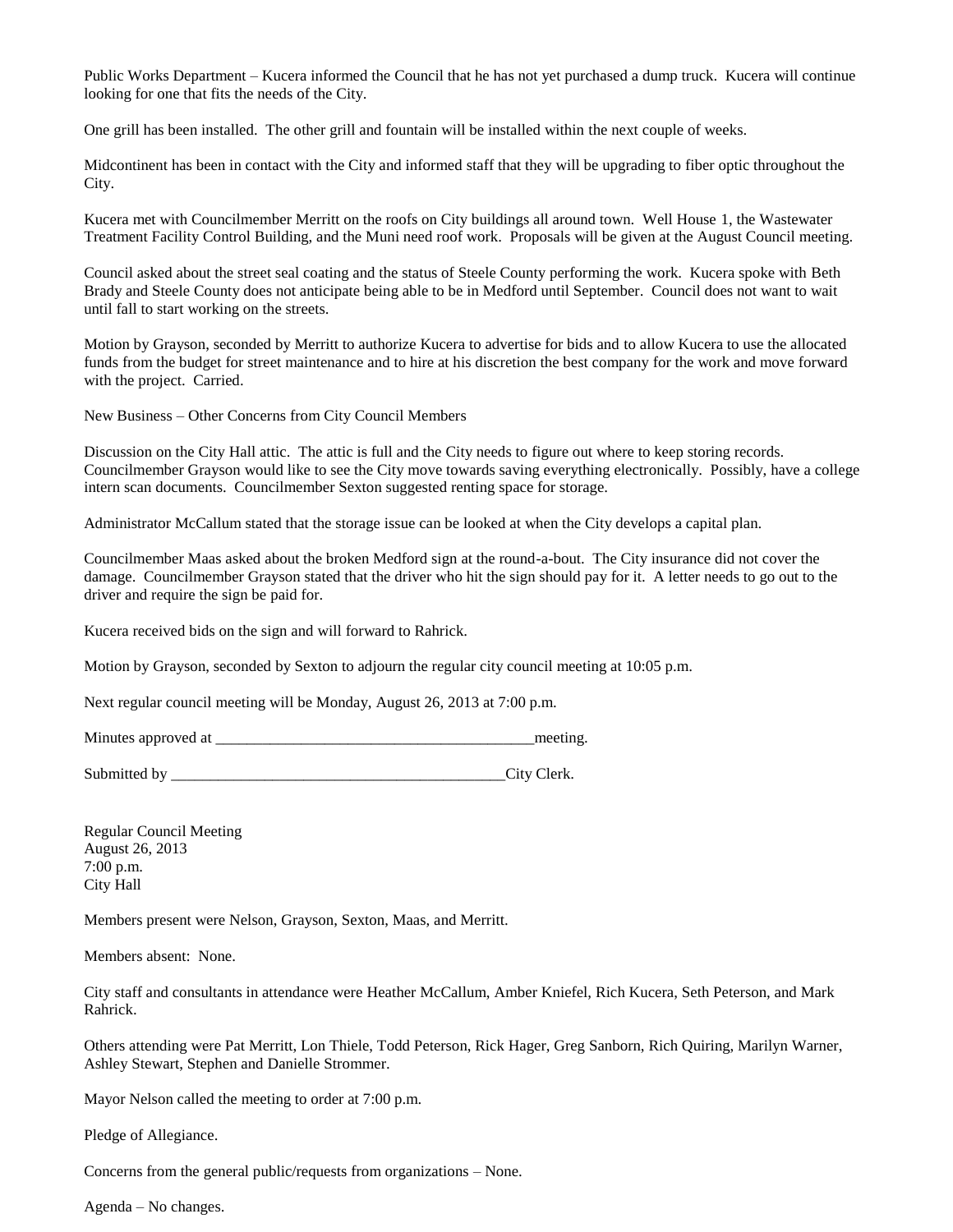Public Works Department – Kucera informed the Council that he has not yet purchased a dump truck. Kucera will continue looking for one that fits the needs of the City.

One grill has been installed. The other grill and fountain will be installed within the next couple of weeks.

Midcontinent has been in contact with the City and informed staff that they will be upgrading to fiber optic throughout the City.

Kucera met with Councilmember Merritt on the roofs on City buildings all around town. Well House 1, the Wastewater Treatment Facility Control Building, and the Muni need roof work. Proposals will be given at the August Council meeting.

Council asked about the street seal coating and the status of Steele County performing the work. Kucera spoke with Beth Brady and Steele County does not anticipate being able to be in Medford until September. Council does not want to wait until fall to start working on the streets.

Motion by Grayson, seconded by Merritt to authorize Kucera to advertise for bids and to allow Kucera to use the allocated funds from the budget for street maintenance and to hire at his discretion the best company for the work and move forward with the project. Carried.

New Business – Other Concerns from City Council Members

Discussion on the City Hall attic. The attic is full and the City needs to figure out where to keep storing records. Councilmember Grayson would like to see the City move towards saving everything electronically. Possibly, have a college intern scan documents. Councilmember Sexton suggested renting space for storage.

Administrator McCallum stated that the storage issue can be looked at when the City develops a capital plan.

Councilmember Maas asked about the broken Medford sign at the round-a-bout. The City insurance did not cover the damage. Councilmember Grayson stated that the driver who hit the sign should pay for it. A letter needs to go out to the driver and require the sign be paid for.

Kucera received bids on the sign and will forward to Rahrick.

Motion by Grayson, seconded by Sexton to adjourn the regular city council meeting at 10:05 p.m.

Next regular council meeting will be Monday, August 26, 2013 at 7:00 p.m.

Minutes approved at \_\_\_\_\_\_\_\_\_\_\_\_\_\_\_\_\_\_\_\_\_\_\_\_\_\_\_\_\_\_\_\_\_\_\_\_\_\_\_\_\_meeting.

Submitted by \_\_\_\_\_\_\_\_\_\_\_\_\_\_\_\_\_\_\_\_\_\_\_\_\_\_\_\_\_\_\_\_\_\_\_\_\_\_\_\_\_\_\_City Clerk.

Regular Council Meeting August 26, 2013 7:00 p.m. City Hall

Members present were Nelson, Grayson, Sexton, Maas, and Merritt.

Members absent: None.

City staff and consultants in attendance were Heather McCallum, Amber Kniefel, Rich Kucera, Seth Peterson, and Mark Rahrick.

Others attending were Pat Merritt, Lon Thiele, Todd Peterson, Rick Hager, Greg Sanborn, Rich Quiring, Marilyn Warner, Ashley Stewart, Stephen and Danielle Strommer.

Mayor Nelson called the meeting to order at 7:00 p.m.

Pledge of Allegiance.

Concerns from the general public/requests from organizations – None.

Agenda – No changes.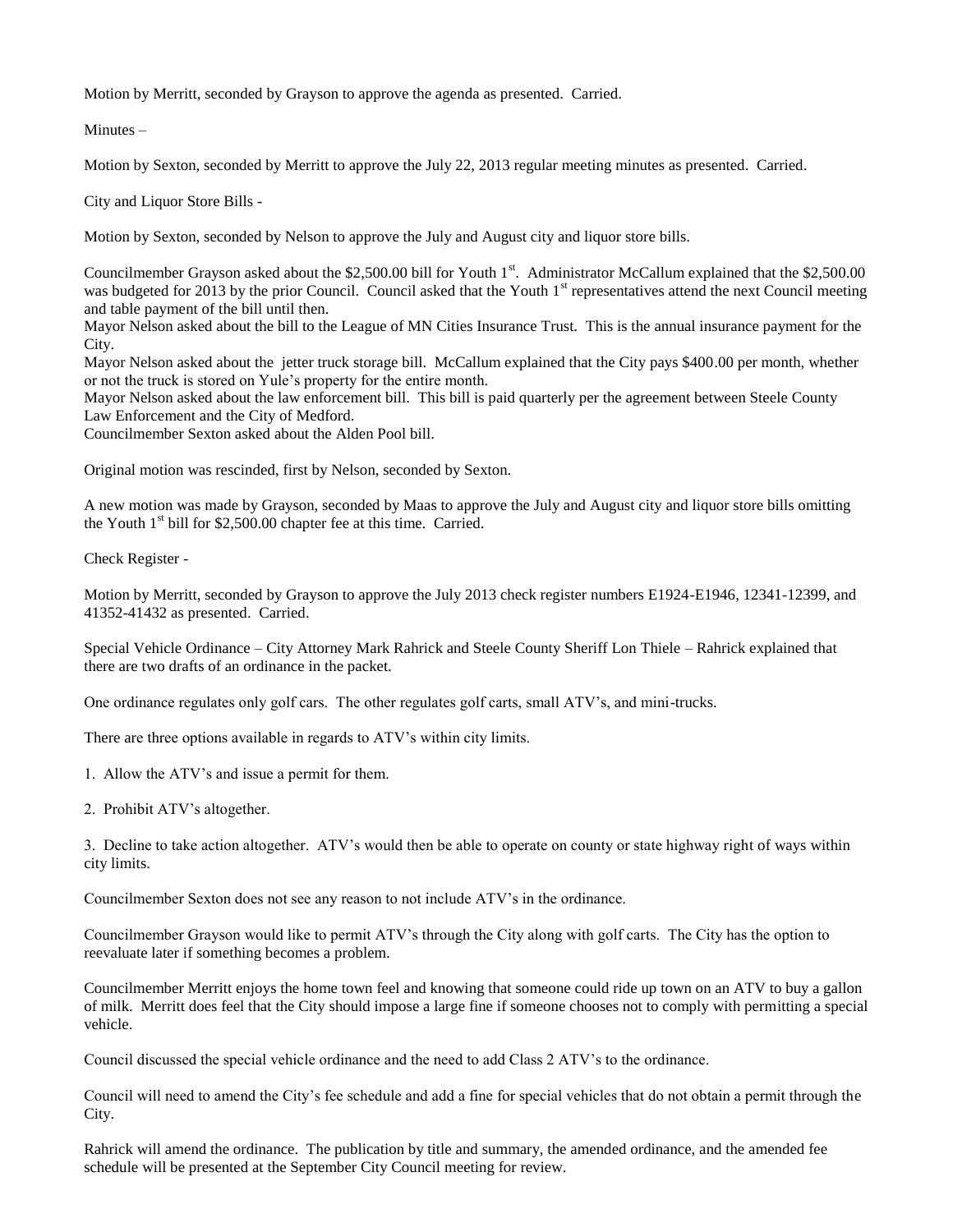Motion by Merritt, seconded by Grayson to approve the agenda as presented. Carried.

Minutes –

Motion by Sexton, seconded by Merritt to approve the July 22, 2013 regular meeting minutes as presented. Carried.

City and Liquor Store Bills -

Motion by Sexton, seconded by Nelson to approve the July and August city and liquor store bills.

Councilmember Grayson asked about the \$2,500.00 bill for Youth  $1<sup>st</sup>$ . Administrator McCallum explained that the \$2,500.00 was budgeted for 2013 by the prior Council. Council asked that the Youth  $1<sup>st</sup>$  representatives attend the next Council meeting and table payment of the bill until then.

Mayor Nelson asked about the bill to the League of MN Cities Insurance Trust. This is the annual insurance payment for the City.

Mayor Nelson asked about the jetter truck storage bill. McCallum explained that the City pays \$400.00 per month, whether or not the truck is stored on Yule's property for the entire month.

Mayor Nelson asked about the law enforcement bill. This bill is paid quarterly per the agreement between Steele County Law Enforcement and the City of Medford.

Councilmember Sexton asked about the Alden Pool bill.

Original motion was rescinded, first by Nelson, seconded by Sexton.

A new motion was made by Grayson, seconded by Maas to approve the July and August city and liquor store bills omitting the Youth  $1<sup>st</sup>$  bill for \$2,500.00 chapter fee at this time. Carried.

Check Register -

Motion by Merritt, seconded by Grayson to approve the July 2013 check register numbers E1924-E1946, 12341-12399, and 41352-41432 as presented. Carried.

Special Vehicle Ordinance – City Attorney Mark Rahrick and Steele County Sheriff Lon Thiele – Rahrick explained that there are two drafts of an ordinance in the packet.

One ordinance regulates only golf cars. The other regulates golf carts, small ATV's, and mini-trucks.

There are three options available in regards to ATV's within city limits.

1. Allow the ATV's and issue a permit for them.

2. Prohibit ATV's altogether.

3. Decline to take action altogether. ATV's would then be able to operate on county or state highway right of ways within city limits.

Councilmember Sexton does not see any reason to not include ATV's in the ordinance.

Councilmember Grayson would like to permit ATV's through the City along with golf carts. The City has the option to reevaluate later if something becomes a problem.

Councilmember Merritt enjoys the home town feel and knowing that someone could ride up town on an ATV to buy a gallon of milk. Merritt does feel that the City should impose a large fine if someone chooses not to comply with permitting a special vehicle.

Council discussed the special vehicle ordinance and the need to add Class 2 ATV's to the ordinance.

Council will need to amend the City's fee schedule and add a fine for special vehicles that do not obtain a permit through the City.

Rahrick will amend the ordinance. The publication by title and summary, the amended ordinance, and the amended fee schedule will be presented at the September City Council meeting for review.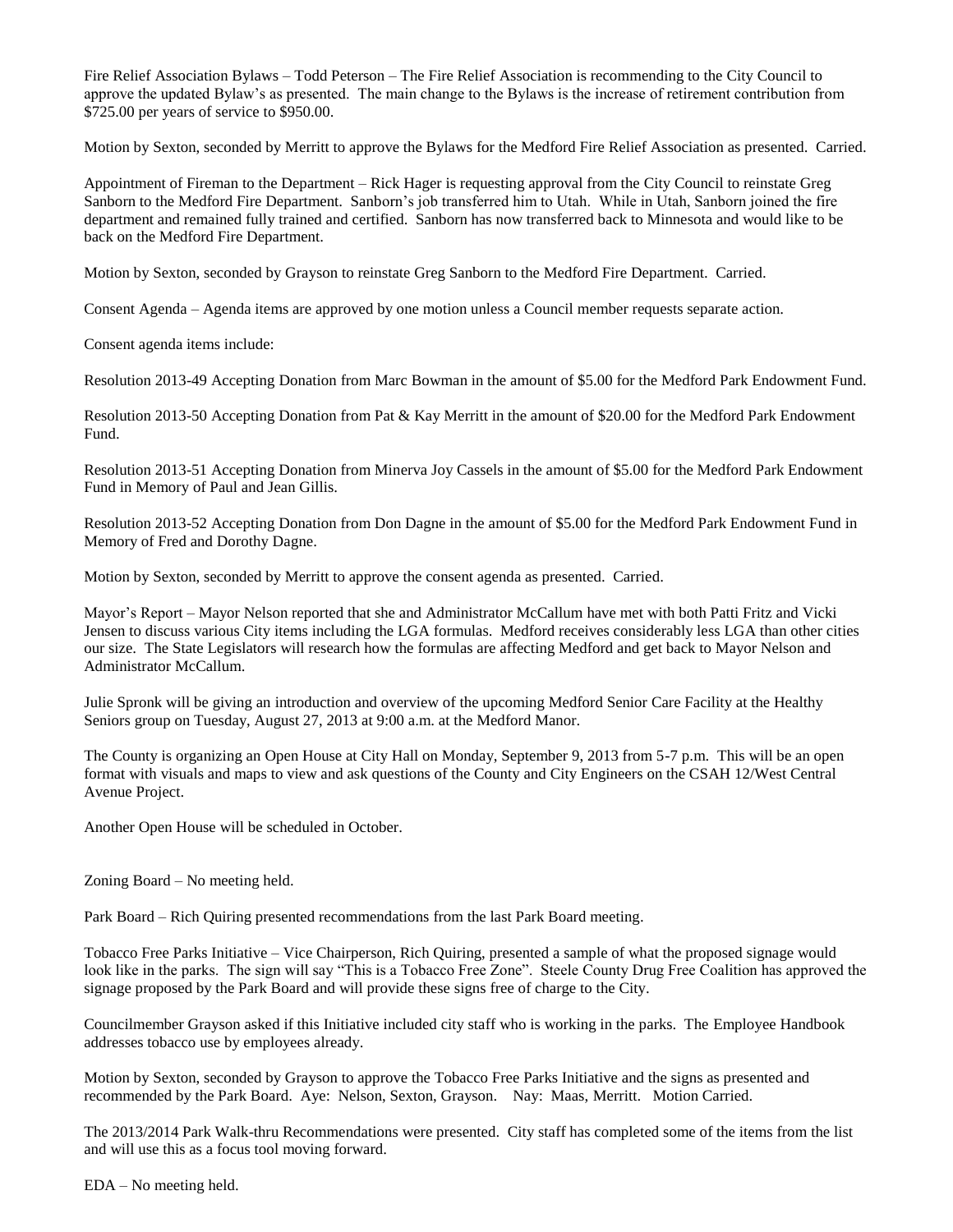Fire Relief Association Bylaws – Todd Peterson – The Fire Relief Association is recommending to the City Council to approve the updated Bylaw's as presented. The main change to the Bylaws is the increase of retirement contribution from \$725.00 per years of service to \$950.00.

Motion by Sexton, seconded by Merritt to approve the Bylaws for the Medford Fire Relief Association as presented. Carried.

Appointment of Fireman to the Department – Rick Hager is requesting approval from the City Council to reinstate Greg Sanborn to the Medford Fire Department. Sanborn's job transferred him to Utah. While in Utah, Sanborn joined the fire department and remained fully trained and certified. Sanborn has now transferred back to Minnesota and would like to be back on the Medford Fire Department.

Motion by Sexton, seconded by Grayson to reinstate Greg Sanborn to the Medford Fire Department. Carried.

Consent Agenda – Agenda items are approved by one motion unless a Council member requests separate action.

Consent agenda items include:

Resolution 2013-49 Accepting Donation from Marc Bowman in the amount of \$5.00 for the Medford Park Endowment Fund.

Resolution 2013-50 Accepting Donation from Pat & Kay Merritt in the amount of \$20.00 for the Medford Park Endowment Fund.

Resolution 2013-51 Accepting Donation from Minerva Joy Cassels in the amount of \$5.00 for the Medford Park Endowment Fund in Memory of Paul and Jean Gillis.

Resolution 2013-52 Accepting Donation from Don Dagne in the amount of \$5.00 for the Medford Park Endowment Fund in Memory of Fred and Dorothy Dagne.

Motion by Sexton, seconded by Merritt to approve the consent agenda as presented. Carried.

Mayor's Report – Mayor Nelson reported that she and Administrator McCallum have met with both Patti Fritz and Vicki Jensen to discuss various City items including the LGA formulas. Medford receives considerably less LGA than other cities our size. The State Legislators will research how the formulas are affecting Medford and get back to Mayor Nelson and Administrator McCallum.

Julie Spronk will be giving an introduction and overview of the upcoming Medford Senior Care Facility at the Healthy Seniors group on Tuesday, August 27, 2013 at 9:00 a.m. at the Medford Manor.

The County is organizing an Open House at City Hall on Monday, September 9, 2013 from 5-7 p.m. This will be an open format with visuals and maps to view and ask questions of the County and City Engineers on the CSAH 12/West Central Avenue Project.

Another Open House will be scheduled in October.

Zoning Board – No meeting held.

Park Board – Rich Quiring presented recommendations from the last Park Board meeting.

Tobacco Free Parks Initiative – Vice Chairperson, Rich Quiring, presented a sample of what the proposed signage would look like in the parks. The sign will say "This is a Tobacco Free Zone". Steele County Drug Free Coalition has approved the signage proposed by the Park Board and will provide these signs free of charge to the City.

Councilmember Grayson asked if this Initiative included city staff who is working in the parks. The Employee Handbook addresses tobacco use by employees already.

Motion by Sexton, seconded by Grayson to approve the Tobacco Free Parks Initiative and the signs as presented and recommended by the Park Board. Aye: Nelson, Sexton, Grayson. Nay: Maas, Merritt. Motion Carried.

The 2013/2014 Park Walk-thru Recommendations were presented. City staff has completed some of the items from the list and will use this as a focus tool moving forward.

EDA – No meeting held.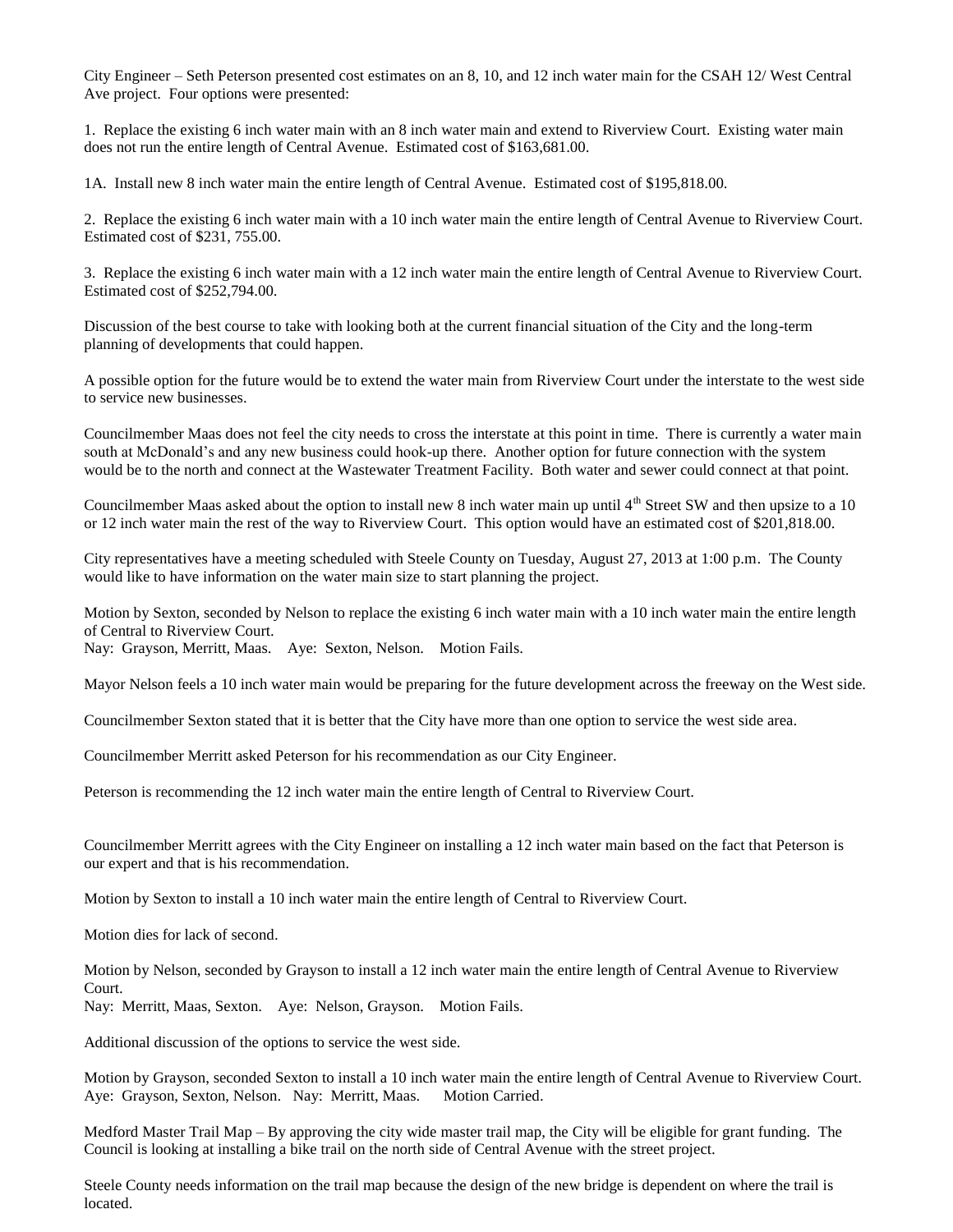City Engineer – Seth Peterson presented cost estimates on an 8, 10, and 12 inch water main for the CSAH 12/ West Central Ave project. Four options were presented:

1. Replace the existing 6 inch water main with an 8 inch water main and extend to Riverview Court. Existing water main does not run the entire length of Central Avenue. Estimated cost of \$163,681.00.

1A. Install new 8 inch water main the entire length of Central Avenue. Estimated cost of \$195,818.00.

2. Replace the existing 6 inch water main with a 10 inch water main the entire length of Central Avenue to Riverview Court. Estimated cost of \$231, 755.00.

3. Replace the existing 6 inch water main with a 12 inch water main the entire length of Central Avenue to Riverview Court. Estimated cost of \$252,794.00.

Discussion of the best course to take with looking both at the current financial situation of the City and the long-term planning of developments that could happen.

A possible option for the future would be to extend the water main from Riverview Court under the interstate to the west side to service new businesses.

Councilmember Maas does not feel the city needs to cross the interstate at this point in time. There is currently a water main south at McDonald's and any new business could hook-up there. Another option for future connection with the system would be to the north and connect at the Wastewater Treatment Facility. Both water and sewer could connect at that point.

Councilmember Maas asked about the option to install new 8 inch water main up until 4<sup>th</sup> Street SW and then upsize to a 10 or 12 inch water main the rest of the way to Riverview Court. This option would have an estimated cost of \$201,818.00.

City representatives have a meeting scheduled with Steele County on Tuesday, August 27, 2013 at 1:00 p.m. The County would like to have information on the water main size to start planning the project.

Motion by Sexton, seconded by Nelson to replace the existing 6 inch water main with a 10 inch water main the entire length of Central to Riverview Court.

Nay: Grayson, Merritt, Maas. Aye: Sexton, Nelson. Motion Fails.

Mayor Nelson feels a 10 inch water main would be preparing for the future development across the freeway on the West side.

Councilmember Sexton stated that it is better that the City have more than one option to service the west side area.

Councilmember Merritt asked Peterson for his recommendation as our City Engineer.

Peterson is recommending the 12 inch water main the entire length of Central to Riverview Court.

Councilmember Merritt agrees with the City Engineer on installing a 12 inch water main based on the fact that Peterson is our expert and that is his recommendation.

Motion by Sexton to install a 10 inch water main the entire length of Central to Riverview Court.

Motion dies for lack of second.

Motion by Nelson, seconded by Grayson to install a 12 inch water main the entire length of Central Avenue to Riverview Court.

Nay: Merritt, Maas, Sexton. Aye: Nelson, Grayson. Motion Fails.

Additional discussion of the options to service the west side.

Motion by Grayson, seconded Sexton to install a 10 inch water main the entire length of Central Avenue to Riverview Court. Aye: Grayson, Sexton, Nelson. Nay: Merritt, Maas. Motion Carried.

Medford Master Trail Map – By approving the city wide master trail map, the City will be eligible for grant funding. The Council is looking at installing a bike trail on the north side of Central Avenue with the street project.

Steele County needs information on the trail map because the design of the new bridge is dependent on where the trail is located.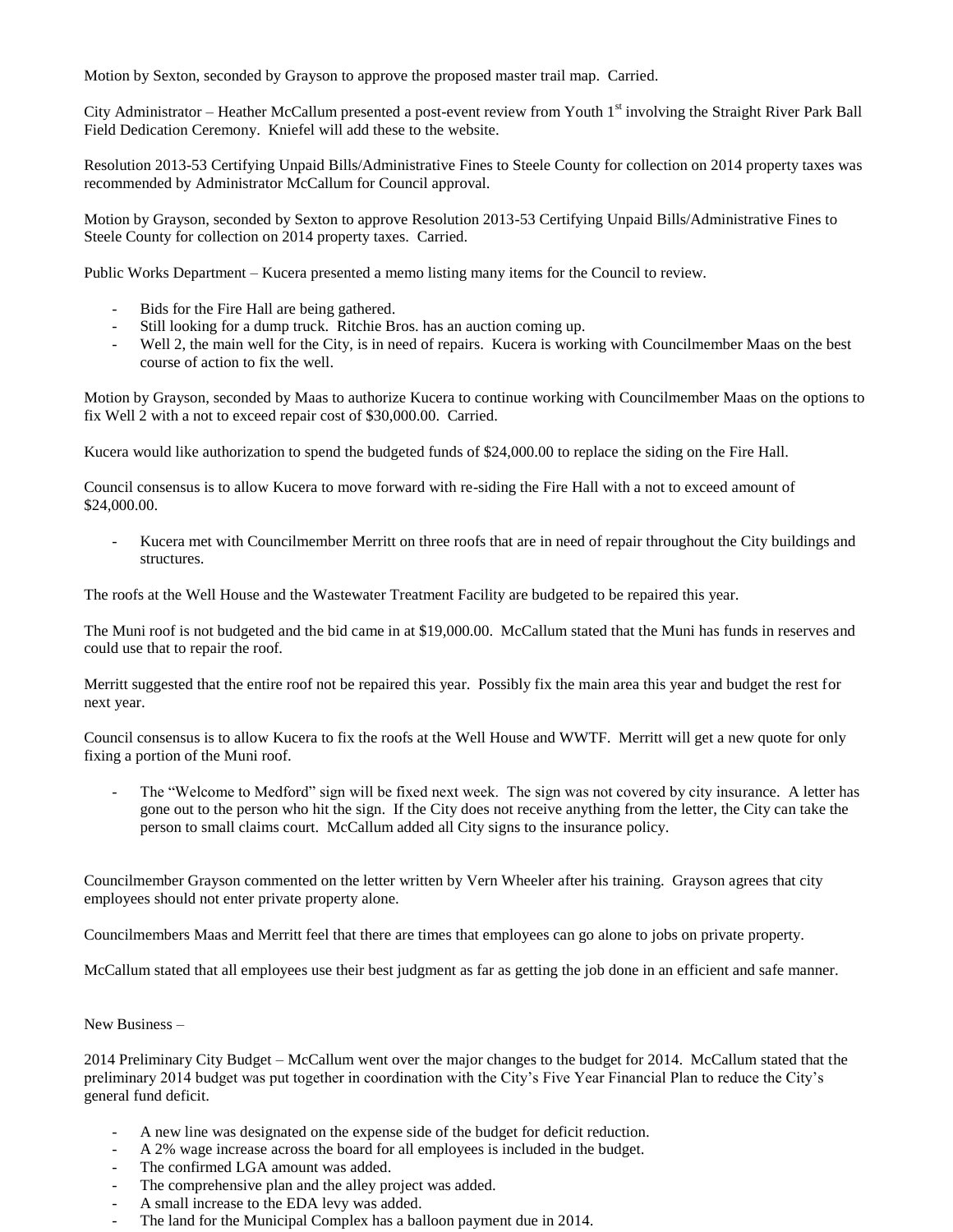Motion by Sexton, seconded by Grayson to approve the proposed master trail map. Carried.

City Administrator – Heather McCallum presented a post-event review from Youth  $1<sup>st</sup>$  involving the Straight River Park Ball Field Dedication Ceremony. Kniefel will add these to the website.

Resolution 2013-53 Certifying Unpaid Bills/Administrative Fines to Steele County for collection on 2014 property taxes was recommended by Administrator McCallum for Council approval.

Motion by Grayson, seconded by Sexton to approve Resolution 2013-53 Certifying Unpaid Bills/Administrative Fines to Steele County for collection on 2014 property taxes. Carried.

Public Works Department – Kucera presented a memo listing many items for the Council to review.

- Bids for the Fire Hall are being gathered.
- Still looking for a dump truck. Ritchie Bros. has an auction coming up.
- Well 2, the main well for the City, is in need of repairs. Kucera is working with Councilmember Maas on the best course of action to fix the well.

Motion by Grayson, seconded by Maas to authorize Kucera to continue working with Councilmember Maas on the options to fix Well 2 with a not to exceed repair cost of \$30,000.00. Carried.

Kucera would like authorization to spend the budgeted funds of \$24,000.00 to replace the siding on the Fire Hall.

Council consensus is to allow Kucera to move forward with re-siding the Fire Hall with a not to exceed amount of \$24,000.00.

- Kucera met with Councilmember Merritt on three roofs that are in need of repair throughout the City buildings and structures.

The roofs at the Well House and the Wastewater Treatment Facility are budgeted to be repaired this year.

The Muni roof is not budgeted and the bid came in at \$19,000.00. McCallum stated that the Muni has funds in reserves and could use that to repair the roof.

Merritt suggested that the entire roof not be repaired this year. Possibly fix the main area this year and budget the rest for next year.

Council consensus is to allow Kucera to fix the roofs at the Well House and WWTF. Merritt will get a new quote for only fixing a portion of the Muni roof.

The "Welcome to Medford" sign will be fixed next week. The sign was not covered by city insurance. A letter has gone out to the person who hit the sign. If the City does not receive anything from the letter, the City can take the person to small claims court. McCallum added all City signs to the insurance policy.

Councilmember Grayson commented on the letter written by Vern Wheeler after his training. Grayson agrees that city employees should not enter private property alone.

Councilmembers Maas and Merritt feel that there are times that employees can go alone to jobs on private property.

McCallum stated that all employees use their best judgment as far as getting the job done in an efficient and safe manner.

New Business –

2014 Preliminary City Budget – McCallum went over the major changes to the budget for 2014. McCallum stated that the preliminary 2014 budget was put together in coordination with the City's Five Year Financial Plan to reduce the City's general fund deficit.

- A new line was designated on the expense side of the budget for deficit reduction.
- A 2% wage increase across the board for all employees is included in the budget.
- The confirmed LGA amount was added.
- The comprehensive plan and the alley project was added.
- A small increase to the EDA levy was added.
- The land for the Municipal Complex has a balloon payment due in 2014.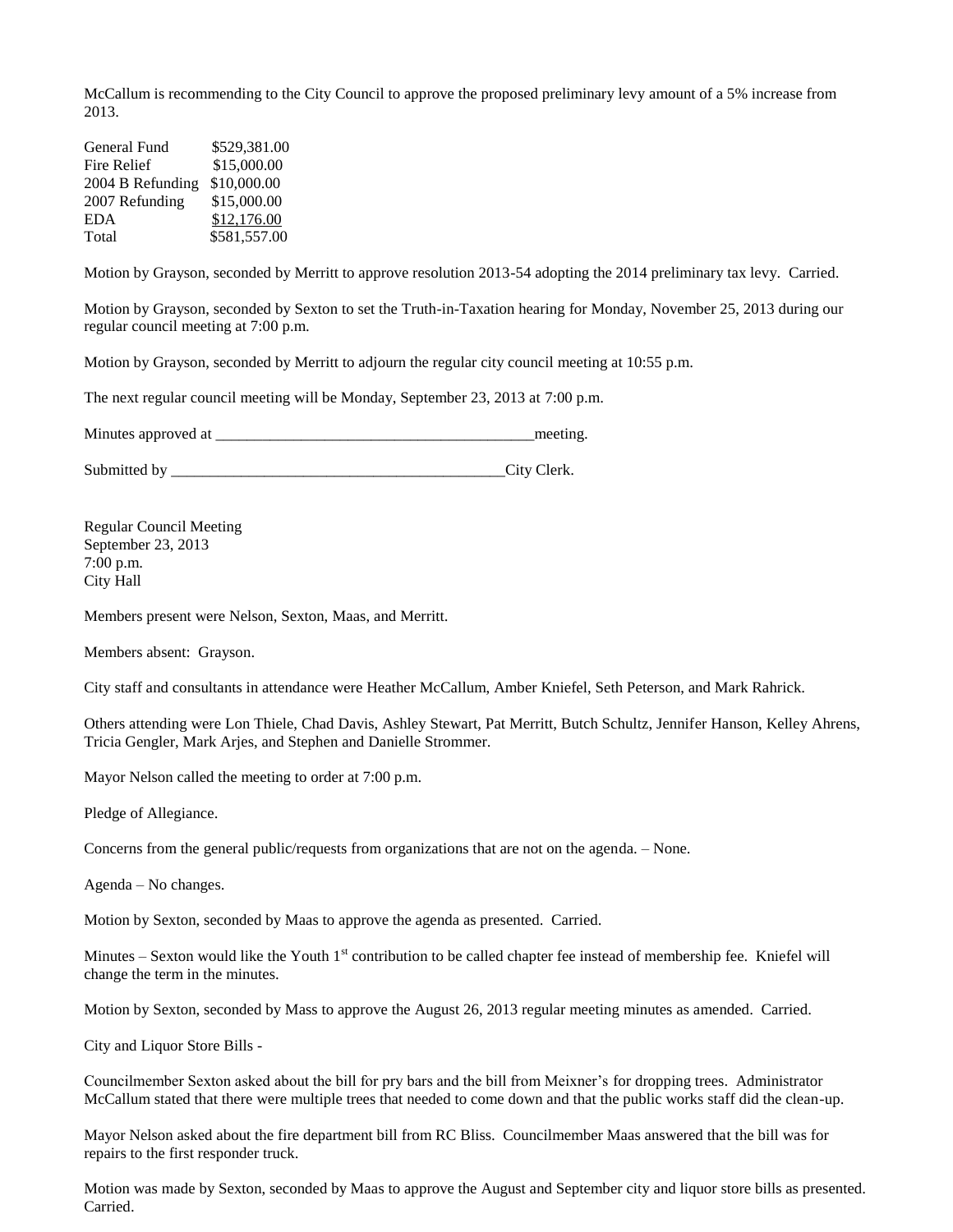McCallum is recommending to the City Council to approve the proposed preliminary levy amount of a 5% increase from 2013.

| General Fund     | \$529,381.00 |
|------------------|--------------|
| Fire Relief      | \$15,000.00  |
| 2004 B Refunding | \$10,000.00  |
| 2007 Refunding   | \$15,000.00  |
| <b>EDA</b>       | \$12,176.00  |
| Total            | \$581,557.00 |

Motion by Grayson, seconded by Merritt to approve resolution 2013-54 adopting the 2014 preliminary tax levy. Carried.

Motion by Grayson, seconded by Sexton to set the Truth-in-Taxation hearing for Monday, November 25, 2013 during our regular council meeting at 7:00 p.m.

Motion by Grayson, seconded by Merritt to adjourn the regular city council meeting at 10:55 p.m.

The next regular council meeting will be Monday, September 23, 2013 at 7:00 p.m.

Minutes approved at  $\Box$ 

Submitted by \_\_\_\_\_\_\_\_\_\_\_\_\_\_\_\_\_\_\_\_\_\_\_\_\_\_\_\_\_\_\_\_\_\_\_\_\_\_\_\_\_\_\_City Clerk.

Regular Council Meeting September 23, 2013 7:00 p.m. City Hall

Members present were Nelson, Sexton, Maas, and Merritt.

Members absent: Grayson.

City staff and consultants in attendance were Heather McCallum, Amber Kniefel, Seth Peterson, and Mark Rahrick.

Others attending were Lon Thiele, Chad Davis, Ashley Stewart, Pat Merritt, Butch Schultz, Jennifer Hanson, Kelley Ahrens, Tricia Gengler, Mark Arjes, and Stephen and Danielle Strommer.

Mayor Nelson called the meeting to order at 7:00 p.m.

Pledge of Allegiance.

Concerns from the general public/requests from organizations that are not on the agenda. – None.

Agenda – No changes.

Motion by Sexton, seconded by Maas to approve the agenda as presented. Carried.

Minutes – Sexton would like the Youth  $1<sup>st</sup>$  contribution to be called chapter fee instead of membership fee. Kniefel will change the term in the minutes.

Motion by Sexton, seconded by Mass to approve the August 26, 2013 regular meeting minutes as amended. Carried.

City and Liquor Store Bills -

Councilmember Sexton asked about the bill for pry bars and the bill from Meixner's for dropping trees. Administrator McCallum stated that there were multiple trees that needed to come down and that the public works staff did the clean-up.

Mayor Nelson asked about the fire department bill from RC Bliss. Councilmember Maas answered that the bill was for repairs to the first responder truck.

Motion was made by Sexton, seconded by Maas to approve the August and September city and liquor store bills as presented. Carried.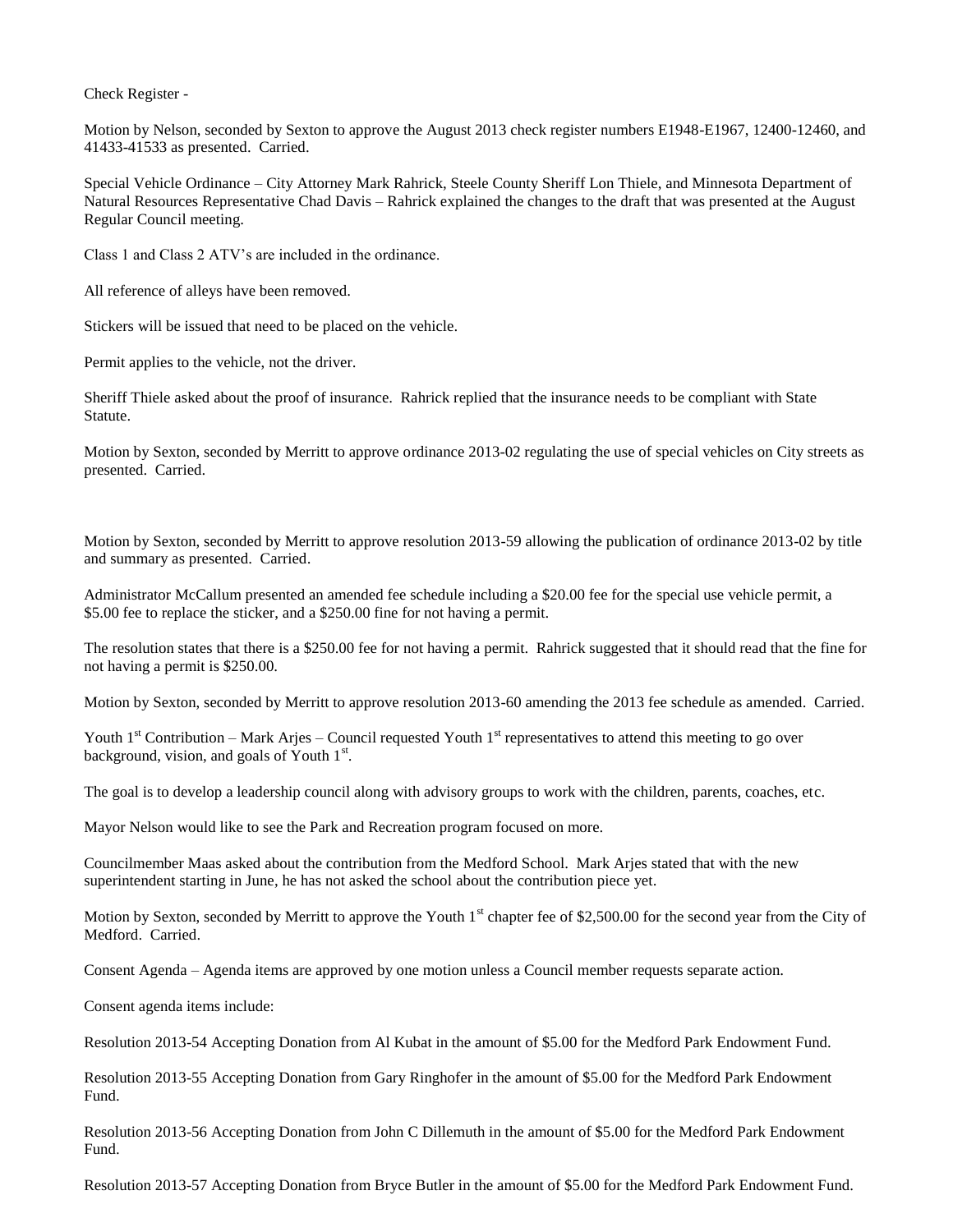Check Register -

Motion by Nelson, seconded by Sexton to approve the August 2013 check register numbers E1948-E1967, 12400-12460, and 41433-41533 as presented. Carried.

Special Vehicle Ordinance – City Attorney Mark Rahrick, Steele County Sheriff Lon Thiele, and Minnesota Department of Natural Resources Representative Chad Davis – Rahrick explained the changes to the draft that was presented at the August Regular Council meeting.

Class 1 and Class 2 ATV's are included in the ordinance.

All reference of alleys have been removed.

Stickers will be issued that need to be placed on the vehicle.

Permit applies to the vehicle, not the driver.

Sheriff Thiele asked about the proof of insurance. Rahrick replied that the insurance needs to be compliant with State Statute.

Motion by Sexton, seconded by Merritt to approve ordinance 2013-02 regulating the use of special vehicles on City streets as presented. Carried.

Motion by Sexton, seconded by Merritt to approve resolution 2013-59 allowing the publication of ordinance 2013-02 by title and summary as presented. Carried.

Administrator McCallum presented an amended fee schedule including a \$20.00 fee for the special use vehicle permit, a \$5.00 fee to replace the sticker, and a \$250.00 fine for not having a permit.

The resolution states that there is a \$250.00 fee for not having a permit. Rahrick suggested that it should read that the fine for not having a permit is \$250.00.

Motion by Sexton, seconded by Merritt to approve resolution 2013-60 amending the 2013 fee schedule as amended. Carried.

Youth  $1<sup>st</sup>$  Contribution – Mark Arjes – Council requested Youth  $1<sup>st</sup>$  representatives to attend this meeting to go over background, vision, and goals of Youth  $1<sup>st</sup>$ .

The goal is to develop a leadership council along with advisory groups to work with the children, parents, coaches, etc.

Mayor Nelson would like to see the Park and Recreation program focused on more.

Councilmember Maas asked about the contribution from the Medford School. Mark Arjes stated that with the new superintendent starting in June, he has not asked the school about the contribution piece yet.

Motion by Sexton, seconded by Merritt to approve the Youth  $1<sup>st</sup>$  chapter fee of \$2,500.00 for the second year from the City of Medford. Carried.

Consent Agenda – Agenda items are approved by one motion unless a Council member requests separate action.

Consent agenda items include:

Resolution 2013-54 Accepting Donation from Al Kubat in the amount of \$5.00 for the Medford Park Endowment Fund.

Resolution 2013-55 Accepting Donation from Gary Ringhofer in the amount of \$5.00 for the Medford Park Endowment Fund.

Resolution 2013-56 Accepting Donation from John C Dillemuth in the amount of \$5.00 for the Medford Park Endowment Fund.

Resolution 2013-57 Accepting Donation from Bryce Butler in the amount of \$5.00 for the Medford Park Endowment Fund.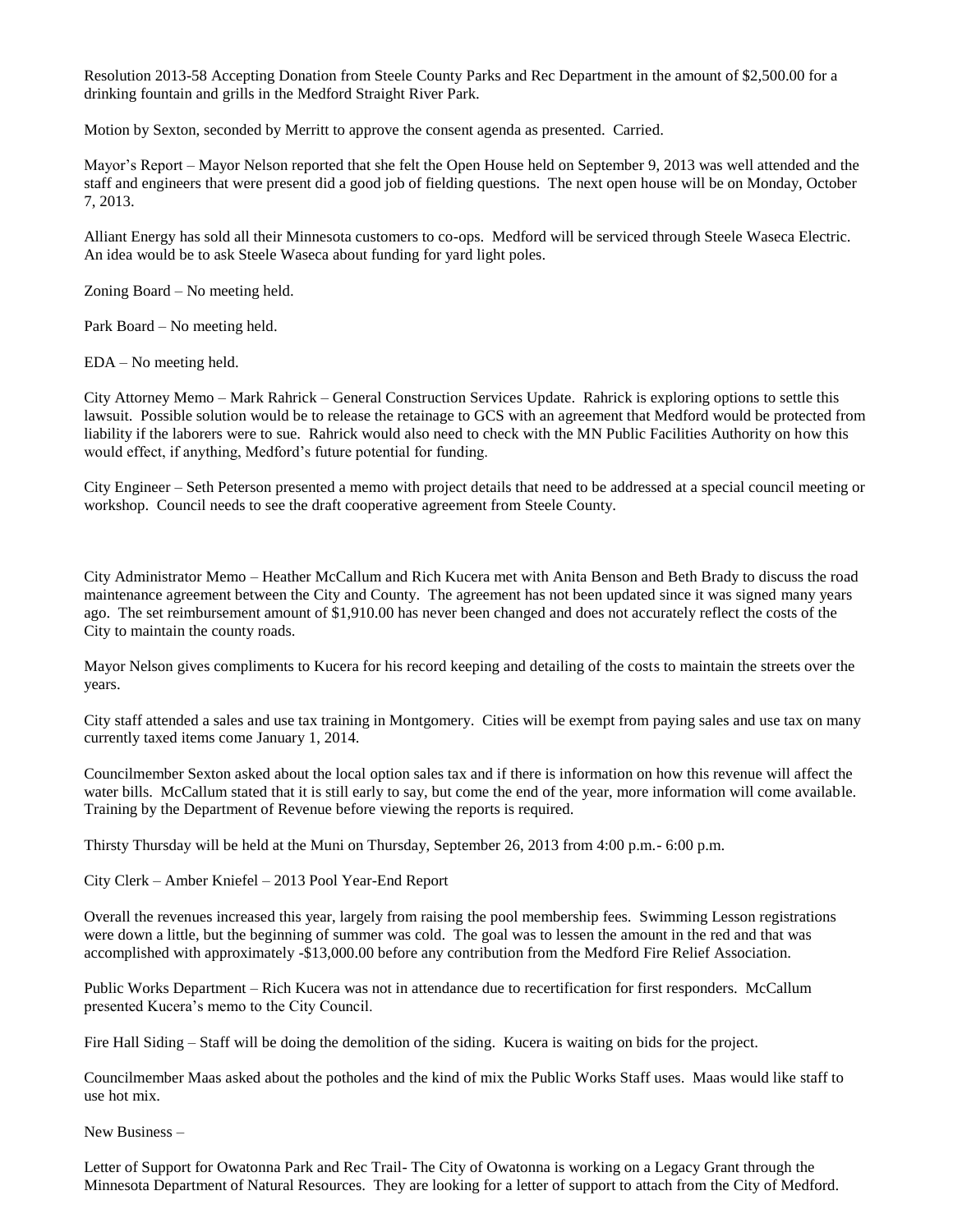Resolution 2013-58 Accepting Donation from Steele County Parks and Rec Department in the amount of \$2,500.00 for a drinking fountain and grills in the Medford Straight River Park.

Motion by Sexton, seconded by Merritt to approve the consent agenda as presented. Carried.

Mayor's Report – Mayor Nelson reported that she felt the Open House held on September 9, 2013 was well attended and the staff and engineers that were present did a good job of fielding questions. The next open house will be on Monday, October 7, 2013.

Alliant Energy has sold all their Minnesota customers to co-ops. Medford will be serviced through Steele Waseca Electric. An idea would be to ask Steele Waseca about funding for yard light poles.

Zoning Board – No meeting held.

Park Board – No meeting held.

EDA – No meeting held.

City Attorney Memo – Mark Rahrick – General Construction Services Update. Rahrick is exploring options to settle this lawsuit. Possible solution would be to release the retainage to GCS with an agreement that Medford would be protected from liability if the laborers were to sue. Rahrick would also need to check with the MN Public Facilities Authority on how this would effect, if anything, Medford's future potential for funding.

City Engineer – Seth Peterson presented a memo with project details that need to be addressed at a special council meeting or workshop. Council needs to see the draft cooperative agreement from Steele County.

City Administrator Memo – Heather McCallum and Rich Kucera met with Anita Benson and Beth Brady to discuss the road maintenance agreement between the City and County. The agreement has not been updated since it was signed many years ago. The set reimbursement amount of \$1,910.00 has never been changed and does not accurately reflect the costs of the City to maintain the county roads.

Mayor Nelson gives compliments to Kucera for his record keeping and detailing of the costs to maintain the streets over the years.

City staff attended a sales and use tax training in Montgomery. Cities will be exempt from paying sales and use tax on many currently taxed items come January 1, 2014.

Councilmember Sexton asked about the local option sales tax and if there is information on how this revenue will affect the water bills. McCallum stated that it is still early to say, but come the end of the year, more information will come available. Training by the Department of Revenue before viewing the reports is required.

Thirsty Thursday will be held at the Muni on Thursday, September 26, 2013 from 4:00 p.m.- 6:00 p.m.

City Clerk – Amber Kniefel – 2013 Pool Year-End Report

Overall the revenues increased this year, largely from raising the pool membership fees. Swimming Lesson registrations were down a little, but the beginning of summer was cold. The goal was to lessen the amount in the red and that was accomplished with approximately -\$13,000.00 before any contribution from the Medford Fire Relief Association.

Public Works Department – Rich Kucera was not in attendance due to recertification for first responders. McCallum presented Kucera's memo to the City Council.

Fire Hall Siding – Staff will be doing the demolition of the siding. Kucera is waiting on bids for the project.

Councilmember Maas asked about the potholes and the kind of mix the Public Works Staff uses. Maas would like staff to use hot mix.

New Business –

Letter of Support for Owatonna Park and Rec Trail- The City of Owatonna is working on a Legacy Grant through the Minnesota Department of Natural Resources. They are looking for a letter of support to attach from the City of Medford.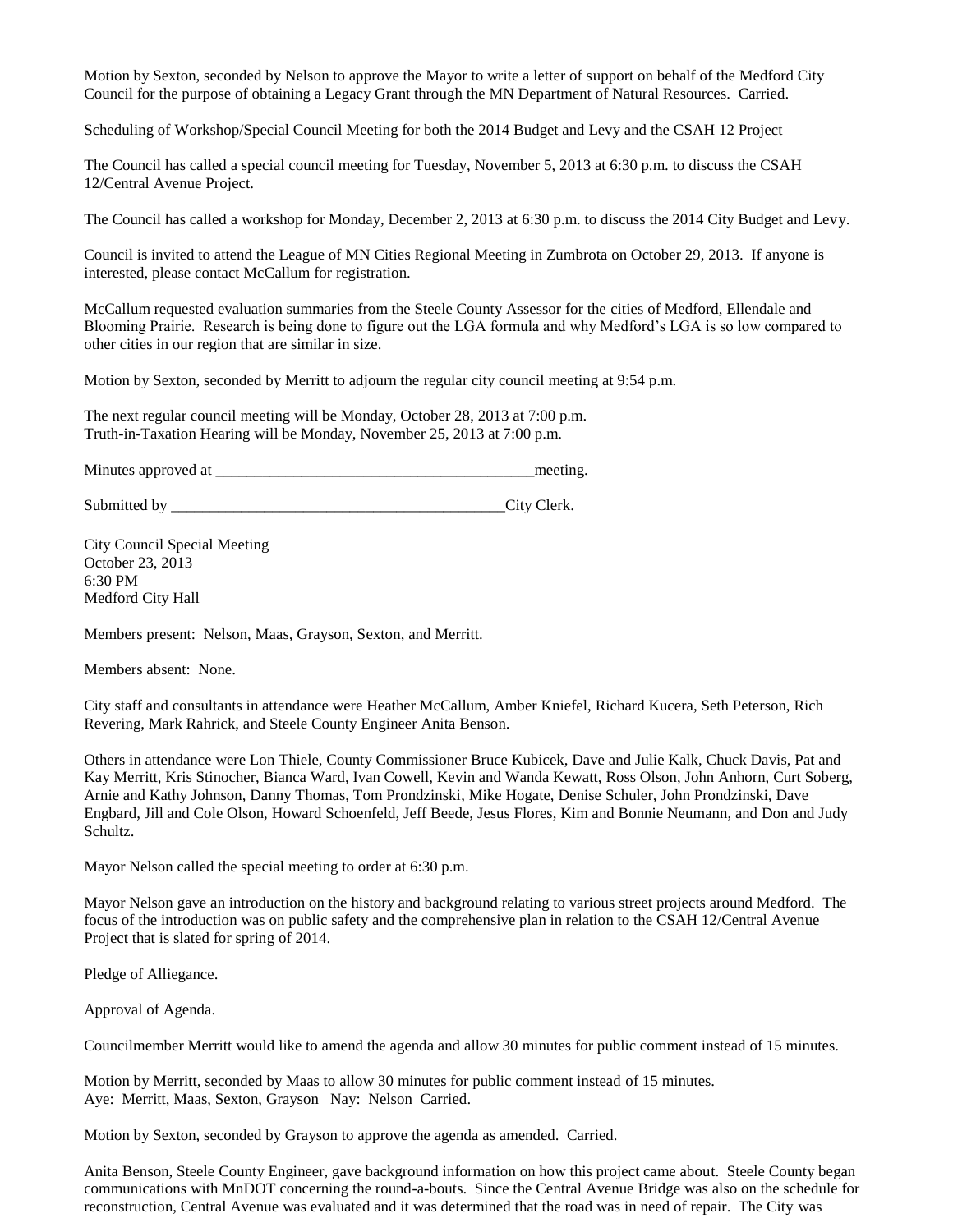Motion by Sexton, seconded by Nelson to approve the Mayor to write a letter of support on behalf of the Medford City Council for the purpose of obtaining a Legacy Grant through the MN Department of Natural Resources. Carried.

Scheduling of Workshop/Special Council Meeting for both the 2014 Budget and Levy and the CSAH 12 Project –

The Council has called a special council meeting for Tuesday, November 5, 2013 at 6:30 p.m. to discuss the CSAH 12/Central Avenue Project.

The Council has called a workshop for Monday, December 2, 2013 at 6:30 p.m. to discuss the 2014 City Budget and Levy.

Council is invited to attend the League of MN Cities Regional Meeting in Zumbrota on October 29, 2013. If anyone is interested, please contact McCallum for registration.

McCallum requested evaluation summaries from the Steele County Assessor for the cities of Medford, Ellendale and Blooming Prairie. Research is being done to figure out the LGA formula and why Medford's LGA is so low compared to other cities in our region that are similar in size.

Motion by Sexton, seconded by Merritt to adjourn the regular city council meeting at 9:54 p.m.

The next regular council meeting will be Monday, October 28, 2013 at 7:00 p.m. Truth-in-Taxation Hearing will be Monday, November 25, 2013 at 7:00 p.m.

Minutes approved at \_\_\_\_\_\_\_\_\_\_\_\_\_\_\_\_\_\_\_\_\_\_\_\_\_\_\_\_\_\_\_\_\_\_\_\_\_\_\_\_\_meeting.

Submitted by \_\_\_\_\_\_\_\_\_\_\_\_\_\_\_\_\_\_\_\_\_\_\_\_\_\_\_\_\_\_\_\_\_\_\_\_\_\_\_\_\_\_\_City Clerk.

City Council Special Meeting October 23, 2013 6:30 PM Medford City Hall

Members present: Nelson, Maas, Grayson, Sexton, and Merritt.

Members absent: None.

City staff and consultants in attendance were Heather McCallum, Amber Kniefel, Richard Kucera, Seth Peterson, Rich Revering, Mark Rahrick, and Steele County Engineer Anita Benson.

Others in attendance were Lon Thiele, County Commissioner Bruce Kubicek, Dave and Julie Kalk, Chuck Davis, Pat and Kay Merritt, Kris Stinocher, Bianca Ward, Ivan Cowell, Kevin and Wanda Kewatt, Ross Olson, John Anhorn, Curt Soberg, Arnie and Kathy Johnson, Danny Thomas, Tom Prondzinski, Mike Hogate, Denise Schuler, John Prondzinski, Dave Engbard, Jill and Cole Olson, Howard Schoenfeld, Jeff Beede, Jesus Flores, Kim and Bonnie Neumann, and Don and Judy Schultz.

Mayor Nelson called the special meeting to order at 6:30 p.m.

Mayor Nelson gave an introduction on the history and background relating to various street projects around Medford. The focus of the introduction was on public safety and the comprehensive plan in relation to the CSAH 12/Central Avenue Project that is slated for spring of 2014.

Pledge of Alliegance.

Approval of Agenda.

Councilmember Merritt would like to amend the agenda and allow 30 minutes for public comment instead of 15 minutes.

Motion by Merritt, seconded by Maas to allow 30 minutes for public comment instead of 15 minutes. Aye: Merritt, Maas, Sexton, Grayson Nay: Nelson Carried.

Motion by Sexton, seconded by Grayson to approve the agenda as amended. Carried.

Anita Benson, Steele County Engineer, gave background information on how this project came about. Steele County began communications with MnDOT concerning the round-a-bouts. Since the Central Avenue Bridge was also on the schedule for reconstruction, Central Avenue was evaluated and it was determined that the road was in need of repair. The City was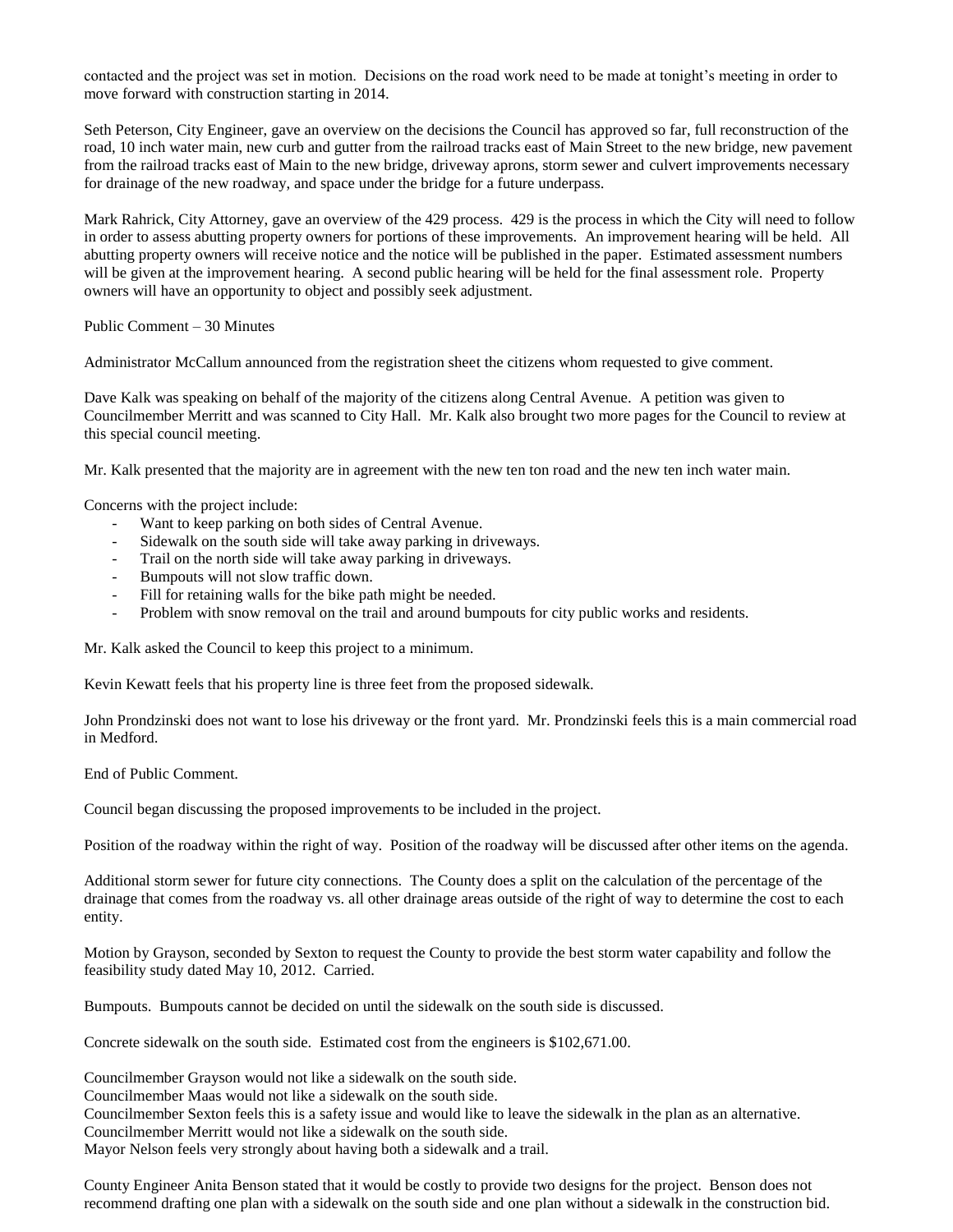contacted and the project was set in motion. Decisions on the road work need to be made at tonight's meeting in order to move forward with construction starting in 2014.

Seth Peterson, City Engineer, gave an overview on the decisions the Council has approved so far, full reconstruction of the road, 10 inch water main, new curb and gutter from the railroad tracks east of Main Street to the new bridge, new pavement from the railroad tracks east of Main to the new bridge, driveway aprons, storm sewer and culvert improvements necessary for drainage of the new roadway, and space under the bridge for a future underpass.

Mark Rahrick, City Attorney, gave an overview of the 429 process. 429 is the process in which the City will need to follow in order to assess abutting property owners for portions of these improvements. An improvement hearing will be held. All abutting property owners will receive notice and the notice will be published in the paper. Estimated assessment numbers will be given at the improvement hearing. A second public hearing will be held for the final assessment role. Property owners will have an opportunity to object and possibly seek adjustment.

Public Comment – 30 Minutes

Administrator McCallum announced from the registration sheet the citizens whom requested to give comment.

Dave Kalk was speaking on behalf of the majority of the citizens along Central Avenue. A petition was given to Councilmember Merritt and was scanned to City Hall. Mr. Kalk also brought two more pages for the Council to review at this special council meeting.

Mr. Kalk presented that the majority are in agreement with the new ten ton road and the new ten inch water main.

Concerns with the project include:

- Want to keep parking on both sides of Central Avenue.
- Sidewalk on the south side will take away parking in driveways.
- Trail on the north side will take away parking in driveways.
- Bumpouts will not slow traffic down.
- Fill for retaining walls for the bike path might be needed.
- Problem with snow removal on the trail and around bumpouts for city public works and residents.

Mr. Kalk asked the Council to keep this project to a minimum.

Kevin Kewatt feels that his property line is three feet from the proposed sidewalk.

John Prondzinski does not want to lose his driveway or the front yard. Mr. Prondzinski feels this is a main commercial road in Medford.

End of Public Comment.

Council began discussing the proposed improvements to be included in the project.

Position of the roadway within the right of way. Position of the roadway will be discussed after other items on the agenda.

Additional storm sewer for future city connections. The County does a split on the calculation of the percentage of the drainage that comes from the roadway vs. all other drainage areas outside of the right of way to determine the cost to each entity.

Motion by Grayson, seconded by Sexton to request the County to provide the best storm water capability and follow the feasibility study dated May 10, 2012. Carried.

Bumpouts. Bumpouts cannot be decided on until the sidewalk on the south side is discussed.

Concrete sidewalk on the south side. Estimated cost from the engineers is \$102,671.00.

Councilmember Grayson would not like a sidewalk on the south side.

Councilmember Maas would not like a sidewalk on the south side.

Councilmember Sexton feels this is a safety issue and would like to leave the sidewalk in the plan as an alternative.

Councilmember Merritt would not like a sidewalk on the south side.

Mayor Nelson feels very strongly about having both a sidewalk and a trail.

County Engineer Anita Benson stated that it would be costly to provide two designs for the project. Benson does not recommend drafting one plan with a sidewalk on the south side and one plan without a sidewalk in the construction bid.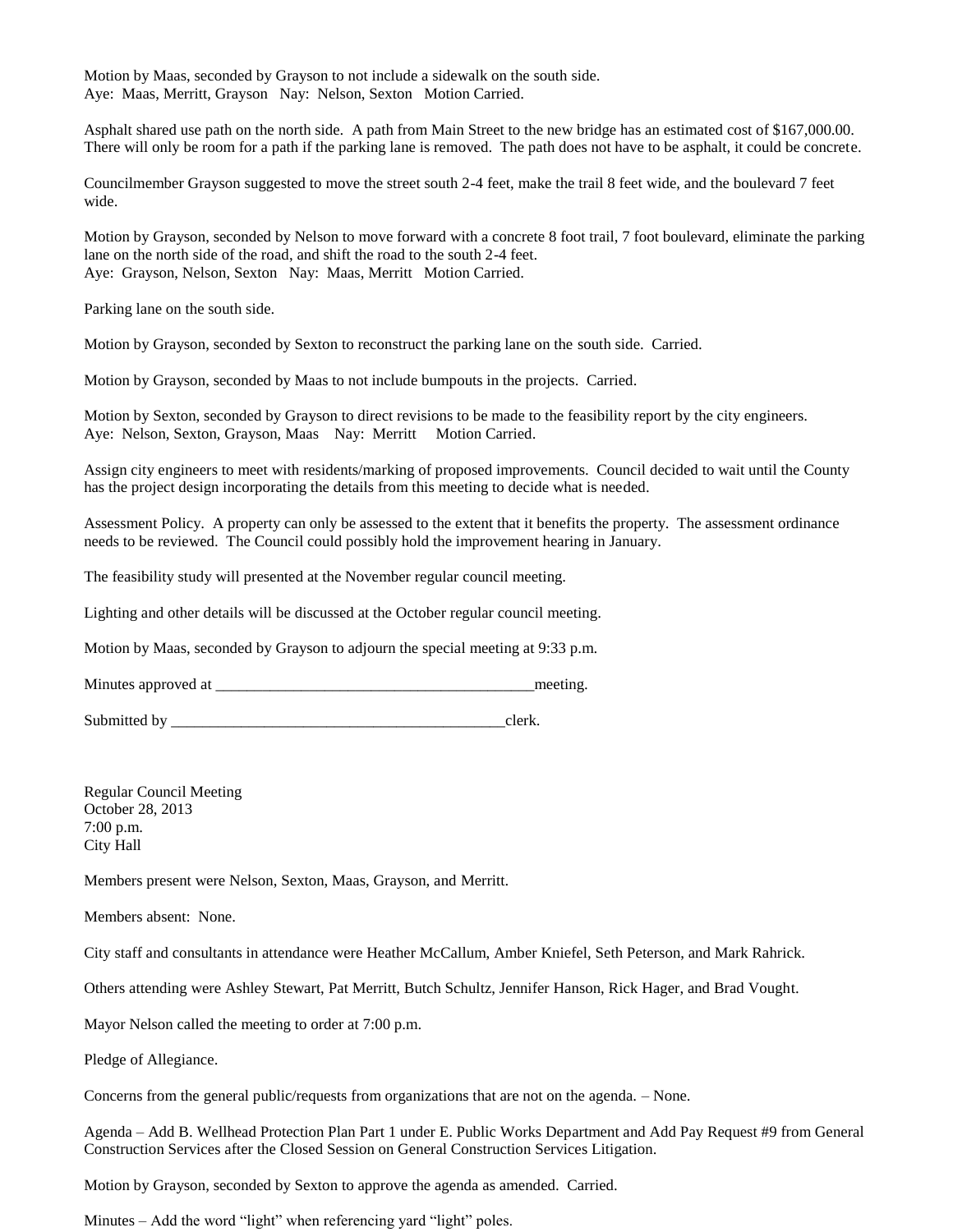Motion by Maas, seconded by Grayson to not include a sidewalk on the south side. Aye: Maas, Merritt, Grayson Nay: Nelson, Sexton Motion Carried.

Asphalt shared use path on the north side. A path from Main Street to the new bridge has an estimated cost of \$167,000.00. There will only be room for a path if the parking lane is removed. The path does not have to be asphalt, it could be concrete.

Councilmember Grayson suggested to move the street south 2-4 feet, make the trail 8 feet wide, and the boulevard 7 feet wide.

Motion by Grayson, seconded by Nelson to move forward with a concrete 8 foot trail, 7 foot boulevard, eliminate the parking lane on the north side of the road, and shift the road to the south 2-4 feet. Aye: Grayson, Nelson, Sexton Nay: Maas, Merritt Motion Carried.

Parking lane on the south side.

Motion by Grayson, seconded by Sexton to reconstruct the parking lane on the south side. Carried.

Motion by Grayson, seconded by Maas to not include bumpouts in the projects. Carried.

Motion by Sexton, seconded by Grayson to direct revisions to be made to the feasibility report by the city engineers. Aye: Nelson, Sexton, Grayson, Maas Nay: Merritt Motion Carried.

Assign city engineers to meet with residents/marking of proposed improvements. Council decided to wait until the County has the project design incorporating the details from this meeting to decide what is needed.

Assessment Policy. A property can only be assessed to the extent that it benefits the property. The assessment ordinance needs to be reviewed. The Council could possibly hold the improvement hearing in January.

The feasibility study will presented at the November regular council meeting.

Lighting and other details will be discussed at the October regular council meeting.

Motion by Maas, seconded by Grayson to adjourn the special meeting at 9:33 p.m.

Minutes approved at \_\_\_\_\_\_\_\_\_\_\_\_\_\_\_\_\_\_\_\_\_\_\_\_\_\_\_\_\_\_\_\_\_\_\_\_\_\_\_\_\_meeting.

Submitted by \_\_\_\_\_\_\_\_\_\_\_\_\_\_\_\_\_\_\_\_\_\_\_\_\_\_\_\_\_\_\_\_\_\_\_\_\_\_\_\_\_\_\_clerk.

Regular Council Meeting October 28, 2013 7:00 p.m. City Hall

Members present were Nelson, Sexton, Maas, Grayson, and Merritt.

Members absent: None.

City staff and consultants in attendance were Heather McCallum, Amber Kniefel, Seth Peterson, and Mark Rahrick.

Others attending were Ashley Stewart, Pat Merritt, Butch Schultz, Jennifer Hanson, Rick Hager, and Brad Vought.

Mayor Nelson called the meeting to order at 7:00 p.m.

Pledge of Allegiance.

Concerns from the general public/requests from organizations that are not on the agenda. – None.

Agenda – Add B. Wellhead Protection Plan Part 1 under E. Public Works Department and Add Pay Request #9 from General Construction Services after the Closed Session on General Construction Services Litigation.

Motion by Grayson, seconded by Sexton to approve the agenda as amended. Carried.

Minutes – Add the word "light" when referencing yard "light" poles.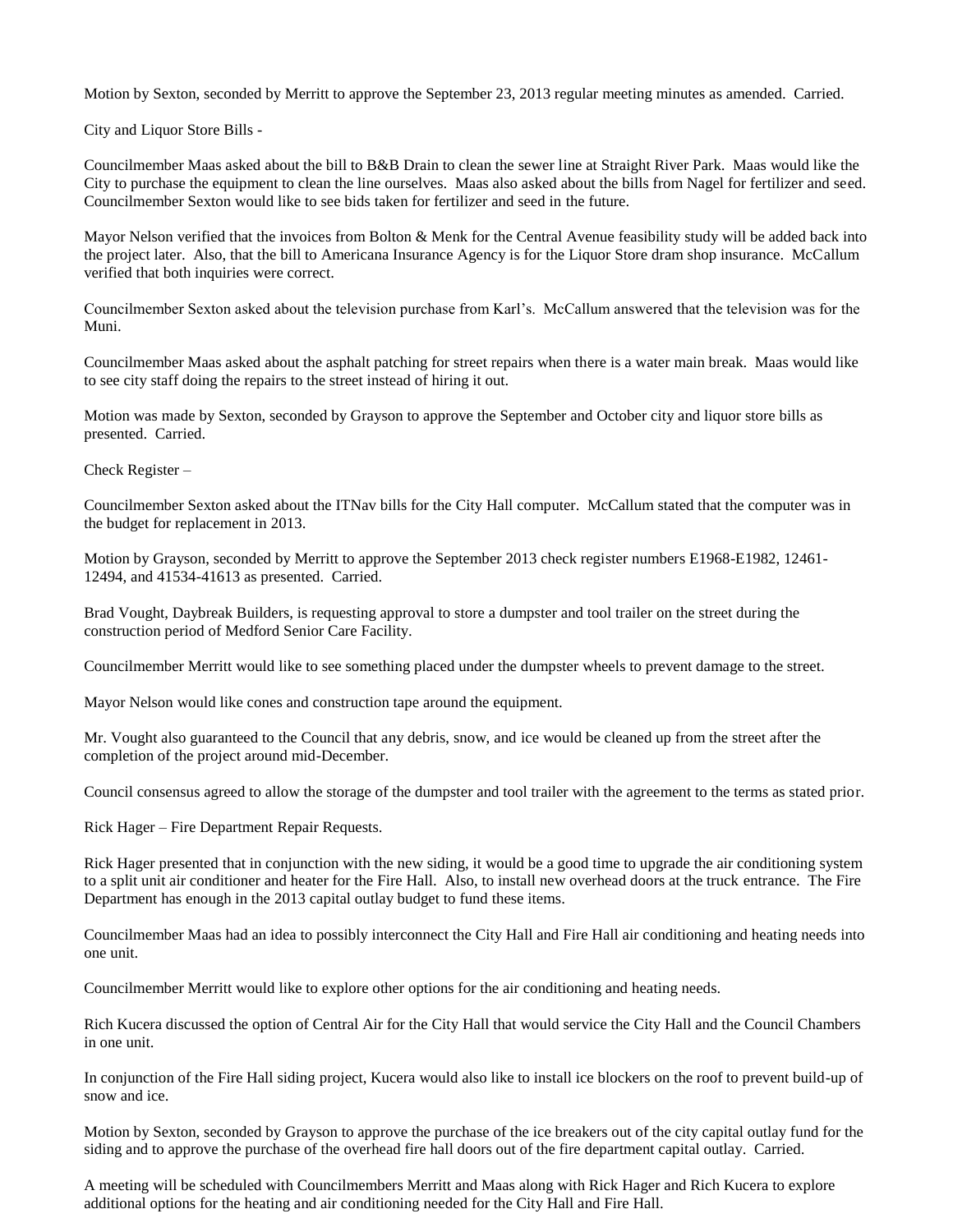Motion by Sexton, seconded by Merritt to approve the September 23, 2013 regular meeting minutes as amended. Carried.

City and Liquor Store Bills -

Councilmember Maas asked about the bill to B&B Drain to clean the sewer line at Straight River Park. Maas would like the City to purchase the equipment to clean the line ourselves. Maas also asked about the bills from Nagel for fertilizer and seed. Councilmember Sexton would like to see bids taken for fertilizer and seed in the future.

Mayor Nelson verified that the invoices from Bolton & Menk for the Central Avenue feasibility study will be added back into the project later. Also, that the bill to Americana Insurance Agency is for the Liquor Store dram shop insurance. McCallum verified that both inquiries were correct.

Councilmember Sexton asked about the television purchase from Karl's. McCallum answered that the television was for the Muni.

Councilmember Maas asked about the asphalt patching for street repairs when there is a water main break. Maas would like to see city staff doing the repairs to the street instead of hiring it out.

Motion was made by Sexton, seconded by Grayson to approve the September and October city and liquor store bills as presented. Carried.

Check Register –

Councilmember Sexton asked about the ITNav bills for the City Hall computer. McCallum stated that the computer was in the budget for replacement in 2013.

Motion by Grayson, seconded by Merritt to approve the September 2013 check register numbers E1968-E1982, 12461- 12494, and 41534-41613 as presented. Carried.

Brad Vought, Daybreak Builders, is requesting approval to store a dumpster and tool trailer on the street during the construction period of Medford Senior Care Facility.

Councilmember Merritt would like to see something placed under the dumpster wheels to prevent damage to the street.

Mayor Nelson would like cones and construction tape around the equipment.

Mr. Vought also guaranteed to the Council that any debris, snow, and ice would be cleaned up from the street after the completion of the project around mid-December.

Council consensus agreed to allow the storage of the dumpster and tool trailer with the agreement to the terms as stated prior.

Rick Hager – Fire Department Repair Requests.

Rick Hager presented that in conjunction with the new siding, it would be a good time to upgrade the air conditioning system to a split unit air conditioner and heater for the Fire Hall. Also, to install new overhead doors at the truck entrance. The Fire Department has enough in the 2013 capital outlay budget to fund these items.

Councilmember Maas had an idea to possibly interconnect the City Hall and Fire Hall air conditioning and heating needs into one unit.

Councilmember Merritt would like to explore other options for the air conditioning and heating needs.

Rich Kucera discussed the option of Central Air for the City Hall that would service the City Hall and the Council Chambers in one unit.

In conjunction of the Fire Hall siding project, Kucera would also like to install ice blockers on the roof to prevent build-up of snow and ice.

Motion by Sexton, seconded by Grayson to approve the purchase of the ice breakers out of the city capital outlay fund for the siding and to approve the purchase of the overhead fire hall doors out of the fire department capital outlay. Carried.

A meeting will be scheduled with Councilmembers Merritt and Maas along with Rick Hager and Rich Kucera to explore additional options for the heating and air conditioning needed for the City Hall and Fire Hall.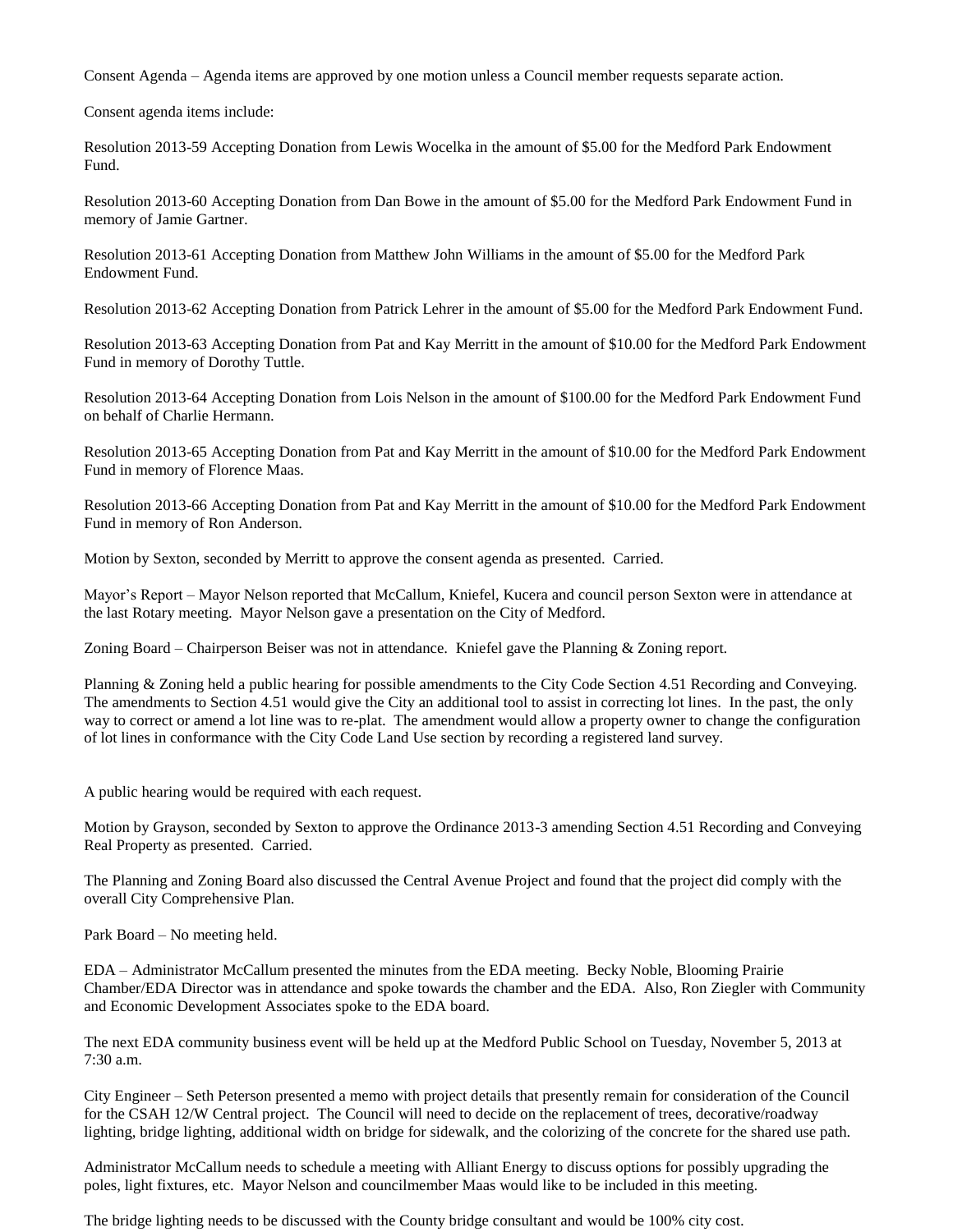Consent Agenda – Agenda items are approved by one motion unless a Council member requests separate action.

Consent agenda items include:

Resolution 2013-59 Accepting Donation from Lewis Wocelka in the amount of \$5.00 for the Medford Park Endowment Fund.

Resolution 2013-60 Accepting Donation from Dan Bowe in the amount of \$5.00 for the Medford Park Endowment Fund in memory of Jamie Gartner.

Resolution 2013-61 Accepting Donation from Matthew John Williams in the amount of \$5.00 for the Medford Park Endowment Fund.

Resolution 2013-62 Accepting Donation from Patrick Lehrer in the amount of \$5.00 for the Medford Park Endowment Fund.

Resolution 2013-63 Accepting Donation from Pat and Kay Merritt in the amount of \$10.00 for the Medford Park Endowment Fund in memory of Dorothy Tuttle.

Resolution 2013-64 Accepting Donation from Lois Nelson in the amount of \$100.00 for the Medford Park Endowment Fund on behalf of Charlie Hermann.

Resolution 2013-65 Accepting Donation from Pat and Kay Merritt in the amount of \$10.00 for the Medford Park Endowment Fund in memory of Florence Maas.

Resolution 2013-66 Accepting Donation from Pat and Kay Merritt in the amount of \$10.00 for the Medford Park Endowment Fund in memory of Ron Anderson.

Motion by Sexton, seconded by Merritt to approve the consent agenda as presented. Carried.

Mayor's Report – Mayor Nelson reported that McCallum, Kniefel, Kucera and council person Sexton were in attendance at the last Rotary meeting. Mayor Nelson gave a presentation on the City of Medford.

Zoning Board – Chairperson Beiser was not in attendance. Kniefel gave the Planning & Zoning report.

Planning & Zoning held a public hearing for possible amendments to the City Code Section 4.51 Recording and Conveying. The amendments to Section 4.51 would give the City an additional tool to assist in correcting lot lines. In the past, the only way to correct or amend a lot line was to re-plat. The amendment would allow a property owner to change the configuration of lot lines in conformance with the City Code Land Use section by recording a registered land survey.

A public hearing would be required with each request.

Motion by Grayson, seconded by Sexton to approve the Ordinance 2013-3 amending Section 4.51 Recording and Conveying Real Property as presented. Carried.

The Planning and Zoning Board also discussed the Central Avenue Project and found that the project did comply with the overall City Comprehensive Plan.

Park Board – No meeting held.

EDA – Administrator McCallum presented the minutes from the EDA meeting. Becky Noble, Blooming Prairie Chamber/EDA Director was in attendance and spoke towards the chamber and the EDA. Also, Ron Ziegler with Community and Economic Development Associates spoke to the EDA board.

The next EDA community business event will be held up at the Medford Public School on Tuesday, November 5, 2013 at 7:30 a.m.

City Engineer – Seth Peterson presented a memo with project details that presently remain for consideration of the Council for the CSAH 12/W Central project. The Council will need to decide on the replacement of trees, decorative/roadway lighting, bridge lighting, additional width on bridge for sidewalk, and the colorizing of the concrete for the shared use path.

Administrator McCallum needs to schedule a meeting with Alliant Energy to discuss options for possibly upgrading the poles, light fixtures, etc. Mayor Nelson and councilmember Maas would like to be included in this meeting.

The bridge lighting needs to be discussed with the County bridge consultant and would be 100% city cost.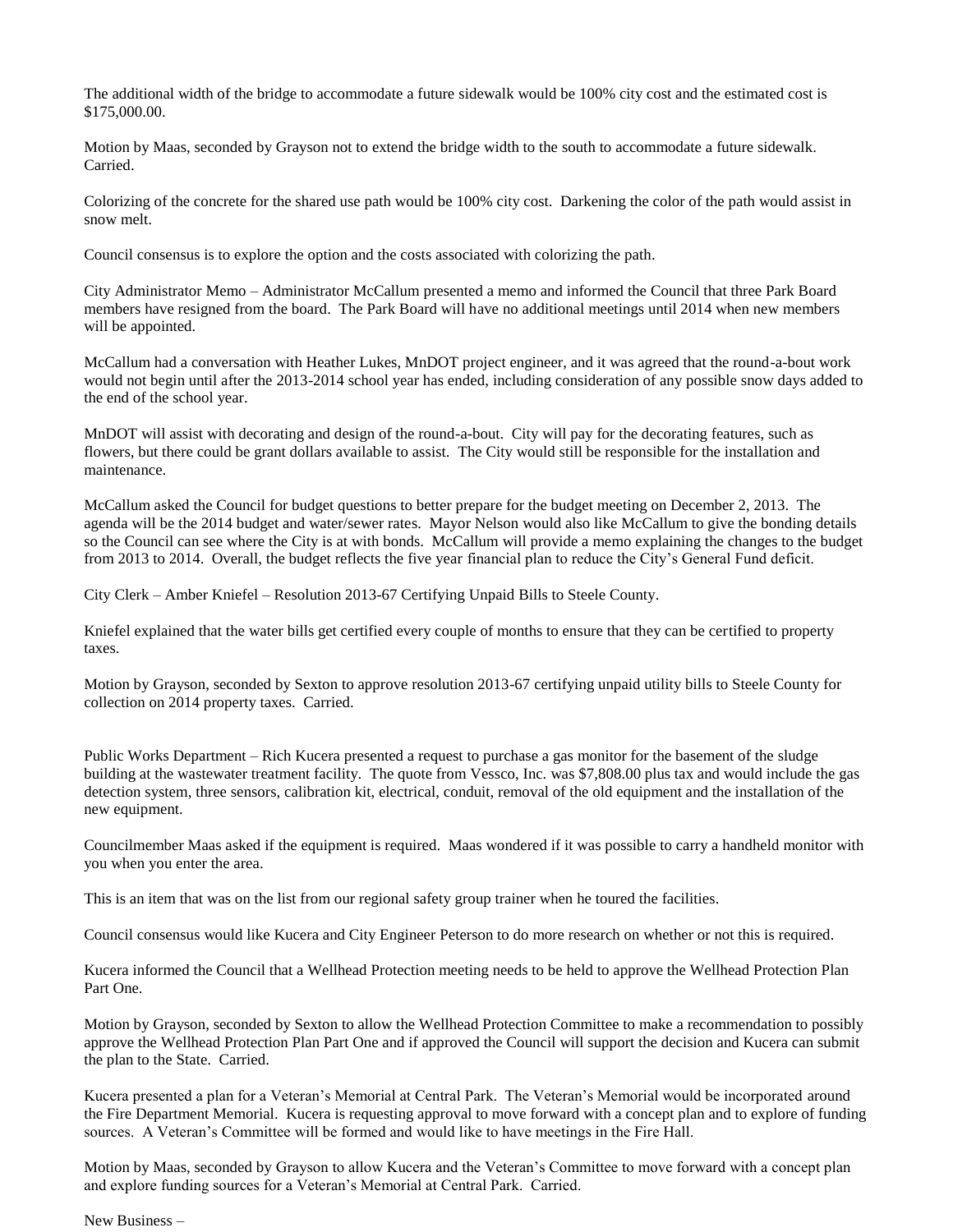The additional width of the bridge to accommodate a future sidewalk would be 100% city cost and the estimated cost is \$175,000.00.

Motion by Maas, seconded by Grayson not to extend the bridge width to the south to accommodate a future sidewalk. Carried.

Colorizing of the concrete for the shared use path would be 100% city cost. Darkening the color of the path would assist in snow melt.

Council consensus is to explore the option and the costs associated with colorizing the path.

City Administrator Memo – Administrator McCallum presented a memo and informed the Council that three Park Board members have resigned from the board. The Park Board will have no additional meetings until 2014 when new members will be appointed.

McCallum had a conversation with Heather Lukes, MnDOT project engineer, and it was agreed that the round-a-bout work would not begin until after the 2013-2014 school year has ended, including consideration of any possible snow days added to the end of the school year.

MnDOT will assist with decorating and design of the round-a-bout. City will pay for the decorating features, such as flowers, but there could be grant dollars available to assist. The City would still be responsible for the installation and maintenance.

McCallum asked the Council for budget questions to better prepare for the budget meeting on December 2, 2013. The agenda will be the 2014 budget and water/sewer rates. Mayor Nelson would also like McCallum to give the bonding details so the Council can see where the City is at with bonds. McCallum will provide a memo explaining the changes to the budget from 2013 to 2014. Overall, the budget reflects the five year financial plan to reduce the City's General Fund deficit.

City Clerk – Amber Kniefel – Resolution 2013-67 Certifying Unpaid Bills to Steele County.

Kniefel explained that the water bills get certified every couple of months to ensure that they can be certified to property taxes.

Motion by Grayson, seconded by Sexton to approve resolution 2013-67 certifying unpaid utility bills to Steele County for collection on 2014 property taxes. Carried.

Public Works Department – Rich Kucera presented a request to purchase a gas monitor for the basement of the sludge building at the wastewater treatment facility. The quote from Vessco, Inc. was \$7,808.00 plus tax and would include the gas detection system, three sensors, calibration kit, electrical, conduit, removal of the old equipment and the installation of the new equipment.

Councilmember Maas asked if the equipment is required. Maas wondered if it was possible to carry a handheld monitor with you when you enter the area.

This is an item that was on the list from our regional safety group trainer when he toured the facilities.

Council consensus would like Kucera and City Engineer Peterson to do more research on whether or not this is required.

Kucera informed the Council that a Wellhead Protection meeting needs to be held to approve the Wellhead Protection Plan Part One.

Motion by Grayson, seconded by Sexton to allow the Wellhead Protection Committee to make a recommendation to possibly approve the Wellhead Protection Plan Part One and if approved the Council will support the decision and Kucera can submit the plan to the State. Carried.

Kucera presented a plan for a Veteran's Memorial at Central Park. The Veteran's Memorial would be incorporated around the Fire Department Memorial. Kucera is requesting approval to move forward with a concept plan and to explore of funding sources. A Veteran's Committee will be formed and would like to have meetings in the Fire Hall.

Motion by Maas, seconded by Grayson to allow Kucera and the Veteran's Committee to move forward with a concept plan and explore funding sources for a Veteran's Memorial at Central Park. Carried.

New Business –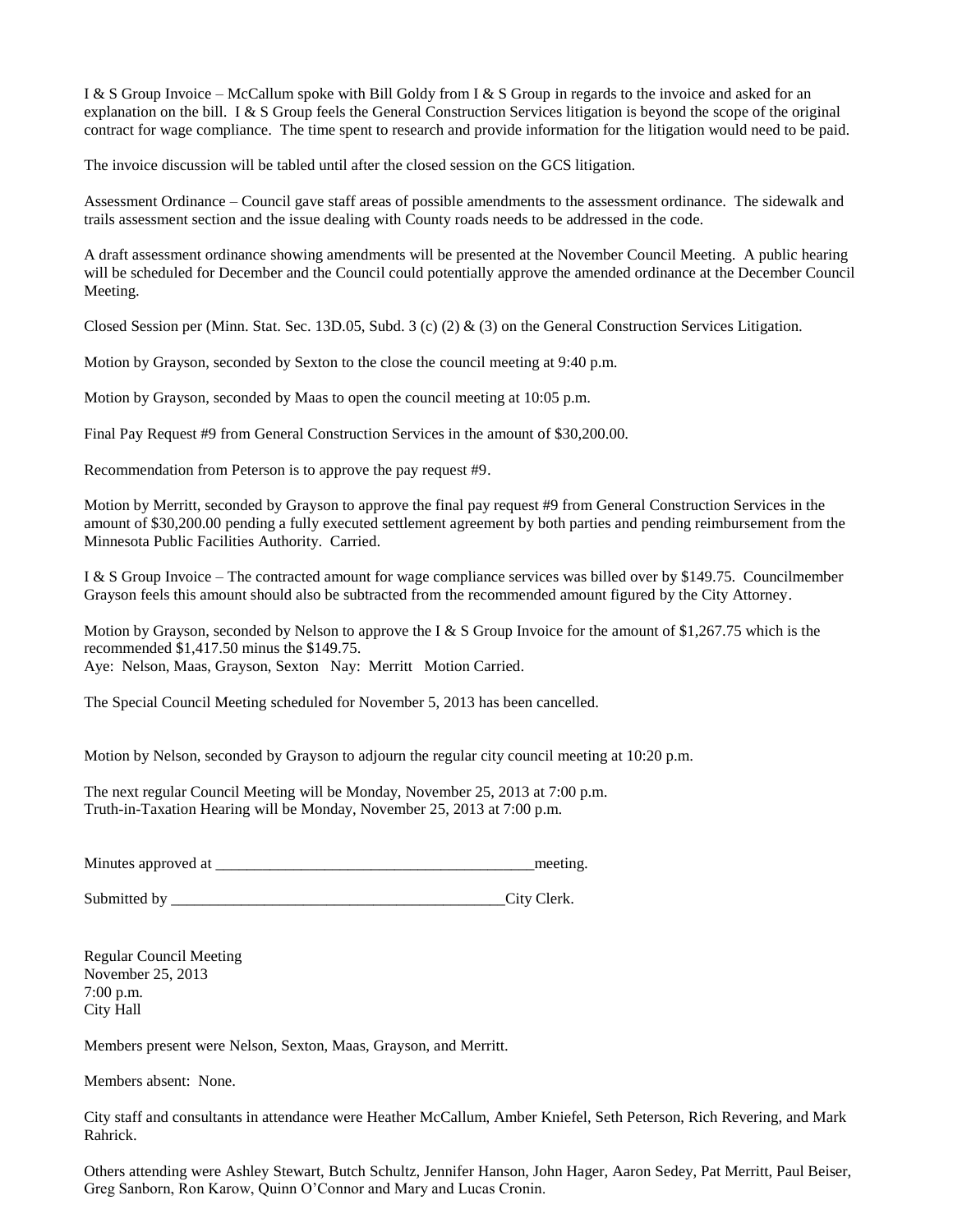I & S Group Invoice – McCallum spoke with Bill Goldy from I & S Group in regards to the invoice and asked for an explanation on the bill. I & S Group feels the General Construction Services litigation is beyond the scope of the original contract for wage compliance. The time spent to research and provide information for the litigation would need to be paid.

The invoice discussion will be tabled until after the closed session on the GCS litigation.

Assessment Ordinance – Council gave staff areas of possible amendments to the assessment ordinance. The sidewalk and trails assessment section and the issue dealing with County roads needs to be addressed in the code.

A draft assessment ordinance showing amendments will be presented at the November Council Meeting. A public hearing will be scheduled for December and the Council could potentially approve the amended ordinance at the December Council Meeting.

Closed Session per (Minn. Stat. Sec. 13D.05, Subd. 3 (c) (2) & (3) on the General Construction Services Litigation.

Motion by Grayson, seconded by Sexton to the close the council meeting at 9:40 p.m.

Motion by Grayson, seconded by Maas to open the council meeting at 10:05 p.m.

Final Pay Request #9 from General Construction Services in the amount of \$30,200.00.

Recommendation from Peterson is to approve the pay request #9.

Motion by Merritt, seconded by Grayson to approve the final pay request #9 from General Construction Services in the amount of \$30,200.00 pending a fully executed settlement agreement by both parties and pending reimbursement from the Minnesota Public Facilities Authority. Carried.

I & S Group Invoice – The contracted amount for wage compliance services was billed over by \$149.75. Councilmember Grayson feels this amount should also be subtracted from the recommended amount figured by the City Attorney.

Motion by Grayson, seconded by Nelson to approve the I & S Group Invoice for the amount of \$1,267.75 which is the recommended \$1,417.50 minus the \$149.75. Aye: Nelson, Maas, Grayson, Sexton Nay: Merritt Motion Carried.

The Special Council Meeting scheduled for November 5, 2013 has been cancelled.

Motion by Nelson, seconded by Grayson to adjourn the regular city council meeting at 10:20 p.m.

The next regular Council Meeting will be Monday, November 25, 2013 at 7:00 p.m. Truth-in-Taxation Hearing will be Monday, November 25, 2013 at 7:00 p.m.

Minutes approved at \_\_\_\_\_\_\_\_\_\_\_\_\_\_\_\_\_\_\_\_\_\_\_\_\_\_\_\_\_\_\_\_\_\_\_\_\_\_\_\_\_meeting.

Submitted by \_\_\_\_\_\_\_\_\_\_\_\_\_\_\_\_\_\_\_\_\_\_\_\_\_\_\_\_\_\_\_\_\_\_\_\_\_\_\_\_\_\_\_City Clerk.

Regular Council Meeting November 25, 2013 7:00 p.m. City Hall

Members present were Nelson, Sexton, Maas, Grayson, and Merritt.

Members absent: None.

City staff and consultants in attendance were Heather McCallum, Amber Kniefel, Seth Peterson, Rich Revering, and Mark Rahrick.

Others attending were Ashley Stewart, Butch Schultz, Jennifer Hanson, John Hager, Aaron Sedey, Pat Merritt, Paul Beiser, Greg Sanborn, Ron Karow, Quinn O'Connor and Mary and Lucas Cronin.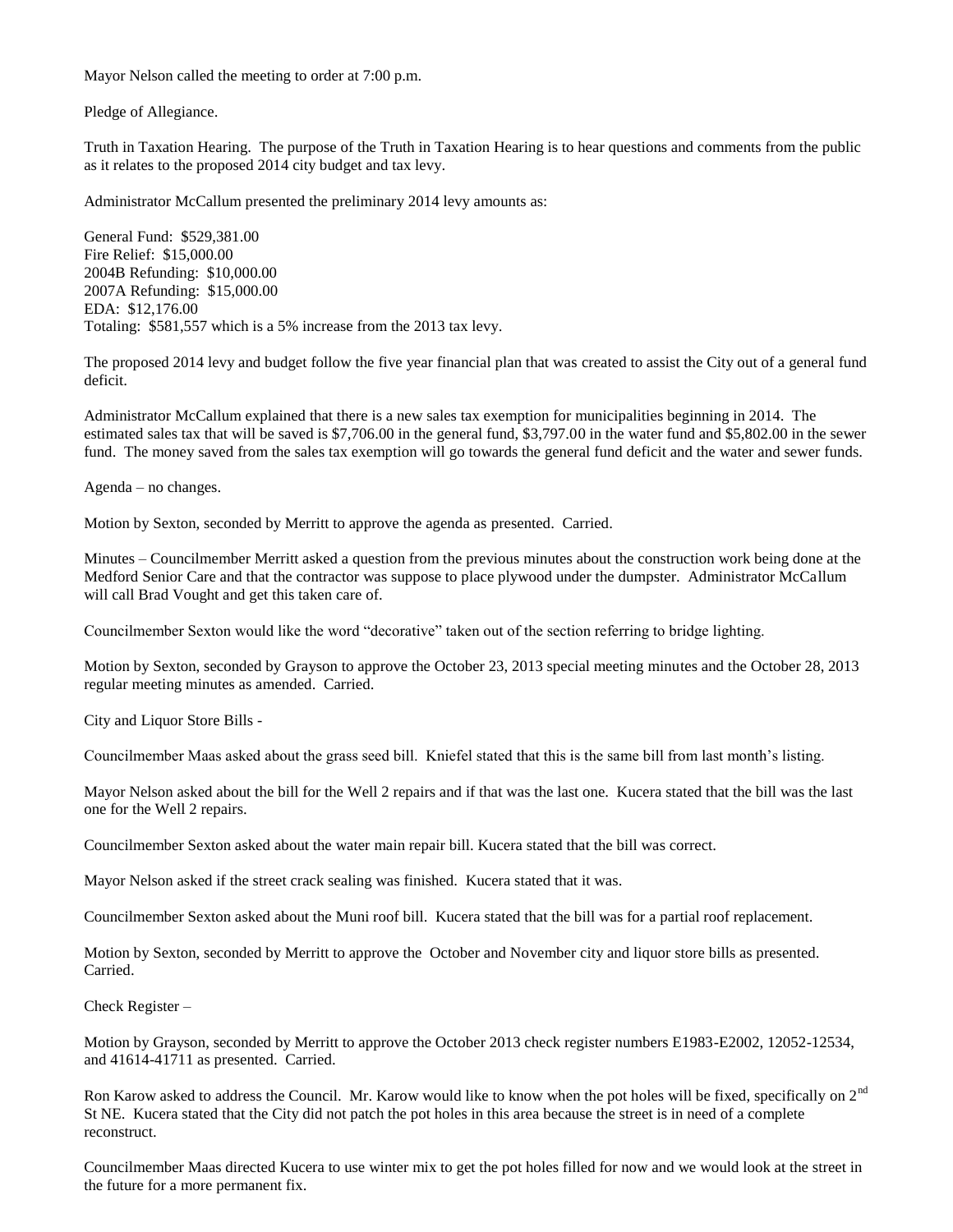Mayor Nelson called the meeting to order at 7:00 p.m.

Pledge of Allegiance.

Truth in Taxation Hearing. The purpose of the Truth in Taxation Hearing is to hear questions and comments from the public as it relates to the proposed 2014 city budget and tax levy.

Administrator McCallum presented the preliminary 2014 levy amounts as:

General Fund: \$529,381.00 Fire Relief: \$15,000.00 2004B Refunding: \$10,000.00 2007A Refunding: \$15,000.00 EDA: \$12,176.00 Totaling: \$581,557 which is a 5% increase from the 2013 tax levy.

The proposed 2014 levy and budget follow the five year financial plan that was created to assist the City out of a general fund deficit.

Administrator McCallum explained that there is a new sales tax exemption for municipalities beginning in 2014. The estimated sales tax that will be saved is \$7,706.00 in the general fund, \$3,797.00 in the water fund and \$5,802.00 in the sewer fund. The money saved from the sales tax exemption will go towards the general fund deficit and the water and sewer funds.

Agenda – no changes.

Motion by Sexton, seconded by Merritt to approve the agenda as presented. Carried.

Minutes – Councilmember Merritt asked a question from the previous minutes about the construction work being done at the Medford Senior Care and that the contractor was suppose to place plywood under the dumpster. Administrator McCallum will call Brad Vought and get this taken care of.

Councilmember Sexton would like the word "decorative" taken out of the section referring to bridge lighting.

Motion by Sexton, seconded by Grayson to approve the October 23, 2013 special meeting minutes and the October 28, 2013 regular meeting minutes as amended. Carried.

City and Liquor Store Bills -

Councilmember Maas asked about the grass seed bill. Kniefel stated that this is the same bill from last month's listing.

Mayor Nelson asked about the bill for the Well 2 repairs and if that was the last one. Kucera stated that the bill was the last one for the Well 2 repairs.

Councilmember Sexton asked about the water main repair bill. Kucera stated that the bill was correct.

Mayor Nelson asked if the street crack sealing was finished. Kucera stated that it was.

Councilmember Sexton asked about the Muni roof bill. Kucera stated that the bill was for a partial roof replacement.

Motion by Sexton, seconded by Merritt to approve the October and November city and liquor store bills as presented. Carried.

Check Register –

Motion by Grayson, seconded by Merritt to approve the October 2013 check register numbers E1983-E2002, 12052-12534, and 41614-41711 as presented. Carried.

Ron Karow asked to address the Council. Mr. Karow would like to know when the pot holes will be fixed, specifically on 2<sup>nd</sup> St NE. Kucera stated that the City did not patch the pot holes in this area because the street is in need of a complete reconstruct.

Councilmember Maas directed Kucera to use winter mix to get the pot holes filled for now and we would look at the street in the future for a more permanent fix.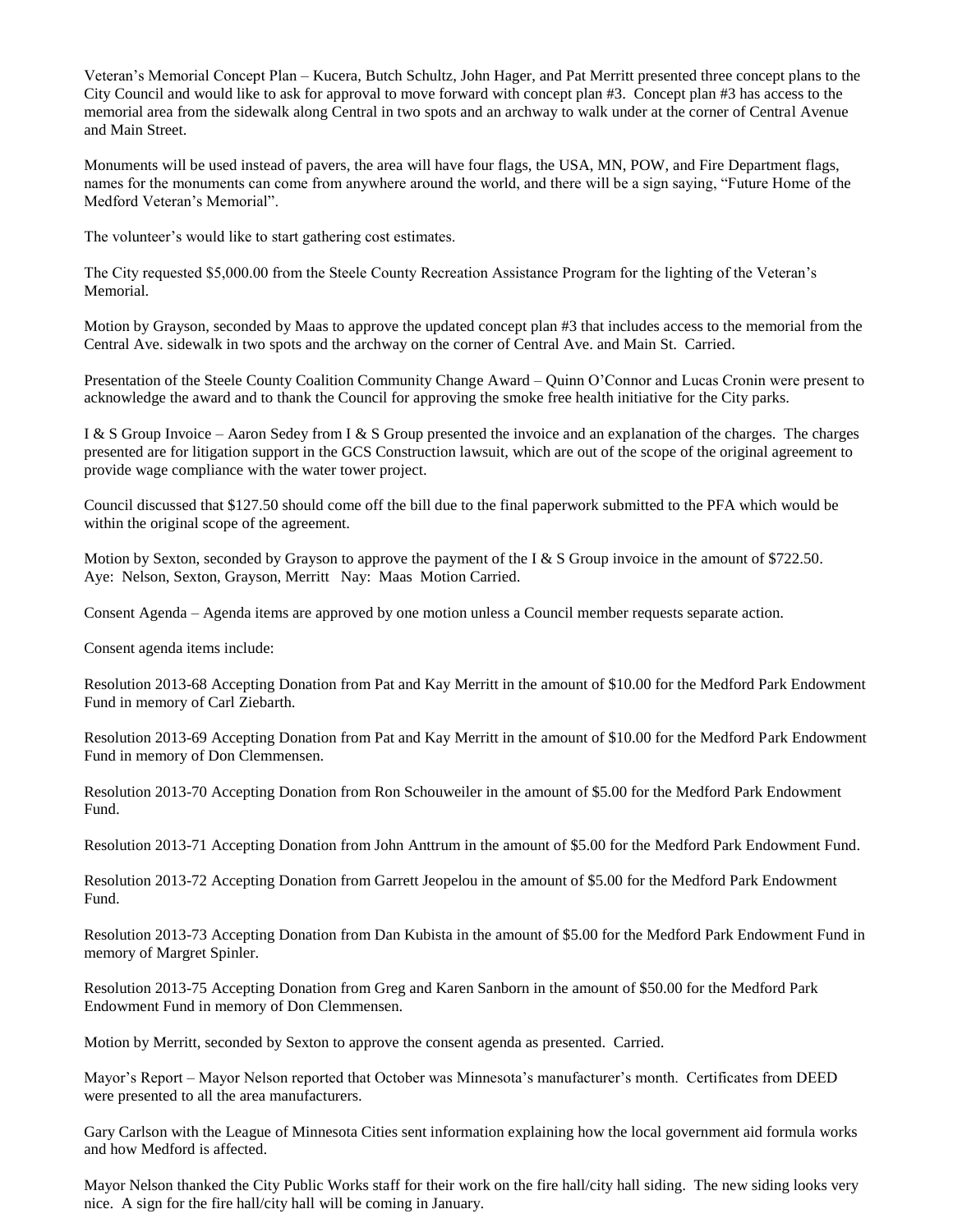Veteran's Memorial Concept Plan – Kucera, Butch Schultz, John Hager, and Pat Merritt presented three concept plans to the City Council and would like to ask for approval to move forward with concept plan #3. Concept plan #3 has access to the memorial area from the sidewalk along Central in two spots and an archway to walk under at the corner of Central Avenue and Main Street.

Monuments will be used instead of pavers, the area will have four flags, the USA, MN, POW, and Fire Department flags, names for the monuments can come from anywhere around the world, and there will be a sign saying, "Future Home of the Medford Veteran's Memorial".

The volunteer's would like to start gathering cost estimates.

The City requested \$5,000.00 from the Steele County Recreation Assistance Program for the lighting of the Veteran's Memorial.

Motion by Grayson, seconded by Maas to approve the updated concept plan #3 that includes access to the memorial from the Central Ave. sidewalk in two spots and the archway on the corner of Central Ave. and Main St. Carried.

Presentation of the Steele County Coalition Community Change Award – Quinn O'Connor and Lucas Cronin were present to acknowledge the award and to thank the Council for approving the smoke free health initiative for the City parks.

I & S Group Invoice – Aaron Sedey from I & S Group presented the invoice and an explanation of the charges. The charges presented are for litigation support in the GCS Construction lawsuit, which are out of the scope of the original agreement to provide wage compliance with the water tower project.

Council discussed that \$127.50 should come off the bill due to the final paperwork submitted to the PFA which would be within the original scope of the agreement.

Motion by Sexton, seconded by Grayson to approve the payment of the I & S Group invoice in the amount of \$722.50. Aye: Nelson, Sexton, Grayson, Merritt Nay: Maas Motion Carried.

Consent Agenda – Agenda items are approved by one motion unless a Council member requests separate action.

Consent agenda items include:

Resolution 2013-68 Accepting Donation from Pat and Kay Merritt in the amount of \$10.00 for the Medford Park Endowment Fund in memory of Carl Ziebarth.

Resolution 2013-69 Accepting Donation from Pat and Kay Merritt in the amount of \$10.00 for the Medford Park Endowment Fund in memory of Don Clemmensen.

Resolution 2013-70 Accepting Donation from Ron Schouweiler in the amount of \$5.00 for the Medford Park Endowment Fund.

Resolution 2013-71 Accepting Donation from John Anttrum in the amount of \$5.00 for the Medford Park Endowment Fund.

Resolution 2013-72 Accepting Donation from Garrett Jeopelou in the amount of \$5.00 for the Medford Park Endowment Fund.

Resolution 2013-73 Accepting Donation from Dan Kubista in the amount of \$5.00 for the Medford Park Endowment Fund in memory of Margret Spinler.

Resolution 2013-75 Accepting Donation from Greg and Karen Sanborn in the amount of \$50.00 for the Medford Park Endowment Fund in memory of Don Clemmensen.

Motion by Merritt, seconded by Sexton to approve the consent agenda as presented. Carried.

Mayor's Report – Mayor Nelson reported that October was Minnesota's manufacturer's month. Certificates from DEED were presented to all the area manufacturers.

Gary Carlson with the League of Minnesota Cities sent information explaining how the local government aid formula works and how Medford is affected.

Mayor Nelson thanked the City Public Works staff for their work on the fire hall/city hall siding. The new siding looks very nice. A sign for the fire hall/city hall will be coming in January.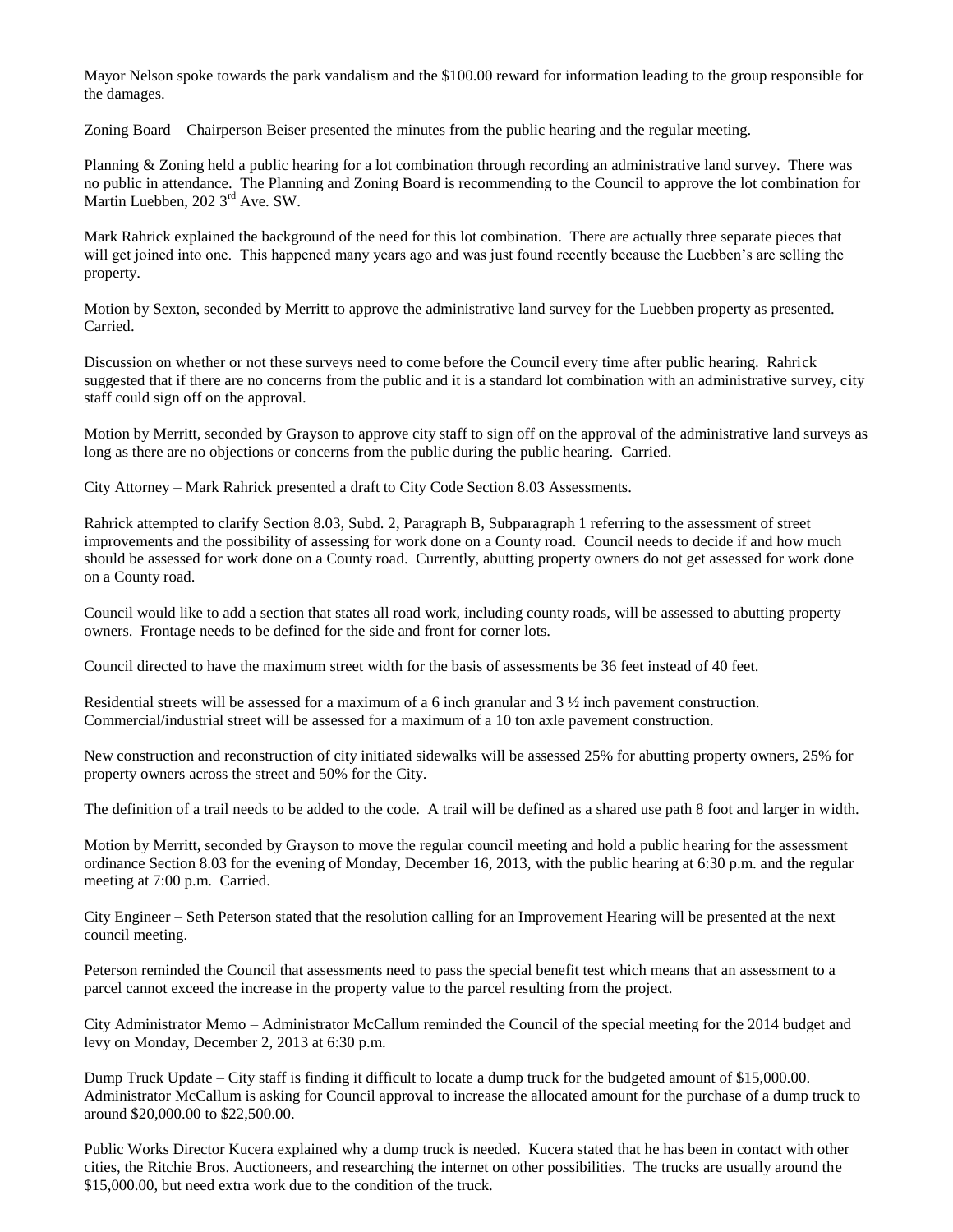Mayor Nelson spoke towards the park vandalism and the \$100.00 reward for information leading to the group responsible for the damages.

Zoning Board – Chairperson Beiser presented the minutes from the public hearing and the regular meeting.

Planning & Zoning held a public hearing for a lot combination through recording an administrative land survey. There was no public in attendance. The Planning and Zoning Board is recommending to the Council to approve the lot combination for Martin Luebben, 202 3<sup>rd</sup> Ave. SW.

Mark Rahrick explained the background of the need for this lot combination. There are actually three separate pieces that will get joined into one. This happened many years ago and was just found recently because the Luebben's are selling the property.

Motion by Sexton, seconded by Merritt to approve the administrative land survey for the Luebben property as presented. Carried.

Discussion on whether or not these surveys need to come before the Council every time after public hearing. Rahrick suggested that if there are no concerns from the public and it is a standard lot combination with an administrative survey, city staff could sign off on the approval.

Motion by Merritt, seconded by Grayson to approve city staff to sign off on the approval of the administrative land surveys as long as there are no objections or concerns from the public during the public hearing. Carried.

City Attorney – Mark Rahrick presented a draft to City Code Section 8.03 Assessments.

Rahrick attempted to clarify Section 8.03, Subd. 2, Paragraph B, Subparagraph 1 referring to the assessment of street improvements and the possibility of assessing for work done on a County road. Council needs to decide if and how much should be assessed for work done on a County road. Currently, abutting property owners do not get assessed for work done on a County road.

Council would like to add a section that states all road work, including county roads, will be assessed to abutting property owners. Frontage needs to be defined for the side and front for corner lots.

Council directed to have the maximum street width for the basis of assessments be 36 feet instead of 40 feet.

Residential streets will be assessed for a maximum of a 6 inch granular and 3 ½ inch pavement construction. Commercial/industrial street will be assessed for a maximum of a 10 ton axle pavement construction.

New construction and reconstruction of city initiated sidewalks will be assessed 25% for abutting property owners, 25% for property owners across the street and 50% for the City.

The definition of a trail needs to be added to the code. A trail will be defined as a shared use path 8 foot and larger in width.

Motion by Merritt, seconded by Grayson to move the regular council meeting and hold a public hearing for the assessment ordinance Section 8.03 for the evening of Monday, December 16, 2013, with the public hearing at 6:30 p.m. and the regular meeting at 7:00 p.m. Carried.

City Engineer – Seth Peterson stated that the resolution calling for an Improvement Hearing will be presented at the next council meeting.

Peterson reminded the Council that assessments need to pass the special benefit test which means that an assessment to a parcel cannot exceed the increase in the property value to the parcel resulting from the project.

City Administrator Memo – Administrator McCallum reminded the Council of the special meeting for the 2014 budget and levy on Monday, December 2, 2013 at 6:30 p.m.

Dump Truck Update – City staff is finding it difficult to locate a dump truck for the budgeted amount of \$15,000.00. Administrator McCallum is asking for Council approval to increase the allocated amount for the purchase of a dump truck to around \$20,000.00 to \$22,500.00.

Public Works Director Kucera explained why a dump truck is needed. Kucera stated that he has been in contact with other cities, the Ritchie Bros. Auctioneers, and researching the internet on other possibilities. The trucks are usually around the \$15,000.00, but need extra work due to the condition of the truck.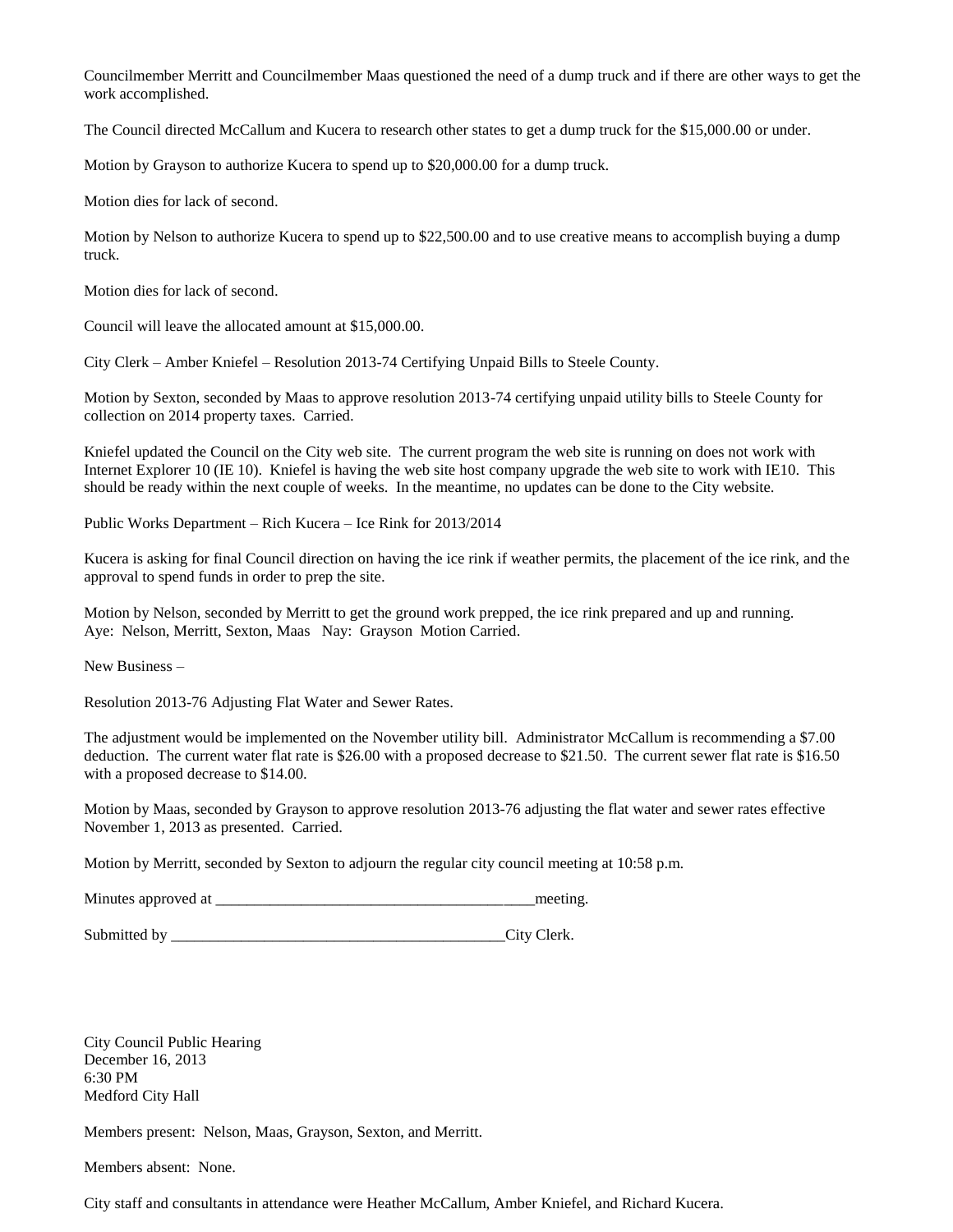Councilmember Merritt and Councilmember Maas questioned the need of a dump truck and if there are other ways to get the work accomplished.

The Council directed McCallum and Kucera to research other states to get a dump truck for the \$15,000.00 or under.

Motion by Grayson to authorize Kucera to spend up to \$20,000.00 for a dump truck.

Motion dies for lack of second.

Motion by Nelson to authorize Kucera to spend up to \$22,500.00 and to use creative means to accomplish buying a dump truck.

Motion dies for lack of second.

Council will leave the allocated amount at \$15,000.00.

City Clerk – Amber Kniefel – Resolution 2013-74 Certifying Unpaid Bills to Steele County.

Motion by Sexton, seconded by Maas to approve resolution 2013-74 certifying unpaid utility bills to Steele County for collection on 2014 property taxes. Carried.

Kniefel updated the Council on the City web site. The current program the web site is running on does not work with Internet Explorer 10 (IE 10). Kniefel is having the web site host company upgrade the web site to work with IE10. This should be ready within the next couple of weeks. In the meantime, no updates can be done to the City website.

Public Works Department – Rich Kucera – Ice Rink for 2013/2014

Kucera is asking for final Council direction on having the ice rink if weather permits, the placement of the ice rink, and the approval to spend funds in order to prep the site.

Motion by Nelson, seconded by Merritt to get the ground work prepped, the ice rink prepared and up and running. Aye: Nelson, Merritt, Sexton, Maas Nay: Grayson Motion Carried.

New Business –

Resolution 2013-76 Adjusting Flat Water and Sewer Rates.

The adjustment would be implemented on the November utility bill. Administrator McCallum is recommending a \$7.00 deduction. The current water flat rate is \$26.00 with a proposed decrease to \$21.50. The current sewer flat rate is \$16.50 with a proposed decrease to \$14.00.

Motion by Maas, seconded by Grayson to approve resolution 2013-76 adjusting the flat water and sewer rates effective November 1, 2013 as presented. Carried.

Motion by Merritt, seconded by Sexton to adjourn the regular city council meeting at 10:58 p.m.

Minutes approved at \_\_\_\_\_\_\_\_\_\_\_\_\_\_\_\_\_\_\_\_\_\_\_\_\_\_\_\_\_\_\_\_\_\_\_\_\_\_\_\_\_meeting.

Submitted by \_\_\_\_\_\_\_\_\_\_\_\_\_\_\_\_\_\_\_\_\_\_\_\_\_\_\_\_\_\_\_\_\_\_\_\_\_\_\_\_\_\_\_City Clerk.

City Council Public Hearing December 16, 2013 6:30 PM Medford City Hall

Members present: Nelson, Maas, Grayson, Sexton, and Merritt.

Members absent: None.

City staff and consultants in attendance were Heather McCallum, Amber Kniefel, and Richard Kucera.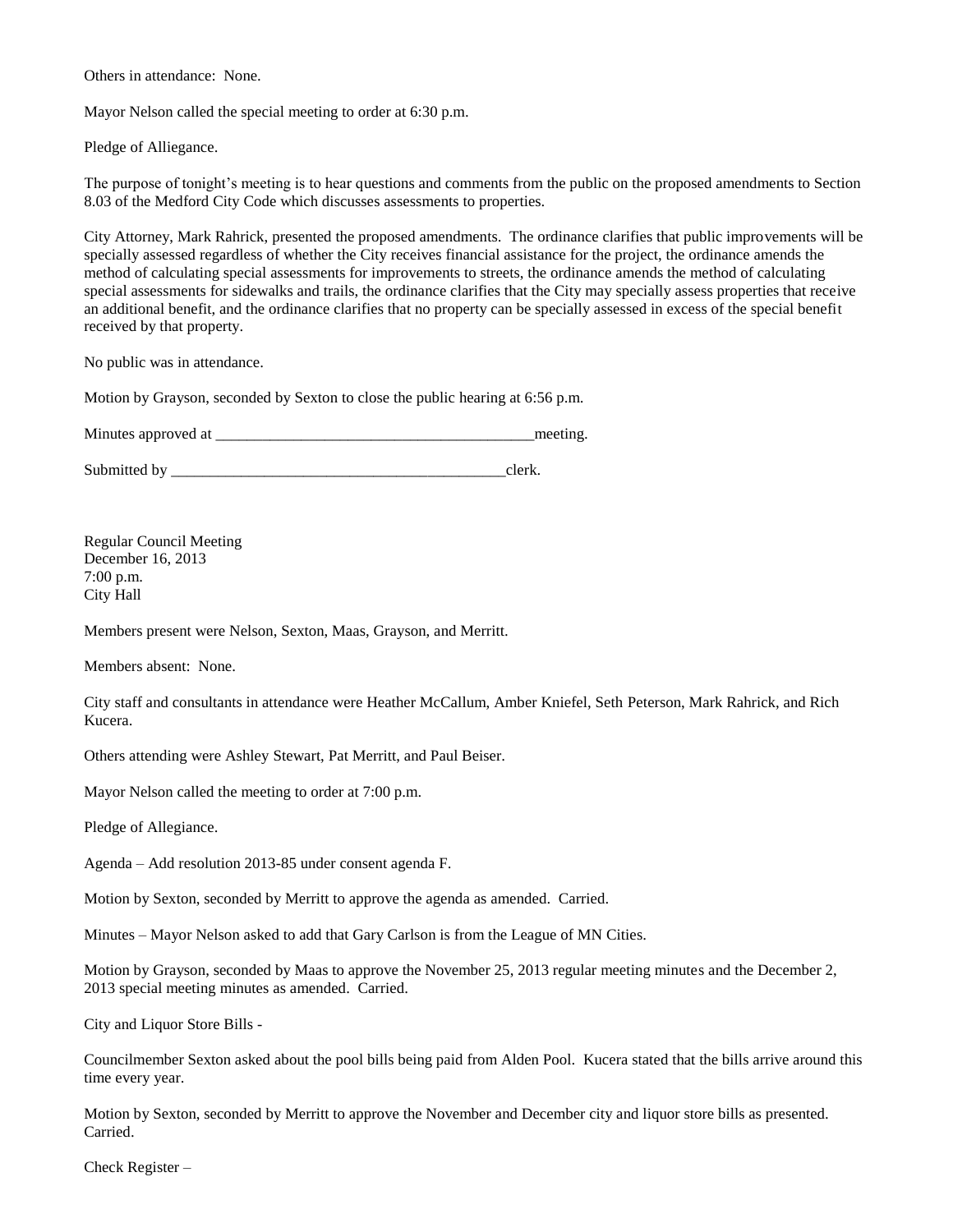Others in attendance: None.

Mayor Nelson called the special meeting to order at 6:30 p.m.

Pledge of Alliegance.

The purpose of tonight's meeting is to hear questions and comments from the public on the proposed amendments to Section 8.03 of the Medford City Code which discusses assessments to properties.

City Attorney, Mark Rahrick, presented the proposed amendments. The ordinance clarifies that public improvements will be specially assessed regardless of whether the City receives financial assistance for the project, the ordinance amends the method of calculating special assessments for improvements to streets, the ordinance amends the method of calculating special assessments for sidewalks and trails, the ordinance clarifies that the City may specially assess properties that receive an additional benefit, and the ordinance clarifies that no property can be specially assessed in excess of the special benefit received by that property.

No public was in attendance.

Motion by Grayson, seconded by Sexton to close the public hearing at 6:56 p.m.

Minutes approved at \_\_\_\_\_\_\_\_\_\_\_\_\_\_\_\_\_\_\_\_\_\_\_\_\_\_\_\_\_\_\_\_\_\_\_\_\_\_\_\_\_meeting.

Submitted by \_\_\_\_\_\_\_\_\_\_\_\_\_\_\_\_\_\_\_\_\_\_\_\_\_\_\_\_\_\_\_\_\_\_\_\_\_\_\_\_\_\_\_clerk.

Regular Council Meeting December 16, 2013 7:00 p.m. City Hall

Members present were Nelson, Sexton, Maas, Grayson, and Merritt.

Members absent: None.

City staff and consultants in attendance were Heather McCallum, Amber Kniefel, Seth Peterson, Mark Rahrick, and Rich Kucera.

Others attending were Ashley Stewart, Pat Merritt, and Paul Beiser.

Mayor Nelson called the meeting to order at 7:00 p.m.

Pledge of Allegiance.

Agenda – Add resolution 2013-85 under consent agenda F.

Motion by Sexton, seconded by Merritt to approve the agenda as amended. Carried.

Minutes – Mayor Nelson asked to add that Gary Carlson is from the League of MN Cities.

Motion by Grayson, seconded by Maas to approve the November 25, 2013 regular meeting minutes and the December 2, 2013 special meeting minutes as amended. Carried.

City and Liquor Store Bills -

Councilmember Sexton asked about the pool bills being paid from Alden Pool. Kucera stated that the bills arrive around this time every year.

Motion by Sexton, seconded by Merritt to approve the November and December city and liquor store bills as presented. Carried.

Check Register –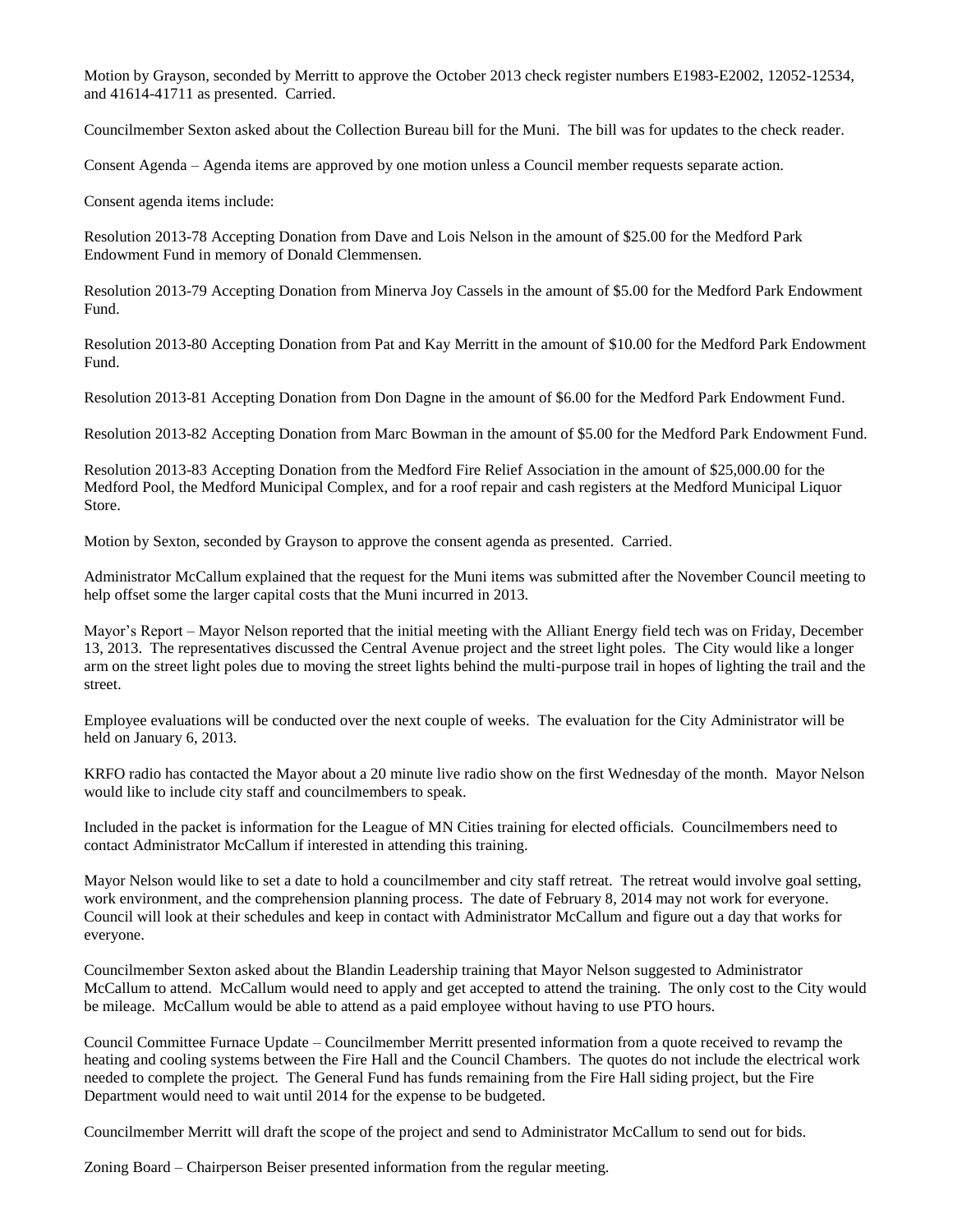Motion by Grayson, seconded by Merritt to approve the October 2013 check register numbers E1983-E2002, 12052-12534, and 41614-41711 as presented. Carried.

Councilmember Sexton asked about the Collection Bureau bill for the Muni. The bill was for updates to the check reader.

Consent Agenda – Agenda items are approved by one motion unless a Council member requests separate action.

Consent agenda items include:

Resolution 2013-78 Accepting Donation from Dave and Lois Nelson in the amount of \$25.00 for the Medford Park Endowment Fund in memory of Donald Clemmensen.

Resolution 2013-79 Accepting Donation from Minerva Joy Cassels in the amount of \$5.00 for the Medford Park Endowment Fund.

Resolution 2013-80 Accepting Donation from Pat and Kay Merritt in the amount of \$10.00 for the Medford Park Endowment Fund.

Resolution 2013-81 Accepting Donation from Don Dagne in the amount of \$6.00 for the Medford Park Endowment Fund.

Resolution 2013-82 Accepting Donation from Marc Bowman in the amount of \$5.00 for the Medford Park Endowment Fund.

Resolution 2013-83 Accepting Donation from the Medford Fire Relief Association in the amount of \$25,000.00 for the Medford Pool, the Medford Municipal Complex, and for a roof repair and cash registers at the Medford Municipal Liquor Store.

Motion by Sexton, seconded by Grayson to approve the consent agenda as presented. Carried.

Administrator McCallum explained that the request for the Muni items was submitted after the November Council meeting to help offset some the larger capital costs that the Muni incurred in 2013.

Mayor's Report – Mayor Nelson reported that the initial meeting with the Alliant Energy field tech was on Friday, December 13, 2013. The representatives discussed the Central Avenue project and the street light poles. The City would like a longer arm on the street light poles due to moving the street lights behind the multi-purpose trail in hopes of lighting the trail and the street.

Employee evaluations will be conducted over the next couple of weeks. The evaluation for the City Administrator will be held on January 6, 2013.

KRFO radio has contacted the Mayor about a 20 minute live radio show on the first Wednesday of the month. Mayor Nelson would like to include city staff and councilmembers to speak.

Included in the packet is information for the League of MN Cities training for elected officials. Councilmembers need to contact Administrator McCallum if interested in attending this training.

Mayor Nelson would like to set a date to hold a councilmember and city staff retreat. The retreat would involve goal setting, work environment, and the comprehension planning process. The date of February 8, 2014 may not work for everyone. Council will look at their schedules and keep in contact with Administrator McCallum and figure out a day that works for everyone.

Councilmember Sexton asked about the Blandin Leadership training that Mayor Nelson suggested to Administrator McCallum to attend. McCallum would need to apply and get accepted to attend the training. The only cost to the City would be mileage. McCallum would be able to attend as a paid employee without having to use PTO hours.

Council Committee Furnace Update – Councilmember Merritt presented information from a quote received to revamp the heating and cooling systems between the Fire Hall and the Council Chambers. The quotes do not include the electrical work needed to complete the project. The General Fund has funds remaining from the Fire Hall siding project, but the Fire Department would need to wait until 2014 for the expense to be budgeted.

Councilmember Merritt will draft the scope of the project and send to Administrator McCallum to send out for bids.

Zoning Board – Chairperson Beiser presented information from the regular meeting.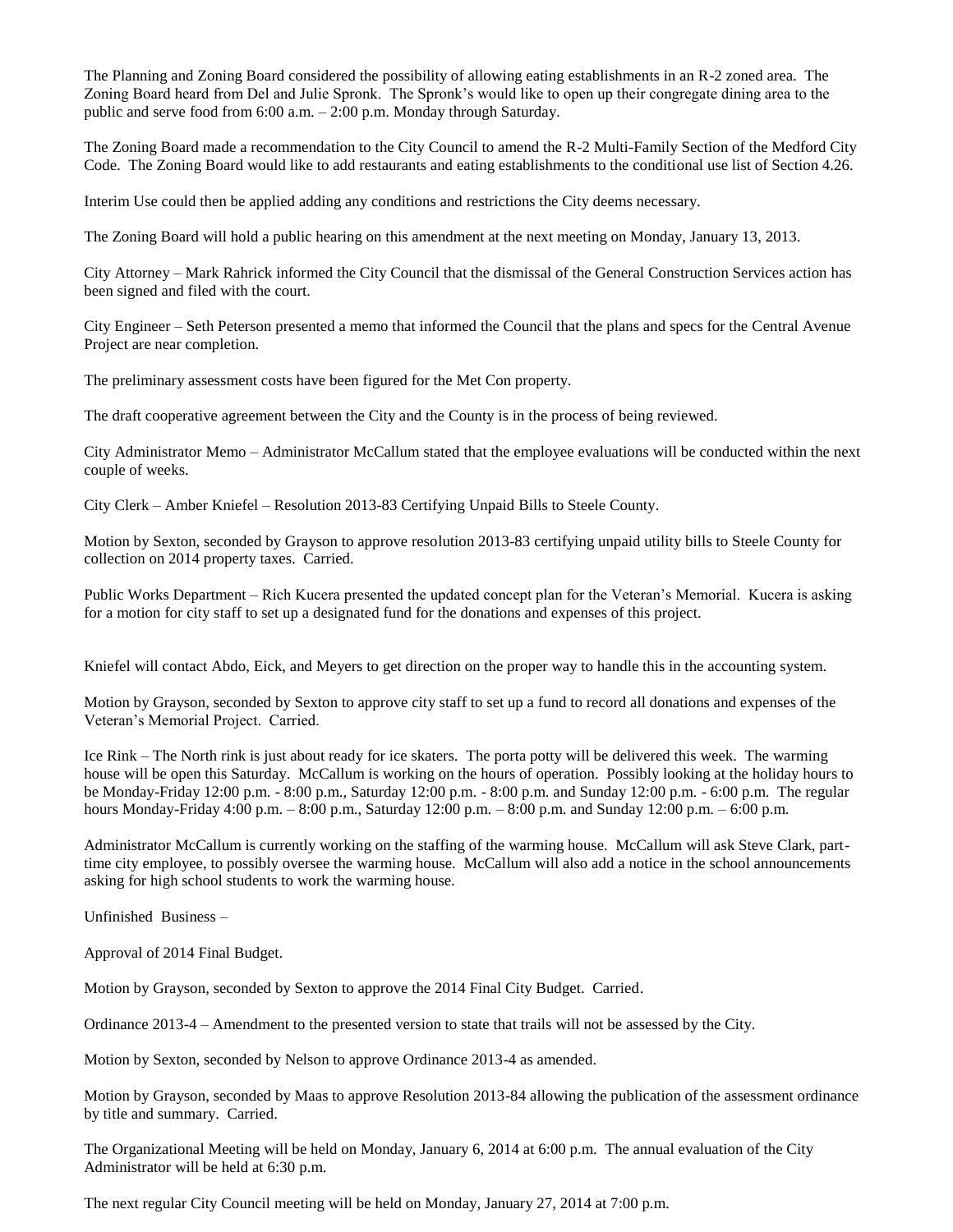The Planning and Zoning Board considered the possibility of allowing eating establishments in an R-2 zoned area. The Zoning Board heard from Del and Julie Spronk. The Spronk's would like to open up their congregate dining area to the public and serve food from 6:00 a.m. – 2:00 p.m. Monday through Saturday.

The Zoning Board made a recommendation to the City Council to amend the R-2 Multi-Family Section of the Medford City Code. The Zoning Board would like to add restaurants and eating establishments to the conditional use list of Section 4.26.

Interim Use could then be applied adding any conditions and restrictions the City deems necessary.

The Zoning Board will hold a public hearing on this amendment at the next meeting on Monday, January 13, 2013.

City Attorney – Mark Rahrick informed the City Council that the dismissal of the General Construction Services action has been signed and filed with the court.

City Engineer – Seth Peterson presented a memo that informed the Council that the plans and specs for the Central Avenue Project are near completion.

The preliminary assessment costs have been figured for the Met Con property.

The draft cooperative agreement between the City and the County is in the process of being reviewed.

City Administrator Memo – Administrator McCallum stated that the employee evaluations will be conducted within the next couple of weeks.

City Clerk – Amber Kniefel – Resolution 2013-83 Certifying Unpaid Bills to Steele County.

Motion by Sexton, seconded by Grayson to approve resolution 2013-83 certifying unpaid utility bills to Steele County for collection on 2014 property taxes. Carried.

Public Works Department – Rich Kucera presented the updated concept plan for the Veteran's Memorial. Kucera is asking for a motion for city staff to set up a designated fund for the donations and expenses of this project.

Kniefel will contact Abdo, Eick, and Meyers to get direction on the proper way to handle this in the accounting system.

Motion by Grayson, seconded by Sexton to approve city staff to set up a fund to record all donations and expenses of the Veteran's Memorial Project. Carried.

Ice Rink – The North rink is just about ready for ice skaters. The porta potty will be delivered this week. The warming house will be open this Saturday. McCallum is working on the hours of operation. Possibly looking at the holiday hours to be Monday-Friday 12:00 p.m. - 8:00 p.m., Saturday 12:00 p.m. - 8:00 p.m. and Sunday 12:00 p.m. - 6:00 p.m. The regular hours Monday-Friday 4:00 p.m. – 8:00 p.m., Saturday 12:00 p.m. – 8:00 p.m. and Sunday 12:00 p.m. – 6:00 p.m.

Administrator McCallum is currently working on the staffing of the warming house. McCallum will ask Steve Clark, parttime city employee, to possibly oversee the warming house. McCallum will also add a notice in the school announcements asking for high school students to work the warming house.

Unfinished Business –

Approval of 2014 Final Budget.

Motion by Grayson, seconded by Sexton to approve the 2014 Final City Budget. Carried.

Ordinance 2013-4 – Amendment to the presented version to state that trails will not be assessed by the City.

Motion by Sexton, seconded by Nelson to approve Ordinance 2013-4 as amended.

Motion by Grayson, seconded by Maas to approve Resolution 2013-84 allowing the publication of the assessment ordinance by title and summary. Carried.

The Organizational Meeting will be held on Monday, January 6, 2014 at 6:00 p.m. The annual evaluation of the City Administrator will be held at 6:30 p.m.

The next regular City Council meeting will be held on Monday, January 27, 2014 at 7:00 p.m.